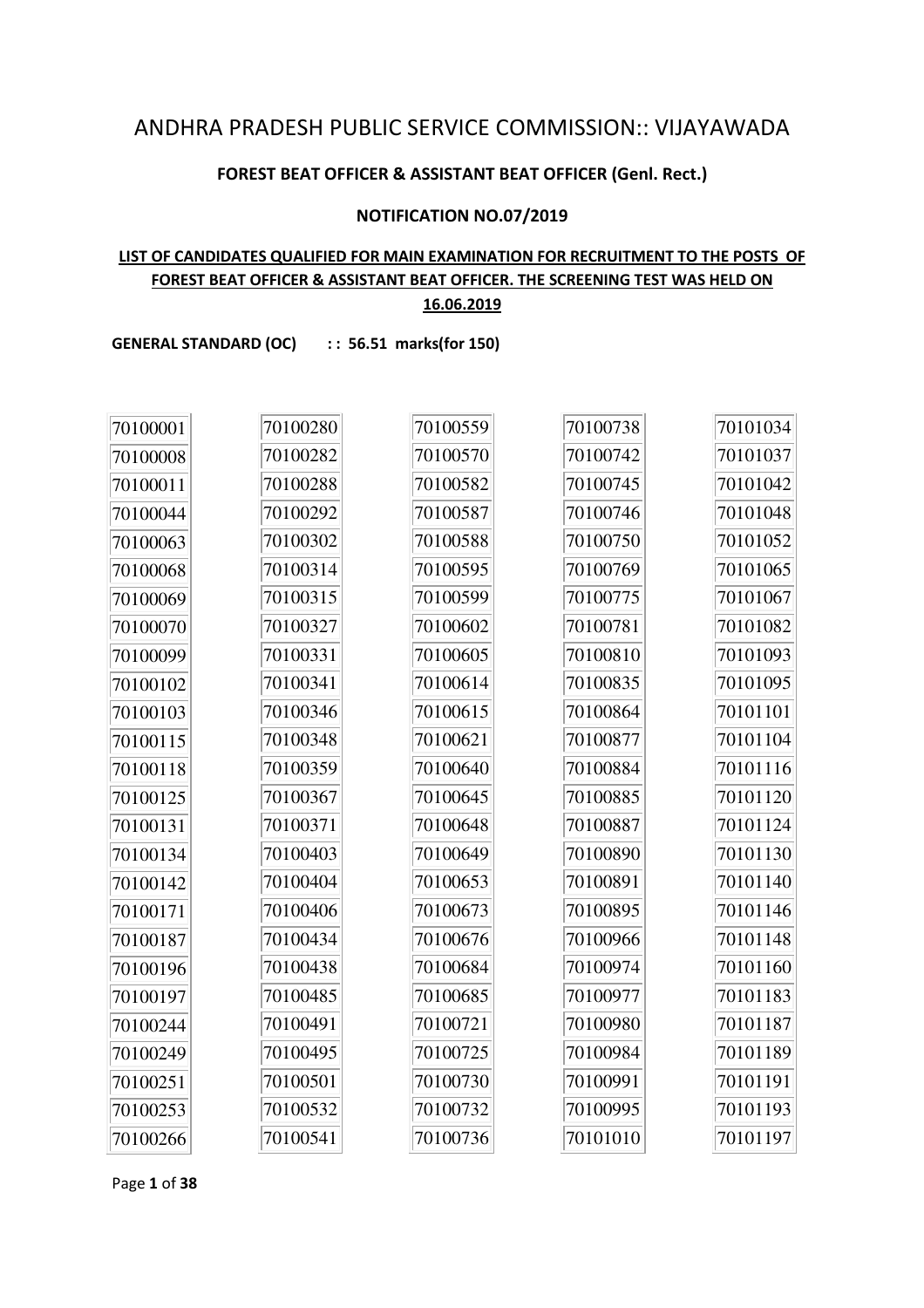# ANDHRA PRADESH PUBLIC SERVICE COMMISSION:: VIJAYAWADA

#### **FOREST BEAT OFFICER & ASSISTANT BEAT OFFICER (Genl. Rect.)**

#### **NOTIFICATION NO.07/2019**

# **LIST OF CANDIDATES QUALIFIED FOR MAIN EXAMINATION FOR RECRUITMENT TO THE POSTS OF FOREST BEAT OFFICER & ASSISTANT BEAT OFFICER. THE SCREENING TEST WAS HELD ON**

**16.06.2019**

GENERAL STANDARD (OC) :: 56.51 marks(for 150)

| 70100001 | 70100280 | 70100559 | 70100738 | 70101034 |
|----------|----------|----------|----------|----------|
| 70100008 | 70100282 | 70100570 | 70100742 | 70101037 |
| 70100011 | 70100288 | 70100582 | 70100745 | 70101042 |
| 70100044 | 70100292 | 70100587 | 70100746 | 70101048 |
| 70100063 | 70100302 | 70100588 | 70100750 | 70101052 |
| 70100068 | 70100314 | 70100595 | 70100769 | 70101065 |
| 70100069 | 70100315 | 70100599 | 70100775 | 70101067 |
| 70100070 | 70100327 | 70100602 | 70100781 | 70101082 |
| 70100099 | 70100331 | 70100605 | 70100810 | 70101093 |
| 70100102 | 70100341 | 70100614 | 70100835 | 70101095 |
| 70100103 | 70100346 | 70100615 | 70100864 | 70101101 |
| 70100115 | 70100348 | 70100621 | 70100877 | 70101104 |
| 70100118 | 70100359 | 70100640 | 70100884 | 70101116 |
| 70100125 | 70100367 | 70100645 | 70100885 | 70101120 |
| 70100131 | 70100371 | 70100648 | 70100887 | 70101124 |
| 70100134 | 70100403 | 70100649 | 70100890 | 70101130 |
| 70100142 | 70100404 | 70100653 | 70100891 | 70101140 |
| 70100171 | 70100406 | 70100673 | 70100895 | 70101146 |
| 70100187 | 70100434 | 70100676 | 70100966 | 70101148 |
| 70100196 | 70100438 | 70100684 | 70100974 | 70101160 |
| 70100197 | 70100485 | 70100685 | 70100977 | 70101183 |
| 70100244 | 70100491 | 70100721 | 70100980 | 70101187 |
| 70100249 | 70100495 | 70100725 | 70100984 | 70101189 |
| 70100251 | 70100501 | 70100730 | 70100991 | 70101191 |
| 70100253 | 70100532 | 70100732 | 70100995 | 70101193 |
| 70100266 | 70100541 | 70100736 | 70101010 | 70101197 |

Page **1** of **38**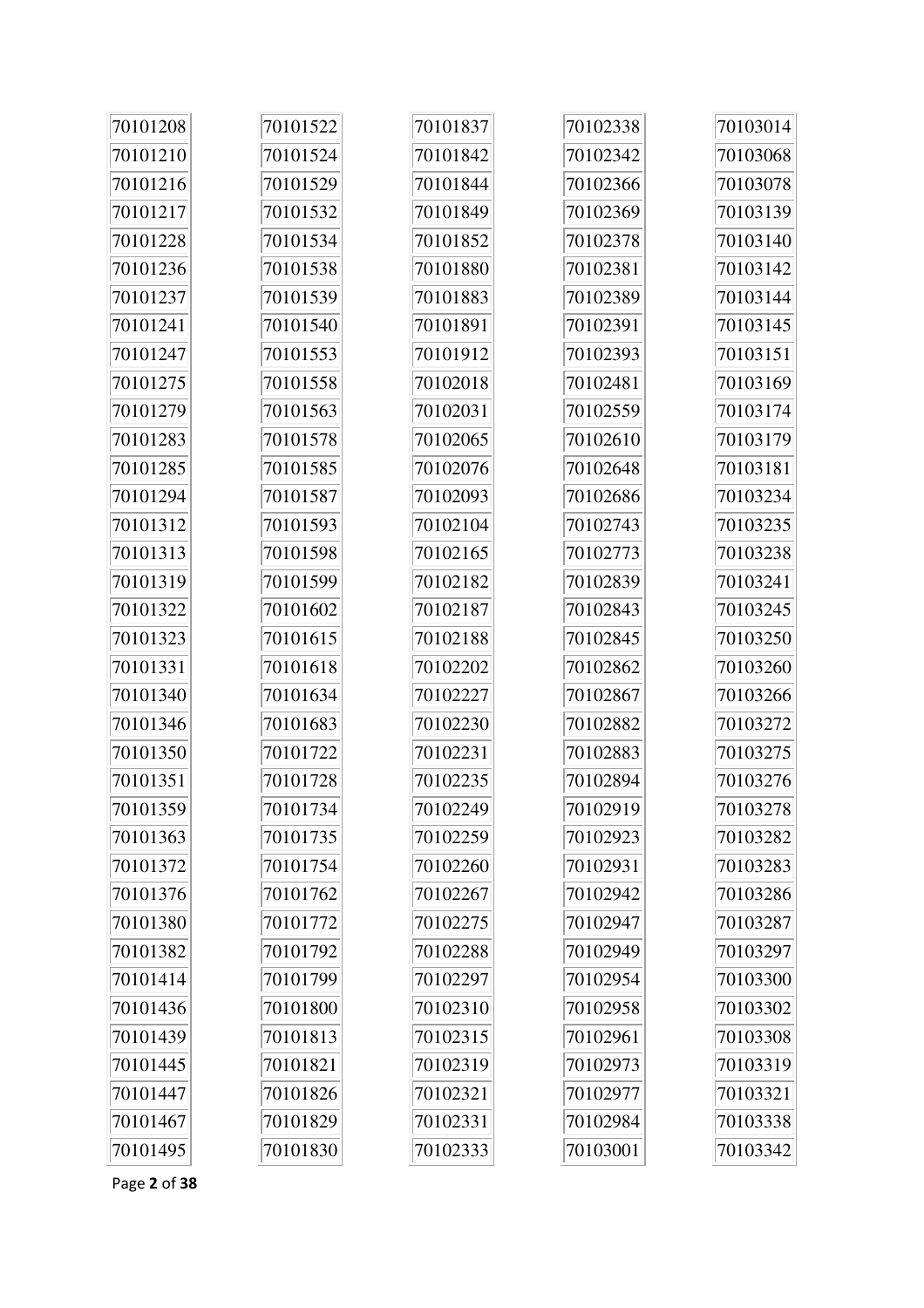| 70101208 | 70101522 | 70101837 | 70102338 | 70103014 |
|----------|----------|----------|----------|----------|
| 70101210 | 70101524 | 70101842 | 70102342 | 70103068 |
| 70101216 | 70101529 | 70101844 | 70102366 | 70103078 |
| 70101217 | 70101532 | 70101849 | 70102369 | 70103139 |
| 70101228 | 70101534 | 70101852 | 70102378 | 70103140 |
| 70101236 | 70101538 | 70101880 | 70102381 | 70103142 |
| 70101237 | 70101539 | 70101883 | 70102389 | 70103144 |
| 70101241 | 70101540 | 70101891 | 70102391 | 70103145 |
| 70101247 | 70101553 | 70101912 | 70102393 | 70103151 |
| 70101275 | 70101558 | 70102018 | 70102481 | 70103169 |
| 70101279 | 70101563 | 70102031 | 70102559 | 70103174 |
| 70101283 | 70101578 | 70102065 | 70102610 | 70103179 |
| 70101285 | 70101585 | 70102076 | 70102648 | 70103181 |
| 70101294 | 70101587 | 70102093 | 70102686 | 70103234 |
| 70101312 | 70101593 | 70102104 | 70102743 | 70103235 |
| 70101313 | 70101598 | 70102165 | 70102773 | 70103238 |
| 70101319 | 70101599 | 70102182 | 70102839 | 70103241 |
| 70101322 | 70101602 | 70102187 | 70102843 | 70103245 |
| 70101323 | 70101615 | 70102188 | 70102845 | 70103250 |
| 70101331 | 70101618 | 70102202 | 70102862 | 70103260 |
| 70101340 | 70101634 | 70102227 | 70102867 | 70103266 |
| 70101346 | 70101683 | 70102230 | 70102882 | 70103272 |
| 70101350 | 70101722 | 70102231 | 70102883 | 70103275 |
| 70101351 | 70101728 | 70102235 | 70102894 | 70103276 |
| 70101359 | 70101734 | 70102249 | 70102919 | 70103278 |
| 70101363 | 70101735 | 70102259 | 70102923 | 70103282 |
| 70101372 | 70101754 | 70102260 | 70102931 | 70103283 |
| 70101376 | 70101762 | 70102267 | 70102942 | 70103286 |
| 70101380 | 70101772 | 70102275 | 70102947 | 70103287 |
| 70101382 | 70101792 | 70102288 | 70102949 | 70103297 |
| 70101414 | 70101799 | 70102297 | 70102954 | 70103300 |
| 70101436 | 70101800 | 70102310 | 70102958 | 70103302 |
| 70101439 | 70101813 | 70102315 | 70102961 | 70103308 |
| 70101445 | 70101821 | 70102319 | 70102973 | 70103319 |
| 70101447 | 70101826 | 70102321 | 70102977 | 70103321 |
| 70101467 | 70101829 | 70102331 | 70102984 | 70103338 |
| 70101495 | 70101830 | 70102333 | 70103001 | 70103342 |

Page **2** of **38**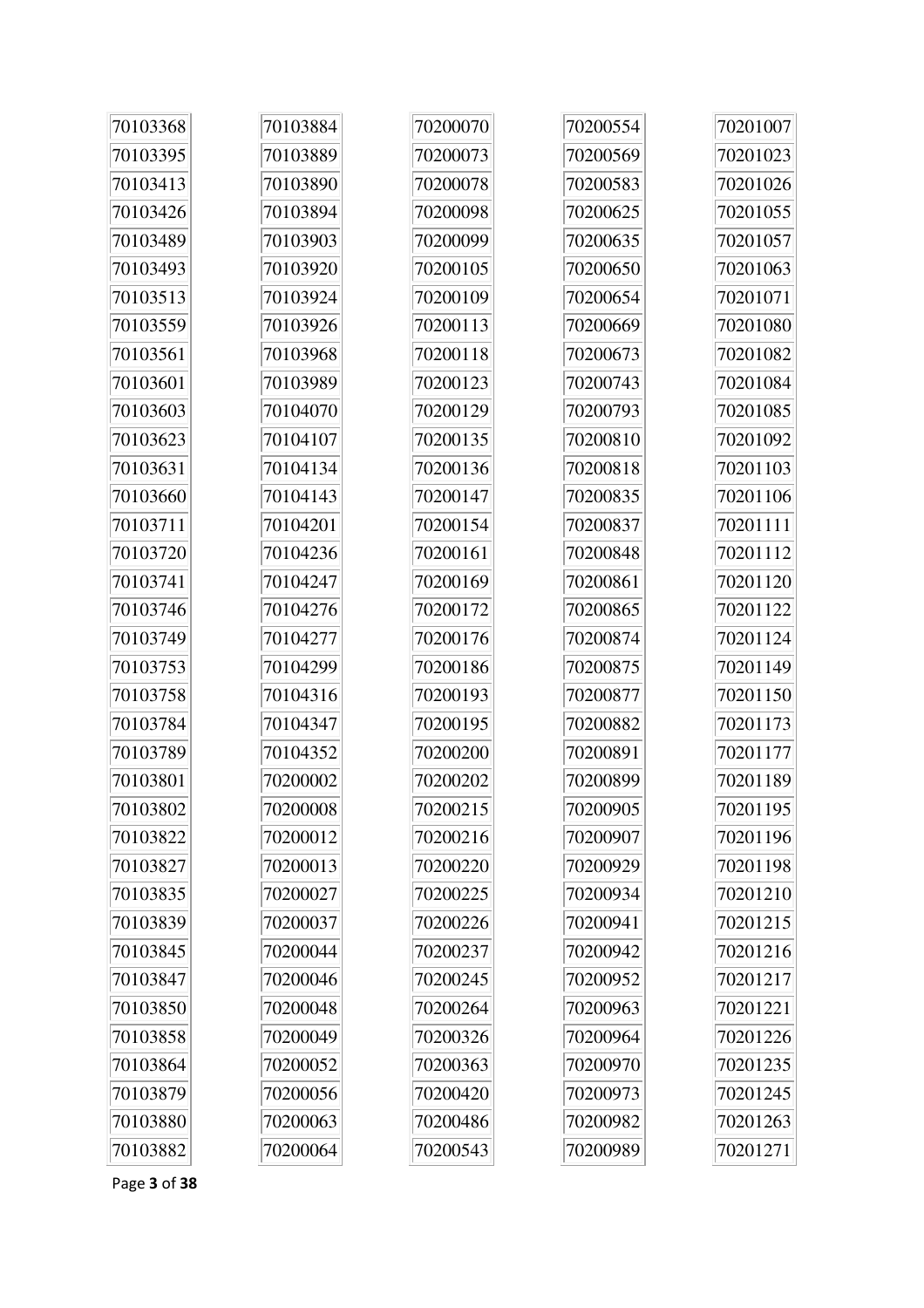| 70103368 | 70103884 | 70200070 | 70200554 | 70201007 |
|----------|----------|----------|----------|----------|
| 70103395 | 70103889 | 70200073 | 70200569 | 70201023 |
| 70103413 | 70103890 | 70200078 | 70200583 | 70201026 |
| 70103426 | 70103894 | 70200098 | 70200625 | 70201055 |
| 70103489 | 70103903 | 70200099 | 70200635 | 70201057 |
| 70103493 | 70103920 | 70200105 | 70200650 | 70201063 |
| 70103513 | 70103924 | 70200109 | 70200654 | 70201071 |
| 70103559 | 70103926 | 70200113 | 70200669 | 70201080 |
| 70103561 | 70103968 | 70200118 | 70200673 | 70201082 |
| 70103601 | 70103989 | 70200123 | 70200743 | 70201084 |
| 70103603 | 70104070 | 70200129 | 70200793 | 70201085 |
| 70103623 | 70104107 | 70200135 | 70200810 | 70201092 |
| 70103631 | 70104134 | 70200136 | 70200818 | 70201103 |
| 70103660 | 70104143 | 70200147 | 70200835 | 70201106 |
| 70103711 | 70104201 | 70200154 | 70200837 | 70201111 |
| 70103720 | 70104236 | 70200161 | 70200848 | 70201112 |
| 70103741 | 70104247 | 70200169 | 70200861 | 70201120 |
| 70103746 | 70104276 | 70200172 | 70200865 | 70201122 |
| 70103749 | 70104277 | 70200176 | 70200874 | 70201124 |
| 70103753 | 70104299 | 70200186 | 70200875 | 70201149 |
| 70103758 | 70104316 | 70200193 | 70200877 | 70201150 |
| 70103784 | 70104347 | 70200195 | 70200882 | 70201173 |
| 70103789 | 70104352 | 70200200 | 70200891 | 70201177 |
| 70103801 | 70200002 | 70200202 | 70200899 | 70201189 |
| 70103802 | 70200008 | 70200215 | 70200905 | 70201195 |
| 70103822 | 70200012 | 70200216 | 70200907 | 70201196 |
| 70103827 | 70200013 | 70200220 | 70200929 | 70201198 |
| 70103835 | 70200027 | 70200225 | 70200934 | 70201210 |
| 70103839 | 70200037 | 70200226 | 70200941 | 70201215 |
| 70103845 | 70200044 | 70200237 | 70200942 | 70201216 |
| 70103847 | 70200046 | 70200245 | 70200952 | 70201217 |
| 70103850 | 70200048 | 70200264 | 70200963 | 70201221 |
| 70103858 | 70200049 | 70200326 | 70200964 | 70201226 |
| 70103864 | 70200052 | 70200363 | 70200970 | 70201235 |
| 70103879 | 70200056 | 70200420 | 70200973 | 70201245 |
| 70103880 | 70200063 | 70200486 | 70200982 | 70201263 |
| 70103882 | 70200064 | 70200543 | 70200989 | 70201271 |

Page **3** of **38**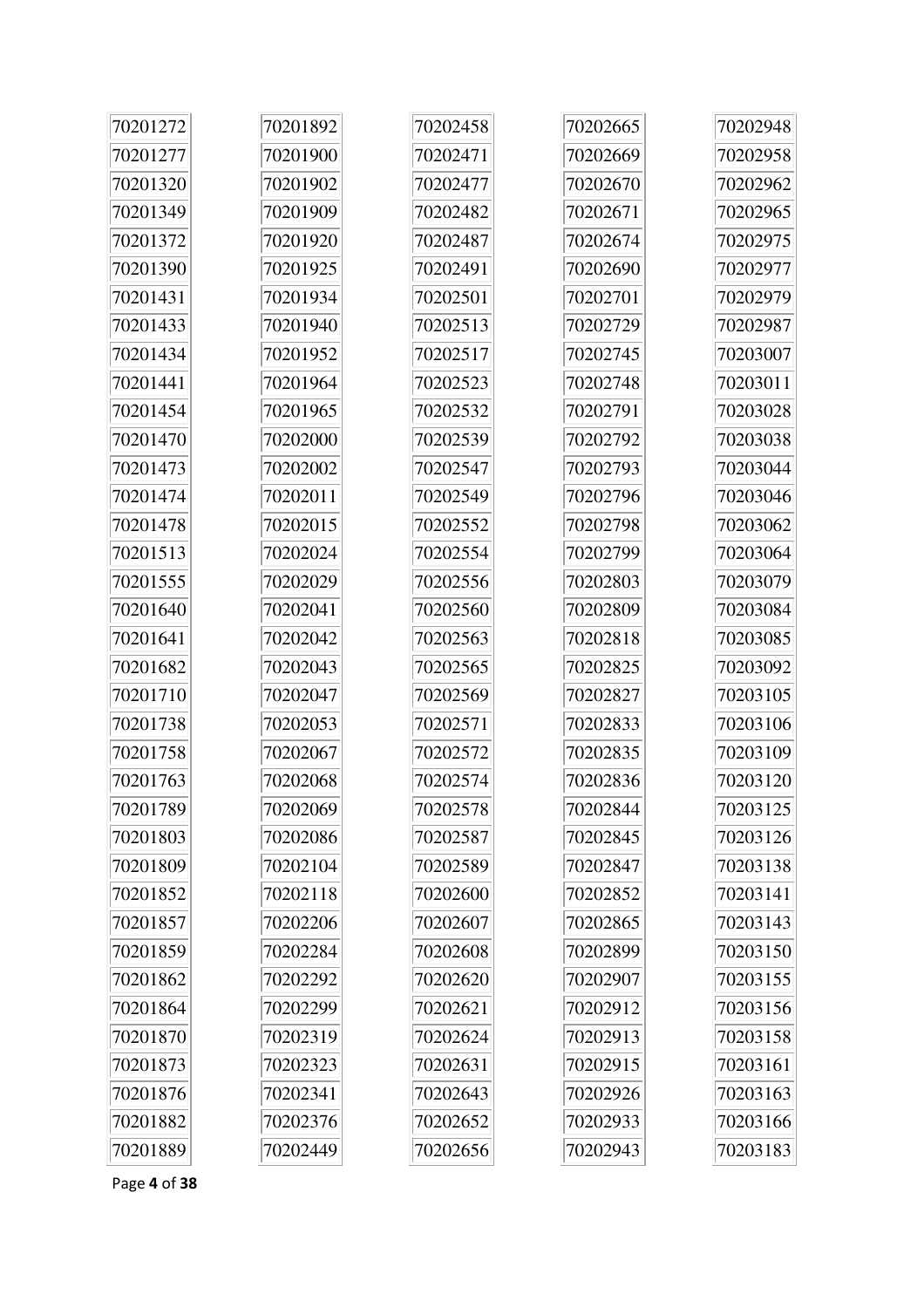| 70201272 | 70201892 | 70202458 | 70202665 | 70202948 |
|----------|----------|----------|----------|----------|
| 70201277 | 70201900 | 70202471 | 70202669 | 70202958 |
| 70201320 | 70201902 | 70202477 | 70202670 | 70202962 |
| 70201349 | 70201909 | 70202482 | 70202671 | 70202965 |
| 70201372 | 70201920 | 70202487 | 70202674 | 70202975 |
| 70201390 | 70201925 | 70202491 | 70202690 | 70202977 |
| 70201431 | 70201934 | 70202501 | 70202701 | 70202979 |
| 70201433 | 70201940 | 70202513 | 70202729 | 70202987 |
| 70201434 | 70201952 | 70202517 | 70202745 | 70203007 |
| 70201441 | 70201964 | 70202523 | 70202748 | 70203011 |
| 70201454 | 70201965 | 70202532 | 70202791 | 70203028 |
| 70201470 | 70202000 | 70202539 | 70202792 | 70203038 |
| 70201473 | 70202002 | 70202547 | 70202793 | 70203044 |
| 70201474 | 70202011 | 70202549 | 70202796 | 70203046 |
| 70201478 | 70202015 | 70202552 | 70202798 | 70203062 |
| 70201513 | 70202024 | 70202554 | 70202799 | 70203064 |
| 70201555 | 70202029 | 70202556 | 70202803 | 70203079 |
| 70201640 | 70202041 | 70202560 | 70202809 | 70203084 |
| 70201641 | 70202042 | 70202563 | 70202818 | 70203085 |
| 70201682 | 70202043 | 70202565 | 70202825 | 70203092 |
| 70201710 | 70202047 | 70202569 | 70202827 | 70203105 |
| 70201738 | 70202053 | 70202571 | 70202833 | 70203106 |
| 70201758 | 70202067 | 70202572 | 70202835 | 70203109 |
| 70201763 | 70202068 | 70202574 | 70202836 | 70203120 |
| 70201789 | 70202069 | 70202578 | 70202844 | 70203125 |
| 70201803 | 70202086 | 70202587 | 70202845 | 70203126 |
| 70201809 | 70202104 | 70202589 | 70202847 | 70203138 |
| 70201852 | 70202118 | 70202600 | 70202852 | 70203141 |
| 70201857 | 70202206 | 70202607 | 70202865 | 70203143 |
| 70201859 | 70202284 | 70202608 | 70202899 | 70203150 |
| 70201862 | 70202292 | 70202620 | 70202907 | 70203155 |
| 70201864 | 70202299 | 70202621 | 70202912 | 70203156 |
| 70201870 | 70202319 | 70202624 | 70202913 | 70203158 |
| 70201873 | 70202323 | 70202631 | 70202915 | 70203161 |
| 70201876 | 70202341 | 70202643 | 70202926 | 70203163 |
| 70201882 | 70202376 | 70202652 | 70202933 | 70203166 |
| 70201889 | 70202449 | 70202656 | 70202943 | 70203183 |

Page **4** of **38**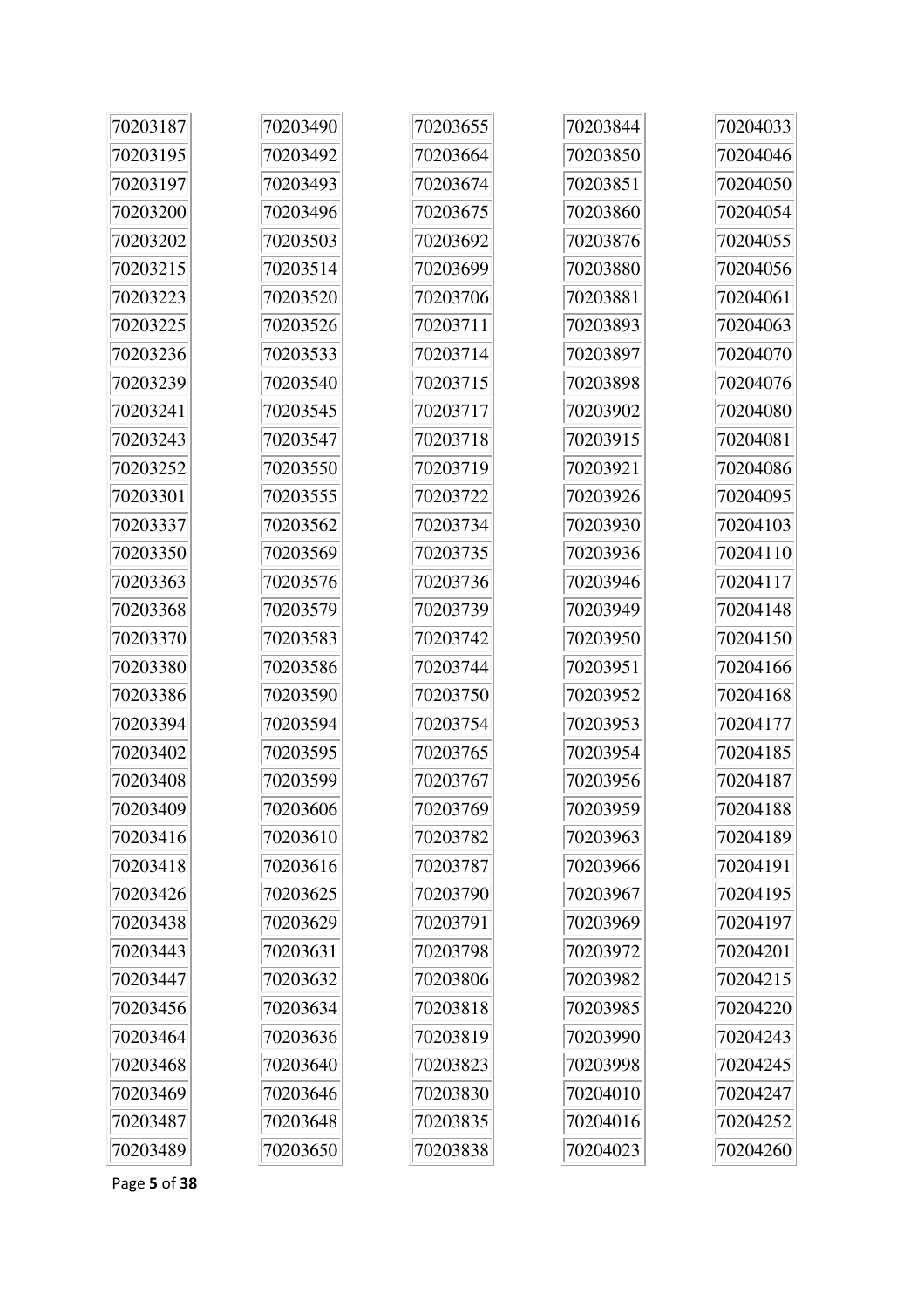| 70203187 | 70203490 | 70203655 | 70203844 | 70204033 |
|----------|----------|----------|----------|----------|
| 70203195 | 70203492 | 70203664 | 70203850 | 70204046 |
| 70203197 | 70203493 | 70203674 | 70203851 | 70204050 |
| 70203200 | 70203496 | 70203675 | 70203860 | 70204054 |
| 70203202 | 70203503 | 70203692 | 70203876 | 70204055 |
| 70203215 | 70203514 | 70203699 | 70203880 | 70204056 |
| 70203223 | 70203520 | 70203706 | 70203881 | 70204061 |
| 70203225 | 70203526 | 70203711 | 70203893 | 70204063 |
| 70203236 | 70203533 | 70203714 | 70203897 | 70204070 |
| 70203239 | 70203540 | 70203715 | 70203898 | 70204076 |
| 70203241 | 70203545 | 70203717 | 70203902 | 70204080 |
| 70203243 | 70203547 | 70203718 | 70203915 | 70204081 |
| 70203252 | 70203550 | 70203719 | 70203921 | 70204086 |
| 70203301 | 70203555 | 70203722 | 70203926 | 70204095 |
| 70203337 | 70203562 | 70203734 | 70203930 | 70204103 |
| 70203350 | 70203569 | 70203735 | 70203936 | 70204110 |
| 70203363 | 70203576 | 70203736 | 70203946 | 70204117 |
| 70203368 | 70203579 | 70203739 | 70203949 | 70204148 |
| 70203370 | 70203583 | 70203742 | 70203950 | 70204150 |
| 70203380 | 70203586 | 70203744 | 70203951 | 70204166 |
| 70203386 | 70203590 | 70203750 | 70203952 | 70204168 |
| 70203394 | 70203594 | 70203754 | 70203953 | 70204177 |
| 70203402 | 70203595 | 70203765 | 70203954 | 70204185 |
| 70203408 | 70203599 | 70203767 | 70203956 | 70204187 |
| 70203409 | 70203606 | 70203769 | 70203959 | 70204188 |
| 70203416 | 70203610 | 70203782 | 70203963 | 70204189 |
| 70203418 | 70203616 | 70203787 | 70203966 | 70204191 |
| 70203426 | 70203625 | 70203790 | 70203967 | 70204195 |
| 70203438 | 70203629 | 70203791 | 70203969 | 70204197 |
| 70203443 | 70203631 | 70203798 | 70203972 | 70204201 |
| 70203447 | 70203632 | 70203806 | 70203982 | 70204215 |
| 70203456 | 70203634 | 70203818 | 70203985 | 70204220 |
| 70203464 | 70203636 | 70203819 | 70203990 | 70204243 |
| 70203468 | 70203640 | 70203823 | 70203998 | 70204245 |
| 70203469 | 70203646 | 70203830 | 70204010 | 70204247 |
| 70203487 | 70203648 | 70203835 | 70204016 | 70204252 |
| 70203489 | 70203650 | 70203838 | 70204023 | 70204260 |

Page **5** of **38**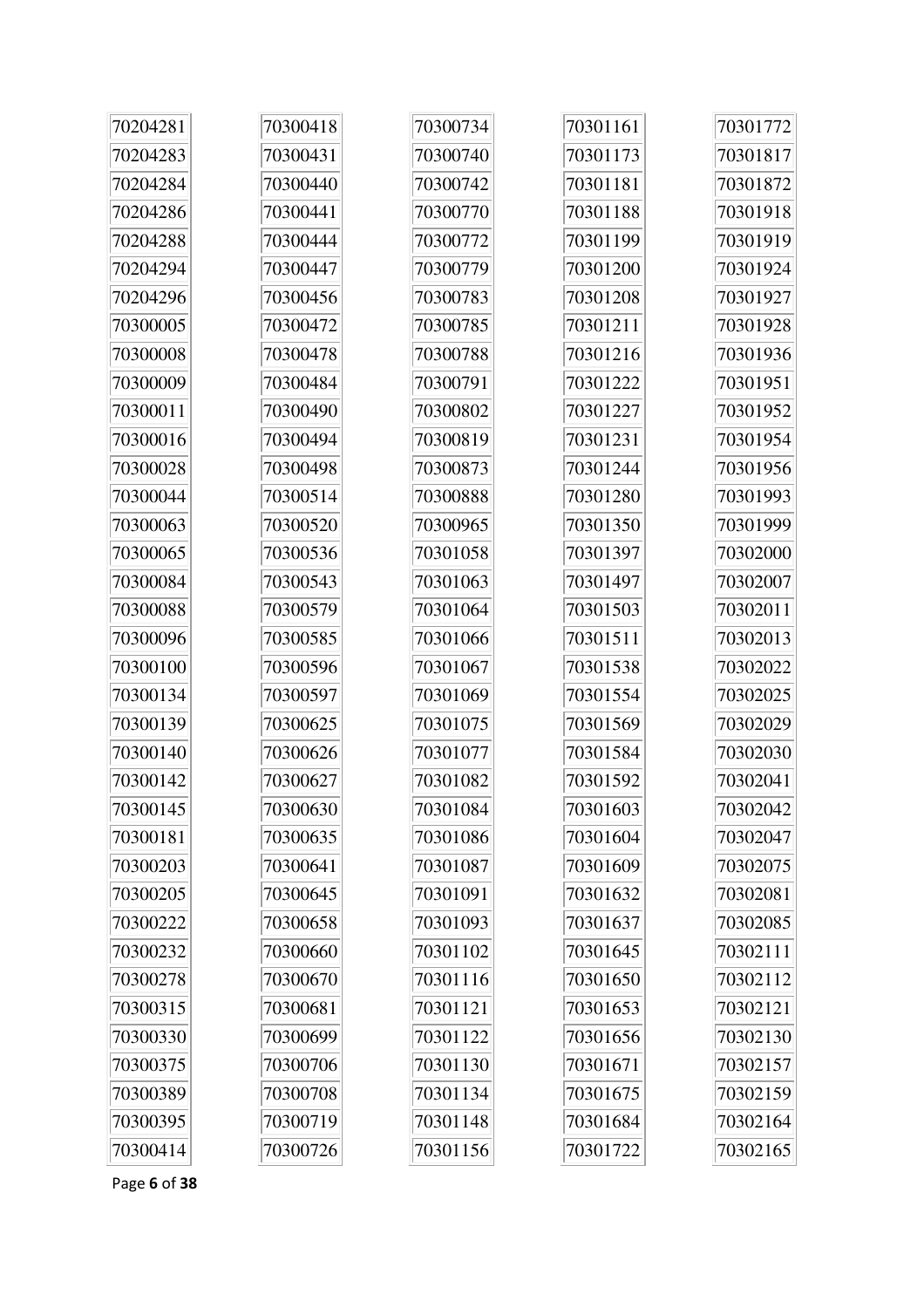| 70204281 | 70300418 | 70300734 | 70301161 | 70301772 |
|----------|----------|----------|----------|----------|
| 70204283 | 70300431 | 70300740 | 70301173 | 70301817 |
| 70204284 | 70300440 | 70300742 | 70301181 | 70301872 |
| 70204286 | 70300441 | 70300770 | 70301188 | 70301918 |
| 70204288 | 70300444 | 70300772 | 70301199 | 70301919 |
| 70204294 | 70300447 | 70300779 | 70301200 | 70301924 |
| 70204296 | 70300456 | 70300783 | 70301208 | 70301927 |
| 70300005 | 70300472 | 70300785 | 70301211 | 70301928 |
| 70300008 | 70300478 | 70300788 | 70301216 | 70301936 |
| 70300009 | 70300484 | 70300791 | 70301222 | 70301951 |
| 70300011 | 70300490 | 70300802 | 70301227 | 70301952 |
| 70300016 | 70300494 | 70300819 | 70301231 | 70301954 |
| 70300028 | 70300498 | 70300873 | 70301244 | 70301956 |
| 70300044 | 70300514 | 70300888 | 70301280 | 70301993 |
| 70300063 | 70300520 | 70300965 | 70301350 | 70301999 |
| 70300065 | 70300536 | 70301058 | 70301397 | 70302000 |
| 70300084 | 70300543 | 70301063 | 70301497 | 70302007 |
| 70300088 | 70300579 | 70301064 | 70301503 | 70302011 |
| 70300096 | 70300585 | 70301066 | 70301511 | 70302013 |
| 70300100 | 70300596 | 70301067 | 70301538 | 70302022 |
| 70300134 | 70300597 | 70301069 | 70301554 | 70302025 |
| 70300139 | 70300625 | 70301075 | 70301569 | 70302029 |
| 70300140 | 70300626 | 70301077 | 70301584 | 70302030 |
| 70300142 | 70300627 | 70301082 | 70301592 | 70302041 |
| 70300145 | 70300630 | 70301084 | 70301603 | 70302042 |
| 70300181 | 70300635 | 70301086 | 70301604 | 70302047 |
| 70300203 | 70300641 | 70301087 | 70301609 | 70302075 |
| 70300205 | 70300645 | 70301091 | 70301632 | 70302081 |
| 70300222 | 70300658 | 70301093 | 70301637 | 70302085 |
| 70300232 | 70300660 | 70301102 | 70301645 | 70302111 |
| 70300278 | 70300670 | 70301116 | 70301650 | 70302112 |
| 70300315 | 70300681 | 70301121 | 70301653 | 70302121 |
| 70300330 | 70300699 | 70301122 | 70301656 | 70302130 |
| 70300375 | 70300706 | 70301130 | 70301671 | 70302157 |
| 70300389 | 70300708 | 70301134 | 70301675 | 70302159 |
| 70300395 | 70300719 | 70301148 | 70301684 | 70302164 |
| 70300414 | 70300726 | 70301156 | 70301722 | 70302165 |

Page 6 of 38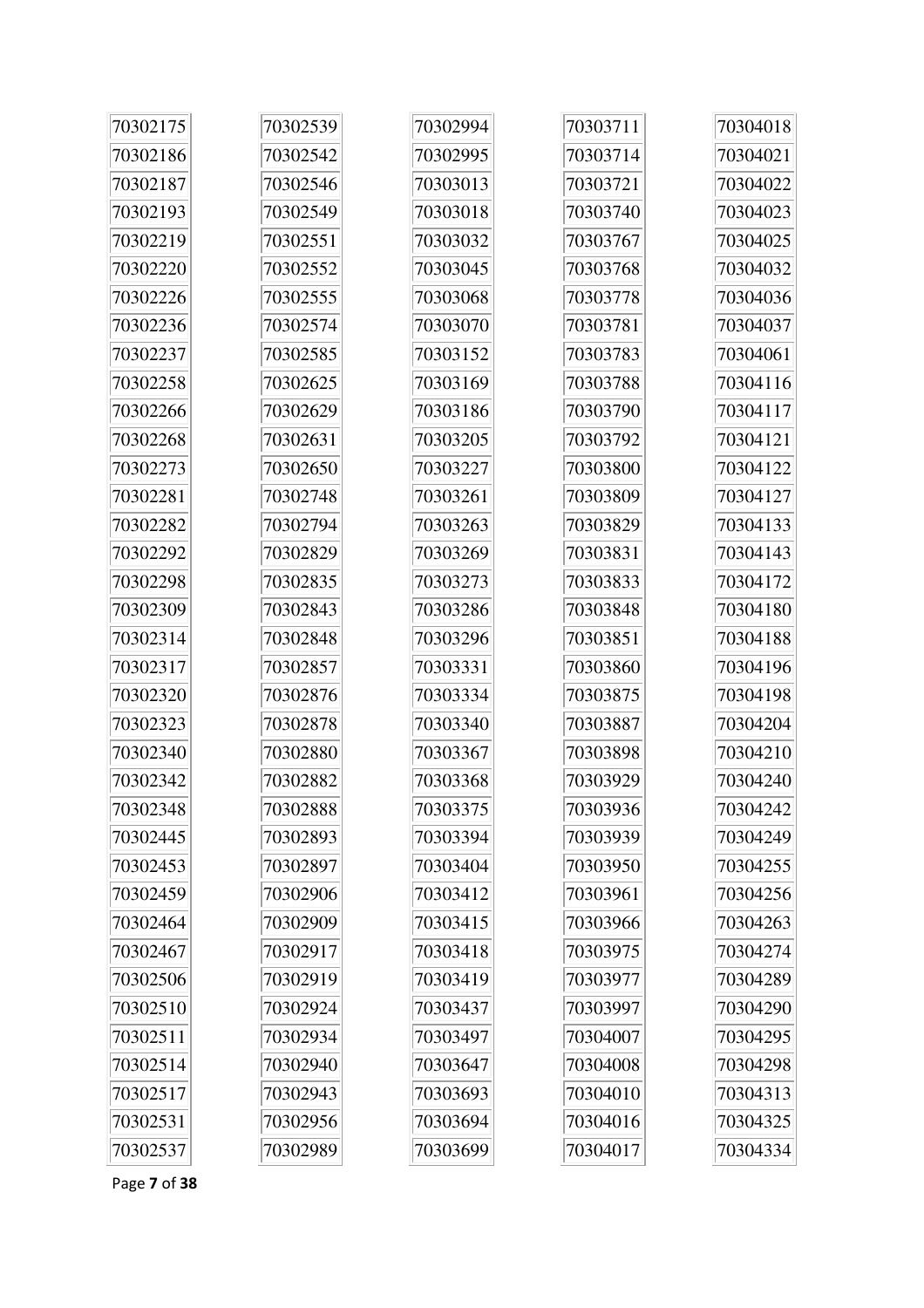| 70302175 | 70302539 | 70302994 | 70303711 | 70304018 |
|----------|----------|----------|----------|----------|
| 70302186 | 70302542 | 70302995 | 70303714 | 70304021 |
| 70302187 | 70302546 | 70303013 | 70303721 | 70304022 |
| 70302193 | 70302549 | 70303018 | 70303740 | 70304023 |
| 70302219 | 70302551 | 70303032 | 70303767 | 70304025 |
| 70302220 | 70302552 | 70303045 | 70303768 | 70304032 |
| 70302226 | 70302555 | 70303068 | 70303778 | 70304036 |
| 70302236 | 70302574 | 70303070 | 70303781 | 70304037 |
| 70302237 | 70302585 | 70303152 | 70303783 | 70304061 |
| 70302258 | 70302625 | 70303169 | 70303788 | 70304116 |
| 70302266 | 70302629 | 70303186 | 70303790 | 70304117 |
| 70302268 | 70302631 | 70303205 | 70303792 | 70304121 |
| 70302273 | 70302650 | 70303227 | 70303800 | 70304122 |
| 70302281 | 70302748 | 70303261 | 70303809 | 70304127 |
| 70302282 | 70302794 | 70303263 | 70303829 | 70304133 |
| 70302292 | 70302829 | 70303269 | 70303831 | 70304143 |
| 70302298 | 70302835 | 70303273 | 70303833 | 70304172 |
| 70302309 | 70302843 | 70303286 | 70303848 | 70304180 |
| 70302314 | 70302848 | 70303296 | 70303851 | 70304188 |
| 70302317 | 70302857 | 70303331 | 70303860 | 70304196 |
| 70302320 | 70302876 | 70303334 | 70303875 | 70304198 |
| 70302323 | 70302878 | 70303340 | 70303887 | 70304204 |
| 70302340 | 70302880 | 70303367 | 70303898 | 70304210 |
| 70302342 | 70302882 | 70303368 | 70303929 | 70304240 |
| 70302348 | 70302888 | 70303375 | 70303936 | 70304242 |
| 70302445 | 70302893 | 70303394 | 70303939 | 70304249 |
| 70302453 | 70302897 | 70303404 | 70303950 | 70304255 |
| 70302459 | 70302906 | 70303412 | 70303961 | 70304256 |
| 70302464 | 70302909 | 70303415 | 70303966 | 70304263 |
| 70302467 | 70302917 | 70303418 | 70303975 | 70304274 |
| 70302506 | 70302919 | 70303419 | 70303977 | 70304289 |
| 70302510 | 70302924 | 70303437 | 70303997 | 70304290 |
| 70302511 | 70302934 | 70303497 | 70304007 | 70304295 |
| 70302514 | 70302940 | 70303647 | 70304008 | 70304298 |
| 70302517 | 70302943 | 70303693 | 70304010 | 70304313 |
| 70302531 | 70302956 | 70303694 | 70304016 | 70304325 |
| 70302537 | 70302989 | 70303699 | 70304017 | 70304334 |

Page **7** of **38**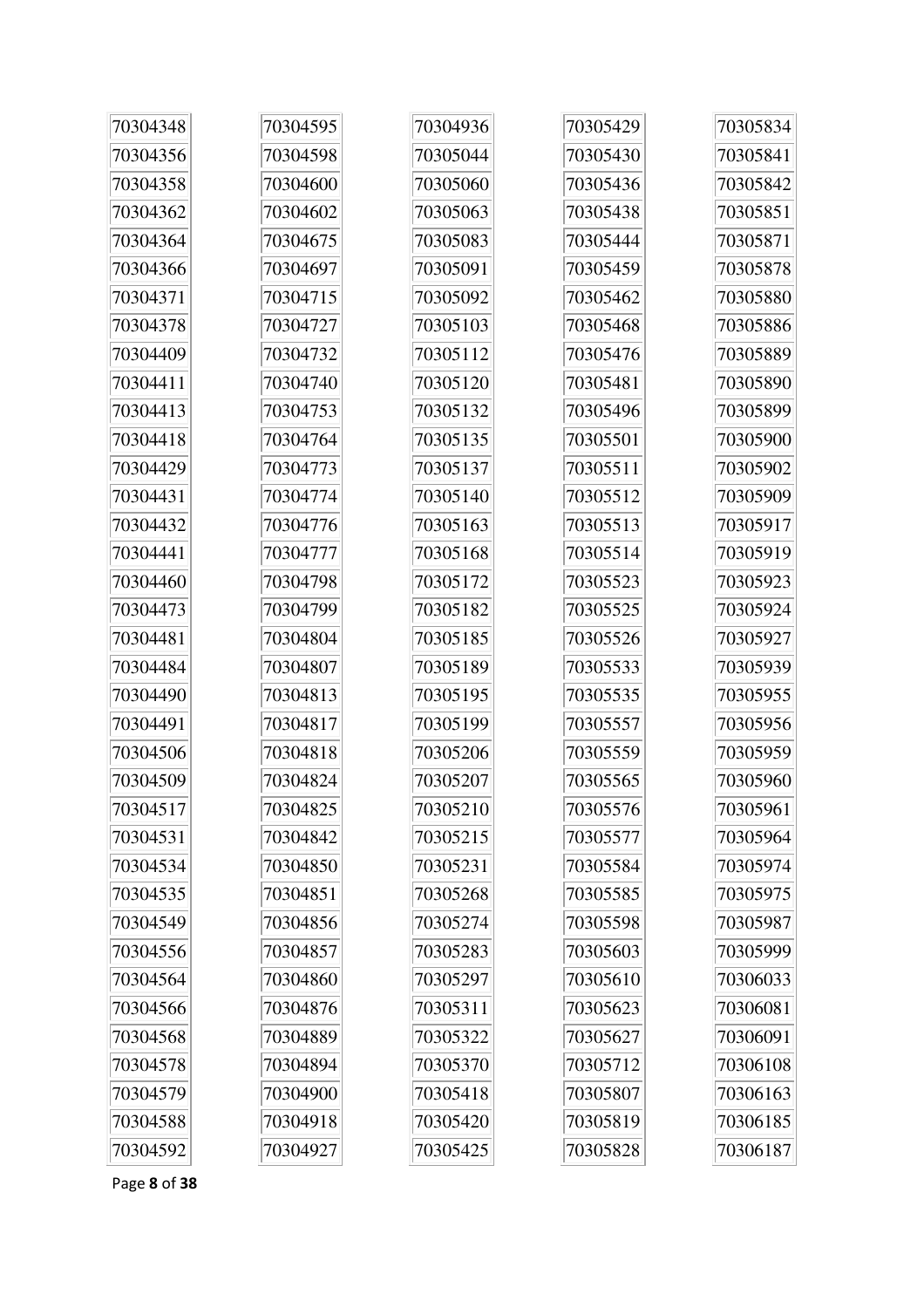| 70304348 | 70304595 | 70304936 | 70305429 | 70305834 |
|----------|----------|----------|----------|----------|
| 70304356 | 70304598 | 70305044 | 70305430 | 70305841 |
| 70304358 | 70304600 | 70305060 | 70305436 | 70305842 |
| 70304362 | 70304602 | 70305063 | 70305438 | 70305851 |
| 70304364 | 70304675 | 70305083 | 70305444 | 70305871 |
| 70304366 | 70304697 | 70305091 | 70305459 | 70305878 |
| 70304371 | 70304715 | 70305092 | 70305462 | 70305880 |
| 70304378 | 70304727 | 70305103 | 70305468 | 70305886 |
| 70304409 | 70304732 | 70305112 | 70305476 | 70305889 |
| 70304411 | 70304740 | 70305120 | 70305481 | 70305890 |
| 70304413 | 70304753 | 70305132 | 70305496 | 70305899 |
| 70304418 | 70304764 | 70305135 | 70305501 | 70305900 |
| 70304429 | 70304773 | 70305137 | 70305511 | 70305902 |
| 70304431 | 70304774 | 70305140 | 70305512 | 70305909 |
| 70304432 | 70304776 | 70305163 | 70305513 | 70305917 |
| 70304441 | 70304777 | 70305168 | 70305514 | 70305919 |
| 70304460 | 70304798 | 70305172 | 70305523 | 70305923 |
| 70304473 | 70304799 | 70305182 | 70305525 | 70305924 |
| 70304481 | 70304804 | 70305185 | 70305526 | 70305927 |
| 70304484 | 70304807 | 70305189 | 70305533 | 70305939 |
| 70304490 | 70304813 | 70305195 | 70305535 | 70305955 |
| 70304491 | 70304817 | 70305199 | 70305557 | 70305956 |
| 70304506 | 70304818 | 70305206 | 70305559 | 70305959 |
| 70304509 | 70304824 | 70305207 | 70305565 | 70305960 |
| 70304517 | 70304825 | 70305210 | 70305576 | 70305961 |
| 70304531 | 70304842 | 70305215 | 70305577 | 70305964 |
| 70304534 | 70304850 | 70305231 | 70305584 | 70305974 |
| 70304535 | 70304851 | 70305268 | 70305585 | 70305975 |
| 70304549 | 70304856 | 70305274 | 70305598 | 70305987 |
| 70304556 | 70304857 | 70305283 | 70305603 | 70305999 |
| 70304564 | 70304860 | 70305297 | 70305610 | 70306033 |
| 70304566 | 70304876 | 70305311 | 70305623 | 70306081 |
| 70304568 | 70304889 | 70305322 | 70305627 | 70306091 |
| 70304578 | 70304894 | 70305370 | 70305712 | 70306108 |
| 70304579 | 70304900 | 70305418 | 70305807 | 70306163 |
| 70304588 | 70304918 | 70305420 | 70305819 | 70306185 |
| 70304592 | 70304927 | 70305425 | 70305828 | 70306187 |

Page **8** of **38**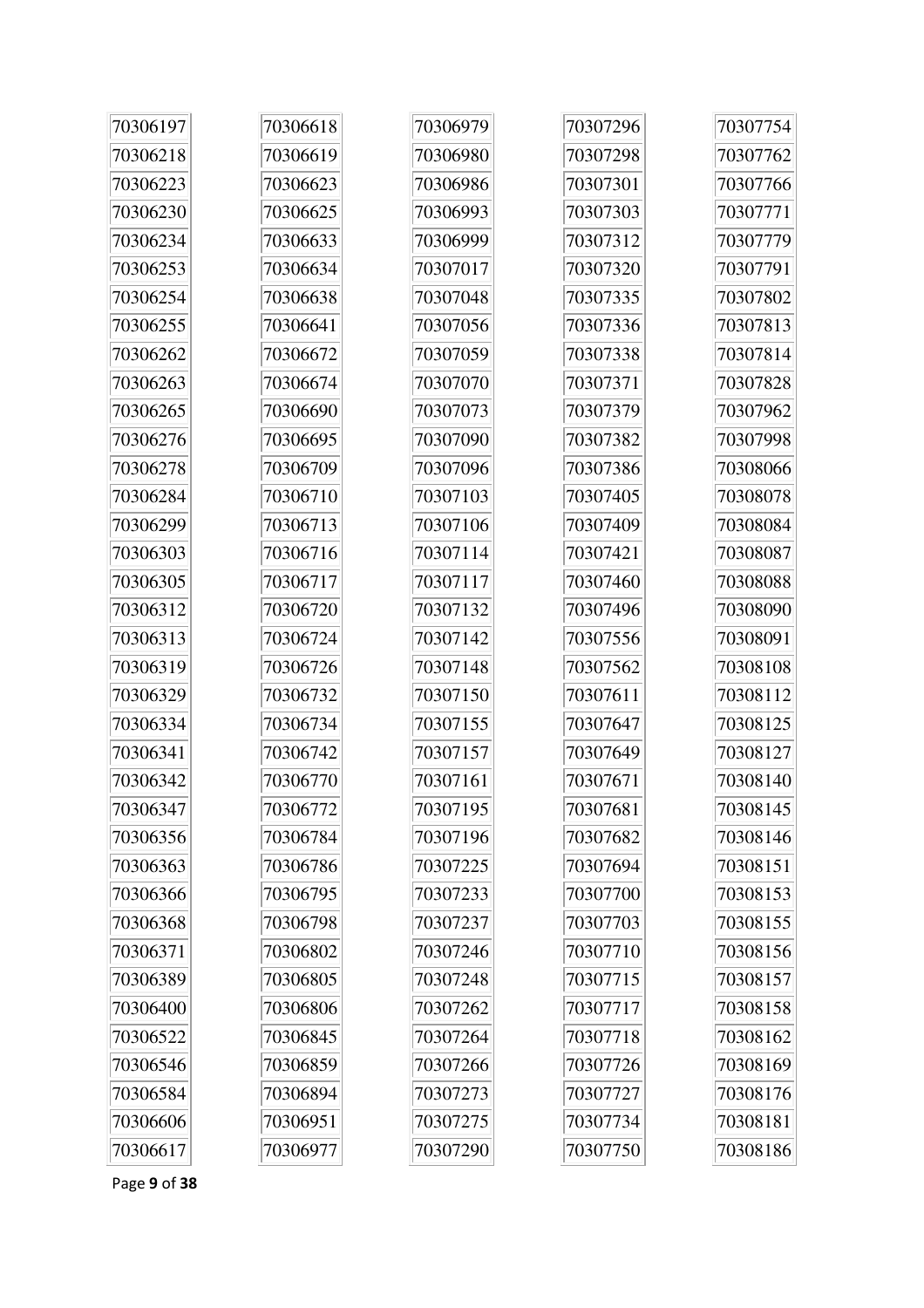| 70306197 | 70306618 | 70306979 | 70307296 | 70307754 |
|----------|----------|----------|----------|----------|
| 70306218 | 70306619 | 70306980 | 70307298 | 70307762 |
| 70306223 | 70306623 | 70306986 | 70307301 | 70307766 |
| 70306230 | 70306625 | 70306993 | 70307303 | 70307771 |
| 70306234 | 70306633 | 70306999 | 70307312 | 70307779 |
| 70306253 | 70306634 | 70307017 | 70307320 | 70307791 |
| 70306254 | 70306638 | 70307048 | 70307335 | 70307802 |
| 70306255 | 70306641 | 70307056 | 70307336 | 70307813 |
| 70306262 | 70306672 | 70307059 | 70307338 | 70307814 |
| 70306263 | 70306674 | 70307070 | 70307371 | 70307828 |
| 70306265 | 70306690 | 70307073 | 70307379 | 70307962 |
| 70306276 | 70306695 | 70307090 | 70307382 | 70307998 |
| 70306278 | 70306709 | 70307096 | 70307386 | 70308066 |
| 70306284 | 70306710 | 70307103 | 70307405 | 70308078 |
| 70306299 | 70306713 | 70307106 | 70307409 | 70308084 |
| 70306303 | 70306716 | 70307114 | 70307421 | 70308087 |
| 70306305 | 70306717 | 70307117 | 70307460 | 70308088 |
| 70306312 | 70306720 | 70307132 | 70307496 | 70308090 |
| 70306313 | 70306724 | 70307142 | 70307556 | 70308091 |
| 70306319 | 70306726 | 70307148 | 70307562 | 70308108 |
| 70306329 | 70306732 | 70307150 | 70307611 | 70308112 |
| 70306334 | 70306734 | 70307155 | 70307647 | 70308125 |
| 70306341 | 70306742 | 70307157 | 70307649 | 70308127 |
| 70306342 | 70306770 | 70307161 | 70307671 | 70308140 |
| 70306347 | 70306772 | 70307195 | 70307681 | 70308145 |
| 70306356 | 70306784 | 70307196 | 70307682 | 70308146 |
| 70306363 | 70306786 | 70307225 | 70307694 | 70308151 |
| 70306366 | 70306795 | 70307233 | 70307700 | 70308153 |
| 70306368 | 70306798 | 70307237 | 70307703 | 70308155 |
| 70306371 | 70306802 | 70307246 | 70307710 | 70308156 |
| 70306389 | 70306805 | 70307248 | 70307715 | 70308157 |
| 70306400 | 70306806 | 70307262 | 70307717 | 70308158 |
| 70306522 | 70306845 | 70307264 | 70307718 | 70308162 |
| 70306546 | 70306859 | 70307266 | 70307726 | 70308169 |
| 70306584 | 70306894 | 70307273 | 70307727 | 70308176 |
| 70306606 | 70306951 | 70307275 | 70307734 | 70308181 |
| 70306617 | 70306977 | 70307290 | 70307750 | 70308186 |

Page **9** of **38**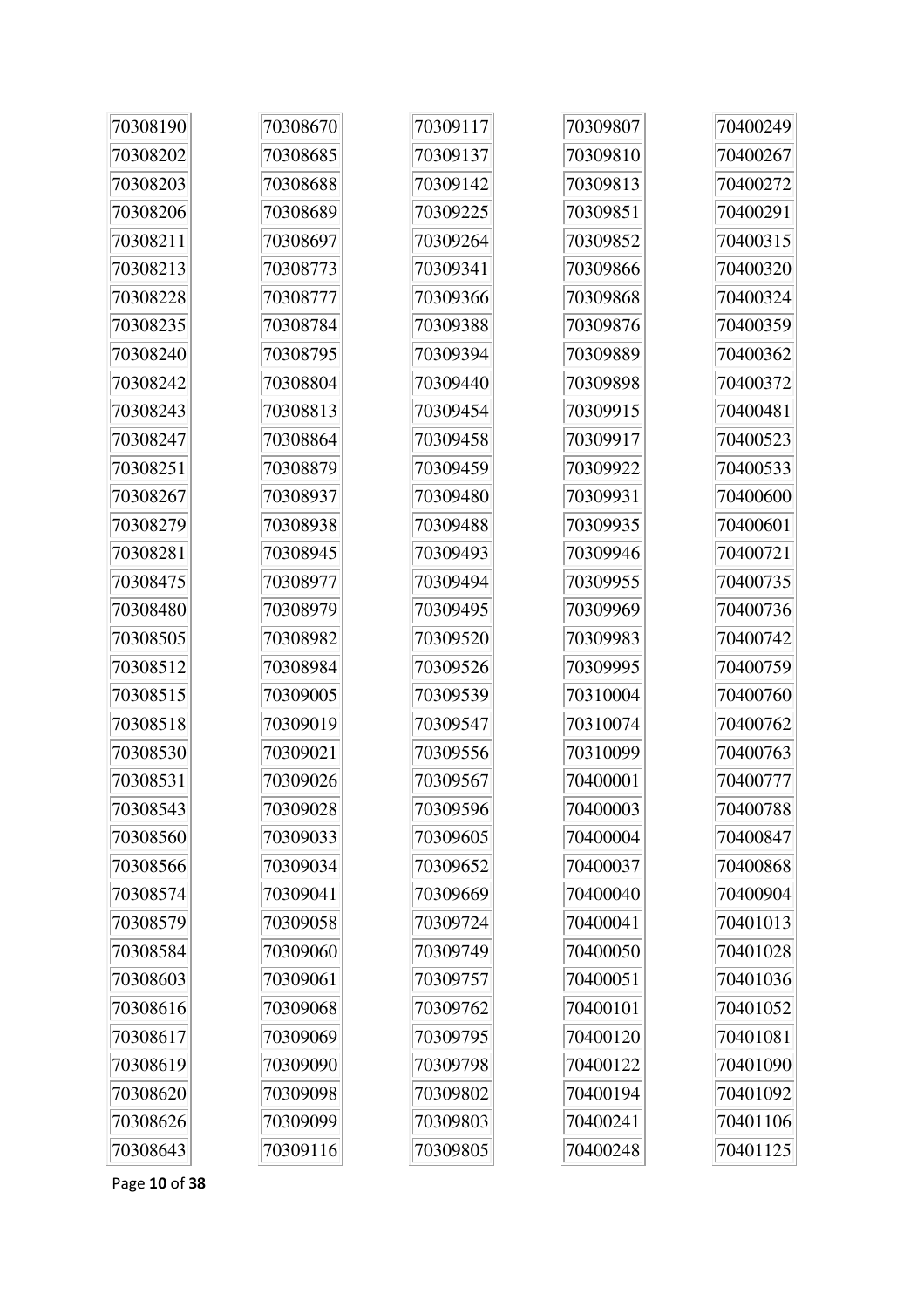| 70308190 | 70308670 | 70309117 | 70309807 | 70400249 |
|----------|----------|----------|----------|----------|
| 70308202 | 70308685 | 70309137 | 70309810 | 70400267 |
| 70308203 | 70308688 | 70309142 | 70309813 | 70400272 |
| 70308206 | 70308689 | 70309225 | 70309851 | 70400291 |
| 70308211 | 70308697 | 70309264 | 70309852 | 70400315 |
| 70308213 | 70308773 | 70309341 | 70309866 | 70400320 |
| 70308228 | 70308777 | 70309366 | 70309868 | 70400324 |
| 70308235 | 70308784 | 70309388 | 70309876 | 70400359 |
| 70308240 | 70308795 | 70309394 | 70309889 | 70400362 |
| 70308242 | 70308804 | 70309440 | 70309898 | 70400372 |
| 70308243 | 70308813 | 70309454 | 70309915 | 70400481 |
| 70308247 | 70308864 | 70309458 | 70309917 | 70400523 |
| 70308251 | 70308879 | 70309459 | 70309922 | 70400533 |
| 70308267 | 70308937 | 70309480 | 70309931 | 70400600 |
| 70308279 | 70308938 | 70309488 | 70309935 | 70400601 |
| 70308281 | 70308945 | 70309493 | 70309946 | 70400721 |
| 70308475 | 70308977 | 70309494 | 70309955 | 70400735 |
| 70308480 | 70308979 | 70309495 | 70309969 | 70400736 |
| 70308505 | 70308982 | 70309520 | 70309983 | 70400742 |
| 70308512 | 70308984 | 70309526 | 70309995 | 70400759 |
| 70308515 | 70309005 | 70309539 | 70310004 | 70400760 |
| 70308518 | 70309019 | 70309547 | 70310074 | 70400762 |
| 70308530 | 70309021 | 70309556 | 70310099 | 70400763 |
| 70308531 | 70309026 | 70309567 | 70400001 | 70400777 |
| 70308543 | 70309028 | 70309596 | 70400003 | 70400788 |
| 70308560 | 70309033 | 70309605 | 70400004 | 70400847 |
| 70308566 | 70309034 | 70309652 | 70400037 | 70400868 |
| 70308574 | 70309041 | 70309669 | 70400040 | 70400904 |
| 70308579 | 70309058 | 70309724 | 70400041 | 70401013 |
| 70308584 | 70309060 | 70309749 | 70400050 | 70401028 |
| 70308603 | 70309061 | 70309757 | 70400051 | 70401036 |
| 70308616 | 70309068 | 70309762 | 70400101 | 70401052 |
| 70308617 | 70309069 | 70309795 | 70400120 | 70401081 |
| 70308619 | 70309090 | 70309798 | 70400122 | 70401090 |
| 70308620 | 70309098 | 70309802 | 70400194 | 70401092 |
| 70308626 | 70309099 | 70309803 | 70400241 | 70401106 |
| 70308643 | 70309116 | 70309805 | 70400248 | 70401125 |

Page **10** of **38**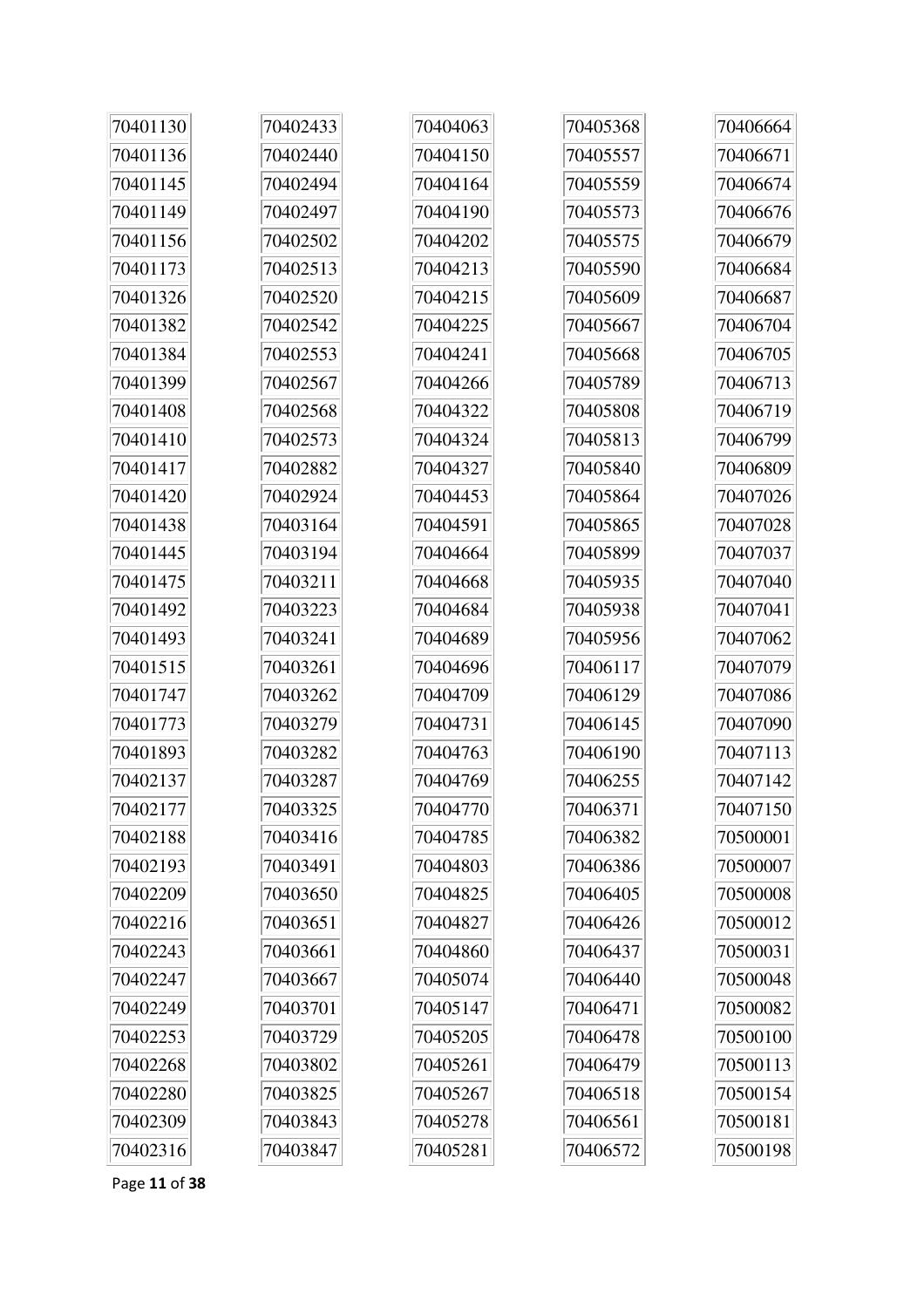| 70401130 | 70402433 | 70404063 | 70405368 | 70406664 |
|----------|----------|----------|----------|----------|
| 70401136 | 70402440 | 70404150 | 70405557 | 70406671 |
| 70401145 | 70402494 | 70404164 | 70405559 | 70406674 |
| 70401149 | 70402497 | 70404190 | 70405573 | 70406676 |
| 70401156 | 70402502 | 70404202 | 70405575 | 70406679 |
| 70401173 | 70402513 | 70404213 | 70405590 | 70406684 |
| 70401326 | 70402520 | 70404215 | 70405609 | 70406687 |
| 70401382 | 70402542 | 70404225 | 70405667 | 70406704 |
| 70401384 | 70402553 | 70404241 | 70405668 | 70406705 |
| 70401399 | 70402567 | 70404266 | 70405789 | 70406713 |
| 70401408 | 70402568 | 70404322 | 70405808 | 70406719 |
| 70401410 | 70402573 | 70404324 | 70405813 | 70406799 |
| 70401417 | 70402882 | 70404327 | 70405840 | 70406809 |
| 70401420 | 70402924 | 70404453 | 70405864 | 70407026 |
| 70401438 | 70403164 | 70404591 | 70405865 | 70407028 |
| 70401445 | 70403194 | 70404664 | 70405899 | 70407037 |
| 70401475 | 70403211 | 70404668 | 70405935 | 70407040 |
| 70401492 | 70403223 | 70404684 | 70405938 | 70407041 |
| 70401493 | 70403241 | 70404689 | 70405956 | 70407062 |
| 70401515 | 70403261 | 70404696 | 70406117 | 70407079 |
| 70401747 | 70403262 | 70404709 | 70406129 | 70407086 |
| 70401773 | 70403279 | 70404731 | 70406145 | 70407090 |
| 70401893 | 70403282 | 70404763 | 70406190 | 70407113 |
| 70402137 | 70403287 | 70404769 | 70406255 | 70407142 |
| 70402177 | 70403325 | 70404770 | 70406371 | 70407150 |
| 70402188 | 70403416 | 70404785 | 70406382 | 70500001 |
| 70402193 | 70403491 | 70404803 | 70406386 | 70500007 |
| 70402209 | 70403650 | 70404825 | 70406405 | 70500008 |
| 70402216 | 70403651 | 70404827 | 70406426 | 70500012 |
| 70402243 | 70403661 | 70404860 | 70406437 | 70500031 |
| 70402247 | 70403667 | 70405074 | 70406440 | 70500048 |
| 70402249 | 70403701 | 70405147 | 70406471 | 70500082 |
| 70402253 | 70403729 | 70405205 | 70406478 | 70500100 |
| 70402268 | 70403802 | 70405261 | 70406479 | 70500113 |
| 70402280 | 70403825 | 70405267 | 70406518 | 70500154 |
| 70402309 | 70403843 | 70405278 | 70406561 | 70500181 |
| 70402316 | 70403847 | 70405281 | 70406572 | 70500198 |

Page **11** of **38**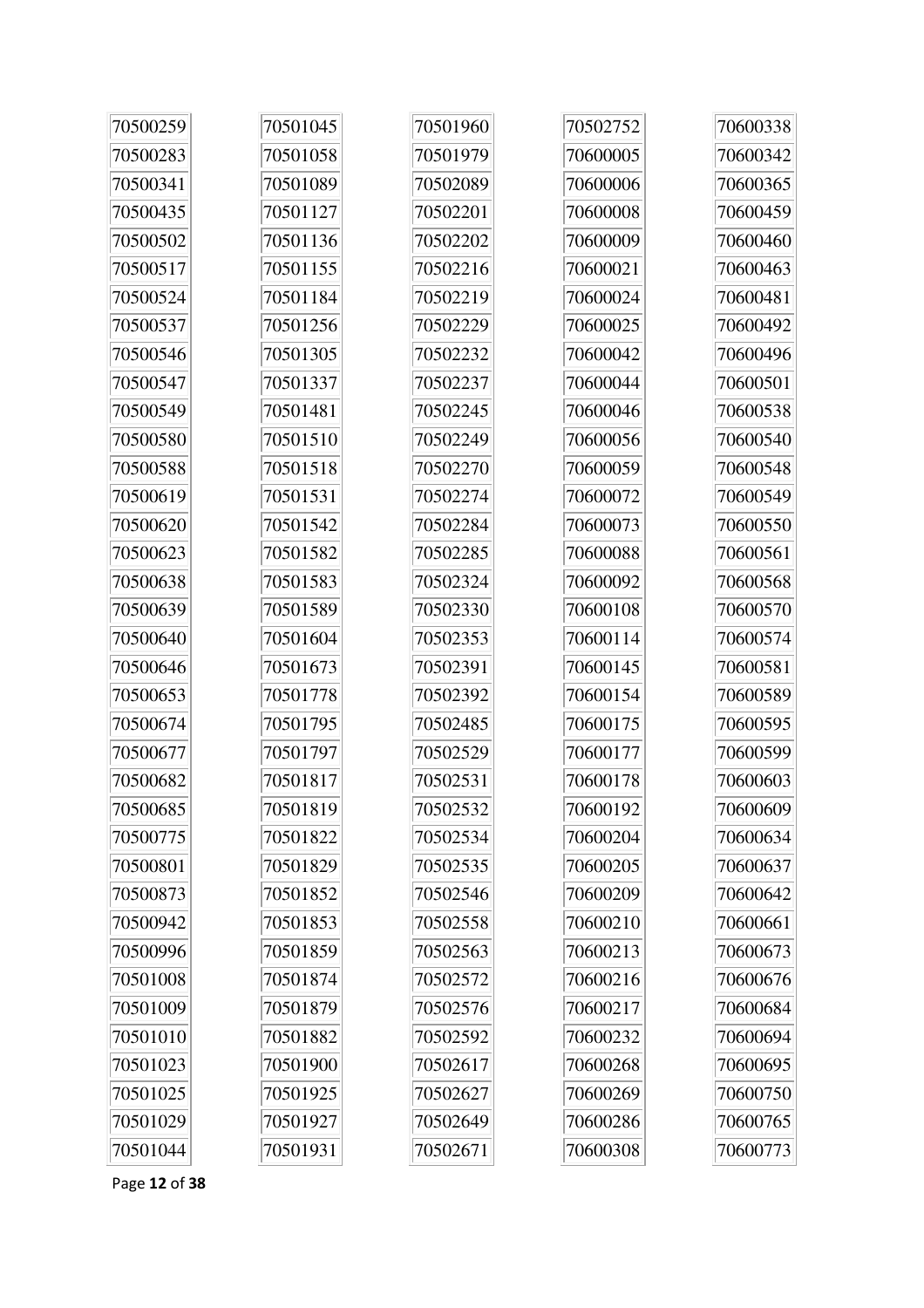| 70500259 | 70501045 | 70501960 | 70502752 | 70600338 |
|----------|----------|----------|----------|----------|
| 70500283 | 70501058 | 70501979 | 70600005 | 70600342 |
| 70500341 | 70501089 | 70502089 | 70600006 | 70600365 |
| 70500435 | 70501127 | 70502201 | 70600008 | 70600459 |
| 70500502 | 70501136 | 70502202 | 70600009 | 70600460 |
| 70500517 | 70501155 | 70502216 | 70600021 | 70600463 |
| 70500524 | 70501184 | 70502219 | 70600024 | 70600481 |
| 70500537 | 70501256 | 70502229 | 70600025 | 70600492 |
| 70500546 | 70501305 | 70502232 | 70600042 | 70600496 |
| 70500547 | 70501337 | 70502237 | 70600044 | 70600501 |
| 70500549 | 70501481 | 70502245 | 70600046 | 70600538 |
| 70500580 | 70501510 | 70502249 | 70600056 | 70600540 |
| 70500588 | 70501518 | 70502270 | 70600059 | 70600548 |
| 70500619 | 70501531 | 70502274 | 70600072 | 70600549 |
| 70500620 | 70501542 | 70502284 | 70600073 | 70600550 |
| 70500623 | 70501582 | 70502285 | 70600088 | 70600561 |
| 70500638 | 70501583 | 70502324 | 70600092 | 70600568 |
| 70500639 | 70501589 | 70502330 | 70600108 | 70600570 |
| 70500640 | 70501604 | 70502353 | 70600114 | 70600574 |
| 70500646 | 70501673 | 70502391 | 70600145 | 70600581 |
| 70500653 | 70501778 | 70502392 | 70600154 | 70600589 |
| 70500674 | 70501795 | 70502485 | 70600175 | 70600595 |
| 70500677 | 70501797 | 70502529 | 70600177 | 70600599 |
| 70500682 | 70501817 | 70502531 | 70600178 | 70600603 |
| 70500685 | 70501819 | 70502532 | 70600192 | 70600609 |
| 70500775 | 70501822 | 70502534 | 70600204 | 70600634 |
| 70500801 | 70501829 | 70502535 | 70600205 | 70600637 |
| 70500873 | 70501852 | 70502546 | 70600209 | 70600642 |
| 70500942 | 70501853 | 70502558 | 70600210 | 70600661 |
| 70500996 | 70501859 | 70502563 | 70600213 | 70600673 |
| 70501008 | 70501874 | 70502572 | 70600216 | 70600676 |
| 70501009 | 70501879 | 70502576 | 70600217 | 70600684 |
| 70501010 | 70501882 | 70502592 | 70600232 | 70600694 |
| 70501023 | 70501900 | 70502617 | 70600268 | 70600695 |
| 70501025 | 70501925 | 70502627 | 70600269 | 70600750 |
| 70501029 | 70501927 | 70502649 | 70600286 | 70600765 |
| 70501044 | 70501931 | 70502671 | 70600308 | 70600773 |

Page 12 of 38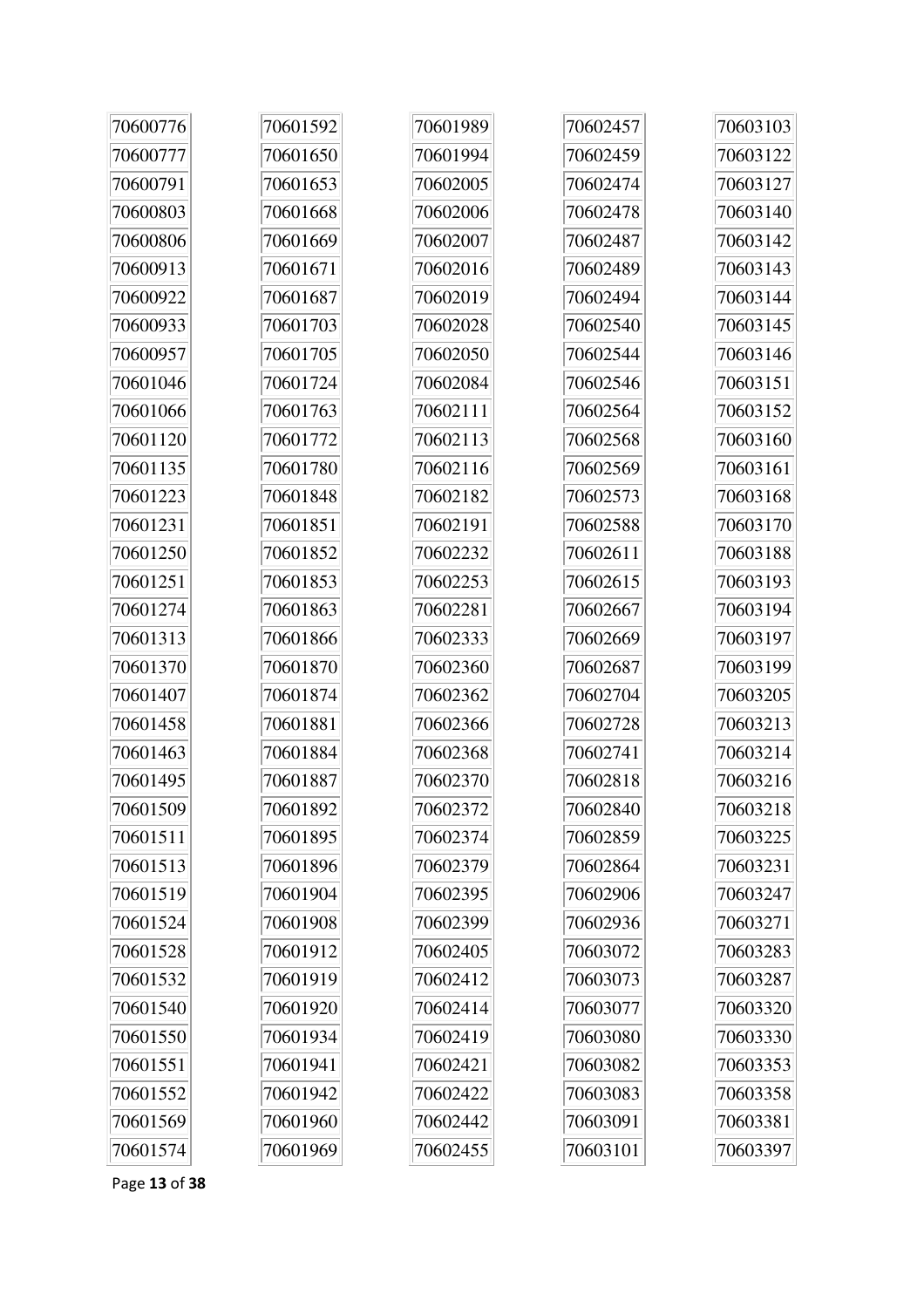| 70600776 | 70601592 | 70601989 | 70602457 | 70603103 |
|----------|----------|----------|----------|----------|
| 70600777 | 70601650 | 70601994 | 70602459 | 70603122 |
| 70600791 | 70601653 | 70602005 | 70602474 | 70603127 |
| 70600803 | 70601668 | 70602006 | 70602478 | 70603140 |
| 70600806 | 70601669 | 70602007 | 70602487 | 70603142 |
| 70600913 | 70601671 | 70602016 | 70602489 | 70603143 |
| 70600922 | 70601687 | 70602019 | 70602494 | 70603144 |
| 70600933 | 70601703 | 70602028 | 70602540 | 70603145 |
| 70600957 | 70601705 | 70602050 | 70602544 | 70603146 |
| 70601046 | 70601724 | 70602084 | 70602546 | 70603151 |
| 70601066 | 70601763 | 70602111 | 70602564 | 70603152 |
| 70601120 | 70601772 | 70602113 | 70602568 | 70603160 |
| 70601135 | 70601780 | 70602116 | 70602569 | 70603161 |
| 70601223 | 70601848 | 70602182 | 70602573 | 70603168 |
| 70601231 | 70601851 | 70602191 | 70602588 | 70603170 |
| 70601250 | 70601852 | 70602232 | 70602611 | 70603188 |
| 70601251 | 70601853 | 70602253 | 70602615 | 70603193 |
| 70601274 | 70601863 | 70602281 | 70602667 | 70603194 |
| 70601313 | 70601866 | 70602333 | 70602669 | 70603197 |
| 70601370 | 70601870 | 70602360 | 70602687 | 70603199 |
| 70601407 | 70601874 | 70602362 | 70602704 | 70603205 |
| 70601458 | 70601881 | 70602366 | 70602728 | 70603213 |
| 70601463 | 70601884 | 70602368 | 70602741 | 70603214 |
| 70601495 | 70601887 | 70602370 | 70602818 | 70603216 |
| 70601509 | 70601892 | 70602372 | 70602840 | 70603218 |
| 70601511 | 70601895 | 70602374 | 70602859 | 70603225 |
| 70601513 | 70601896 | 70602379 | 70602864 | 70603231 |
| 70601519 | 70601904 | 70602395 | 70602906 | 70603247 |
| 70601524 | 70601908 | 70602399 | 70602936 | 70603271 |
| 70601528 | 70601912 | 70602405 | 70603072 | 70603283 |
| 70601532 | 70601919 | 70602412 | 70603073 | 70603287 |
| 70601540 | 70601920 | 70602414 | 70603077 | 70603320 |
| 70601550 | 70601934 | 70602419 | 70603080 | 70603330 |
| 70601551 | 70601941 | 70602421 | 70603082 | 70603353 |
| 70601552 | 70601942 | 70602422 | 70603083 | 70603358 |
| 70601569 | 70601960 | 70602442 | 70603091 | 70603381 |
| 70601574 | 70601969 | 70602455 | 70603101 | 70603397 |

Page **13** of **38**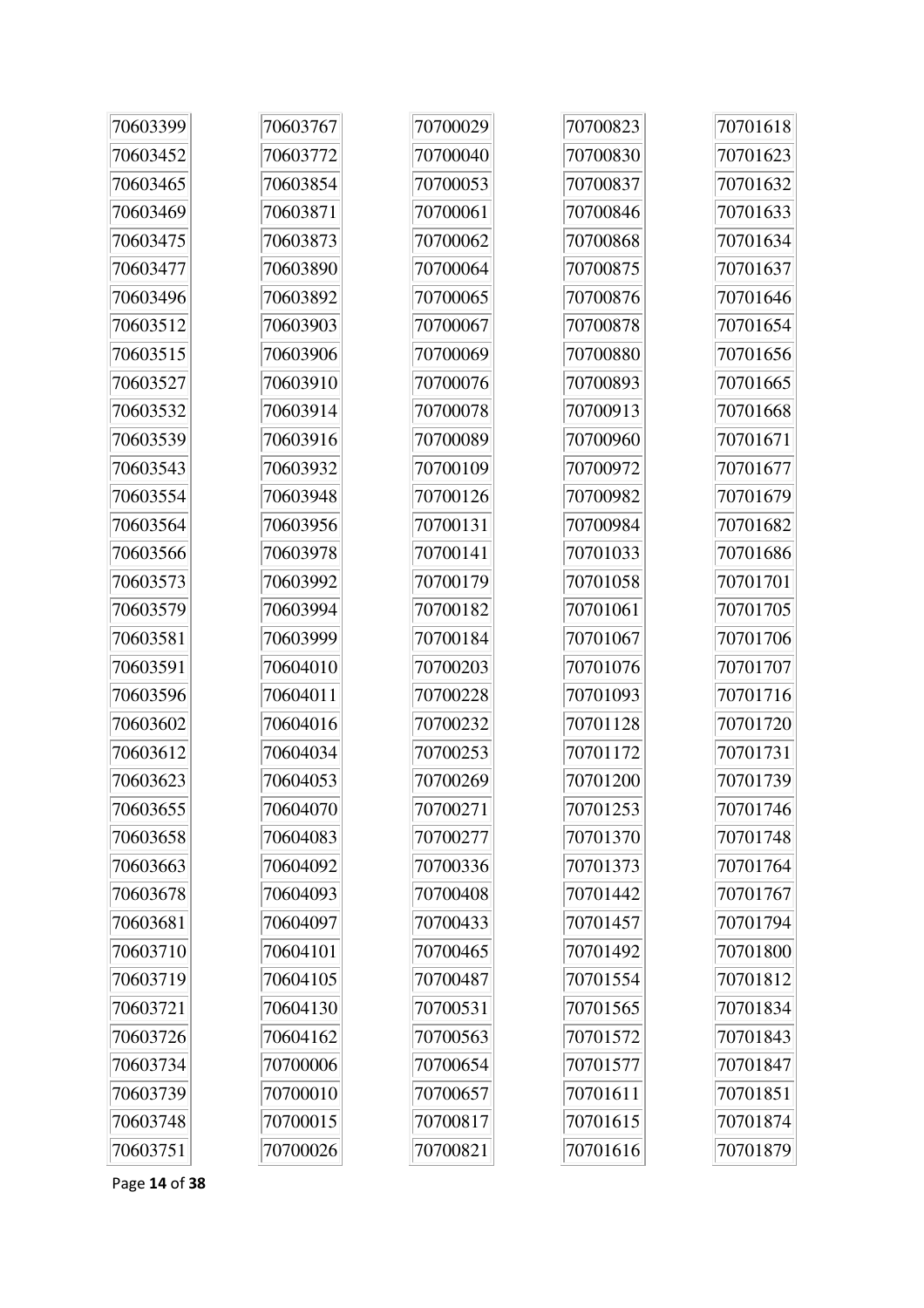| 70603399 | 70603767 | 70700029 | 70700823 | 70701618 |
|----------|----------|----------|----------|----------|
| 70603452 | 70603772 | 70700040 | 70700830 | 70701623 |
| 70603465 | 70603854 | 70700053 | 70700837 | 70701632 |
| 70603469 | 70603871 | 70700061 | 70700846 | 70701633 |
| 70603475 | 70603873 | 70700062 | 70700868 | 70701634 |
| 70603477 | 70603890 | 70700064 | 70700875 | 70701637 |
| 70603496 | 70603892 | 70700065 | 70700876 | 70701646 |
| 70603512 | 70603903 | 70700067 | 70700878 | 70701654 |
| 70603515 | 70603906 | 70700069 | 70700880 | 70701656 |
| 70603527 | 70603910 | 70700076 | 70700893 | 70701665 |
| 70603532 | 70603914 | 70700078 | 70700913 | 70701668 |
| 70603539 | 70603916 | 70700089 | 70700960 | 70701671 |
| 70603543 | 70603932 | 70700109 | 70700972 | 70701677 |
| 70603554 | 70603948 | 70700126 | 70700982 | 70701679 |
| 70603564 | 70603956 | 70700131 | 70700984 | 70701682 |
| 70603566 | 70603978 | 70700141 | 70701033 | 70701686 |
| 70603573 | 70603992 | 70700179 | 70701058 | 70701701 |
| 70603579 | 70603994 | 70700182 | 70701061 | 70701705 |
| 70603581 | 70603999 | 70700184 | 70701067 | 70701706 |
| 70603591 | 70604010 | 70700203 | 70701076 | 70701707 |
| 70603596 | 70604011 | 70700228 | 70701093 | 70701716 |
| 70603602 | 70604016 | 70700232 | 70701128 | 70701720 |
| 70603612 | 70604034 | 70700253 | 70701172 | 70701731 |
| 70603623 | 70604053 | 70700269 | 70701200 | 70701739 |
| 70603655 | 70604070 | 70700271 | 70701253 | 70701746 |
| 70603658 | 70604083 | 70700277 | 70701370 | 70701748 |
| 70603663 | 70604092 | 70700336 | 70701373 | 70701764 |
| 70603678 | 70604093 | 70700408 | 70701442 | 70701767 |
| 70603681 | 70604097 | 70700433 | 70701457 | 70701794 |
| 70603710 | 70604101 | 70700465 | 70701492 | 70701800 |
| 70603719 | 70604105 | 70700487 | 70701554 | 70701812 |
| 70603721 | 70604130 | 70700531 | 70701565 | 70701834 |
| 70603726 | 70604162 | 70700563 | 70701572 | 70701843 |
| 70603734 | 70700006 | 70700654 | 70701577 | 70701847 |
| 70603739 | 70700010 | 70700657 | 70701611 | 70701851 |
| 70603748 | 70700015 | 70700817 | 70701615 | 70701874 |
| 70603751 | 70700026 | 70700821 | 70701616 | 70701879 |

Page 14 of 38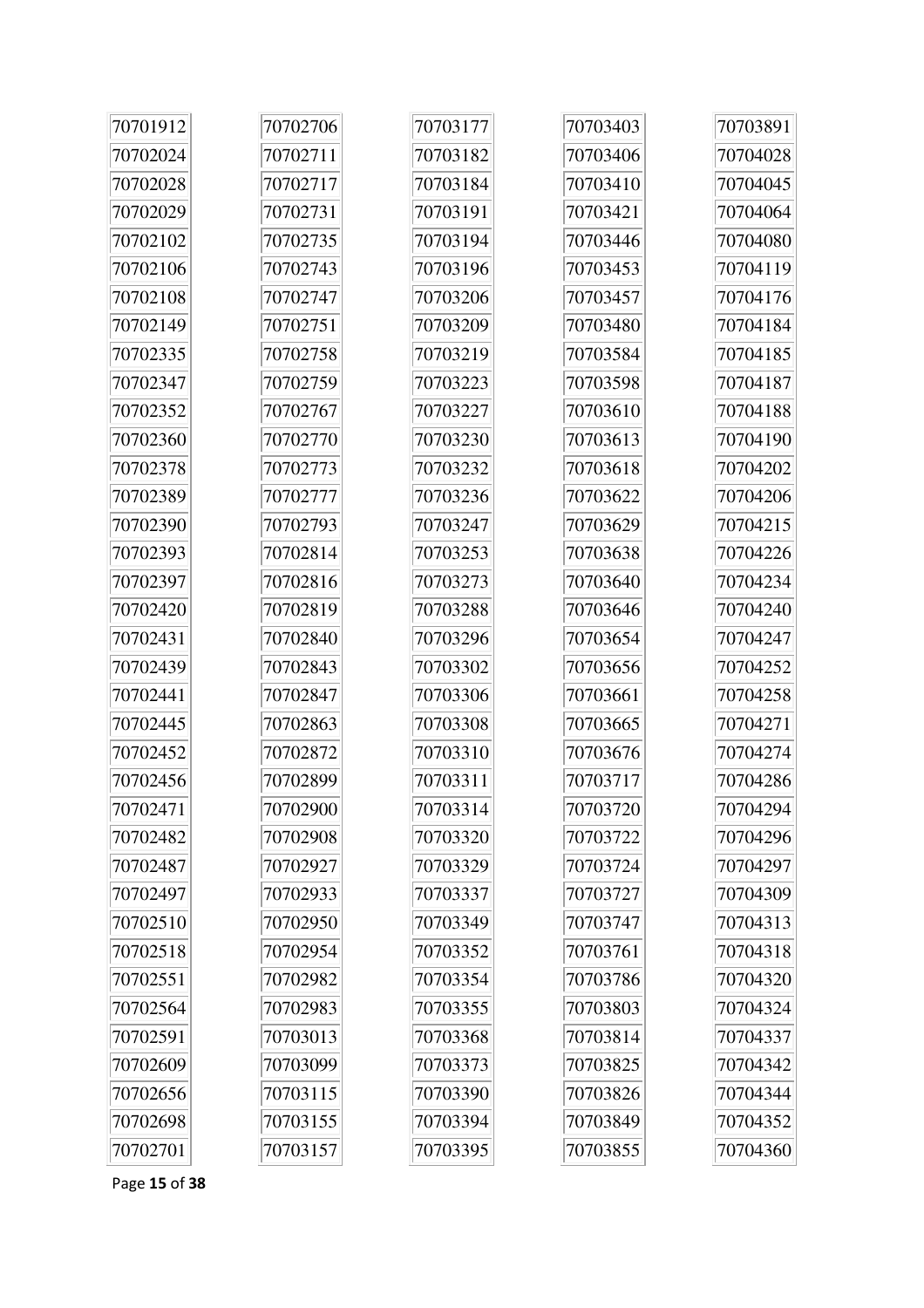| 70701912 | 70702706 | 70703177 | 70703403 | 70703891 |
|----------|----------|----------|----------|----------|
| 70702024 | 70702711 | 70703182 | 70703406 | 70704028 |
| 70702028 | 70702717 | 70703184 | 70703410 | 70704045 |
| 70702029 | 70702731 | 70703191 | 70703421 | 70704064 |
| 70702102 | 70702735 | 70703194 | 70703446 | 70704080 |
| 70702106 | 70702743 | 70703196 | 70703453 | 70704119 |
| 70702108 | 70702747 | 70703206 | 70703457 | 70704176 |
| 70702149 | 70702751 | 70703209 | 70703480 | 70704184 |
| 70702335 | 70702758 | 70703219 | 70703584 | 70704185 |
| 70702347 | 70702759 | 70703223 | 70703598 | 70704187 |
| 70702352 | 70702767 | 70703227 | 70703610 | 70704188 |
| 70702360 | 70702770 | 70703230 | 70703613 | 70704190 |
| 70702378 | 70702773 | 70703232 | 70703618 | 70704202 |
| 70702389 | 70702777 | 70703236 | 70703622 | 70704206 |
| 70702390 | 70702793 | 70703247 | 70703629 | 70704215 |
| 70702393 | 70702814 | 70703253 | 70703638 | 70704226 |
| 70702397 | 70702816 | 70703273 | 70703640 | 70704234 |
| 70702420 | 70702819 | 70703288 | 70703646 | 70704240 |
| 70702431 | 70702840 | 70703296 | 70703654 | 70704247 |
| 70702439 | 70702843 | 70703302 | 70703656 | 70704252 |
| 70702441 | 70702847 | 70703306 | 70703661 | 70704258 |
| 70702445 | 70702863 | 70703308 | 70703665 | 70704271 |
| 70702452 | 70702872 | 70703310 | 70703676 | 70704274 |
| 70702456 | 70702899 | 70703311 | 70703717 | 70704286 |
| 70702471 | 70702900 | 70703314 | 70703720 | 70704294 |
| 70702482 | 70702908 | 70703320 | 70703722 | 70704296 |
| 70702487 | 70702927 | 70703329 | 70703724 | 70704297 |
| 70702497 | 70702933 | 70703337 | 70703727 | 70704309 |
| 70702510 | 70702950 | 70703349 | 70703747 | 70704313 |
| 70702518 | 70702954 | 70703352 | 70703761 | 70704318 |
| 70702551 | 70702982 | 70703354 | 70703786 | 70704320 |
| 70702564 | 70702983 | 70703355 | 70703803 | 70704324 |
| 70702591 | 70703013 | 70703368 | 70703814 | 70704337 |
| 70702609 | 70703099 | 70703373 | 70703825 | 70704342 |
| 70702656 | 70703115 | 70703390 | 70703826 | 70704344 |
| 70702698 | 70703155 | 70703394 | 70703849 | 70704352 |
| 70702701 | 70703157 | 70703395 | 70703855 | 70704360 |

Page 15 of 38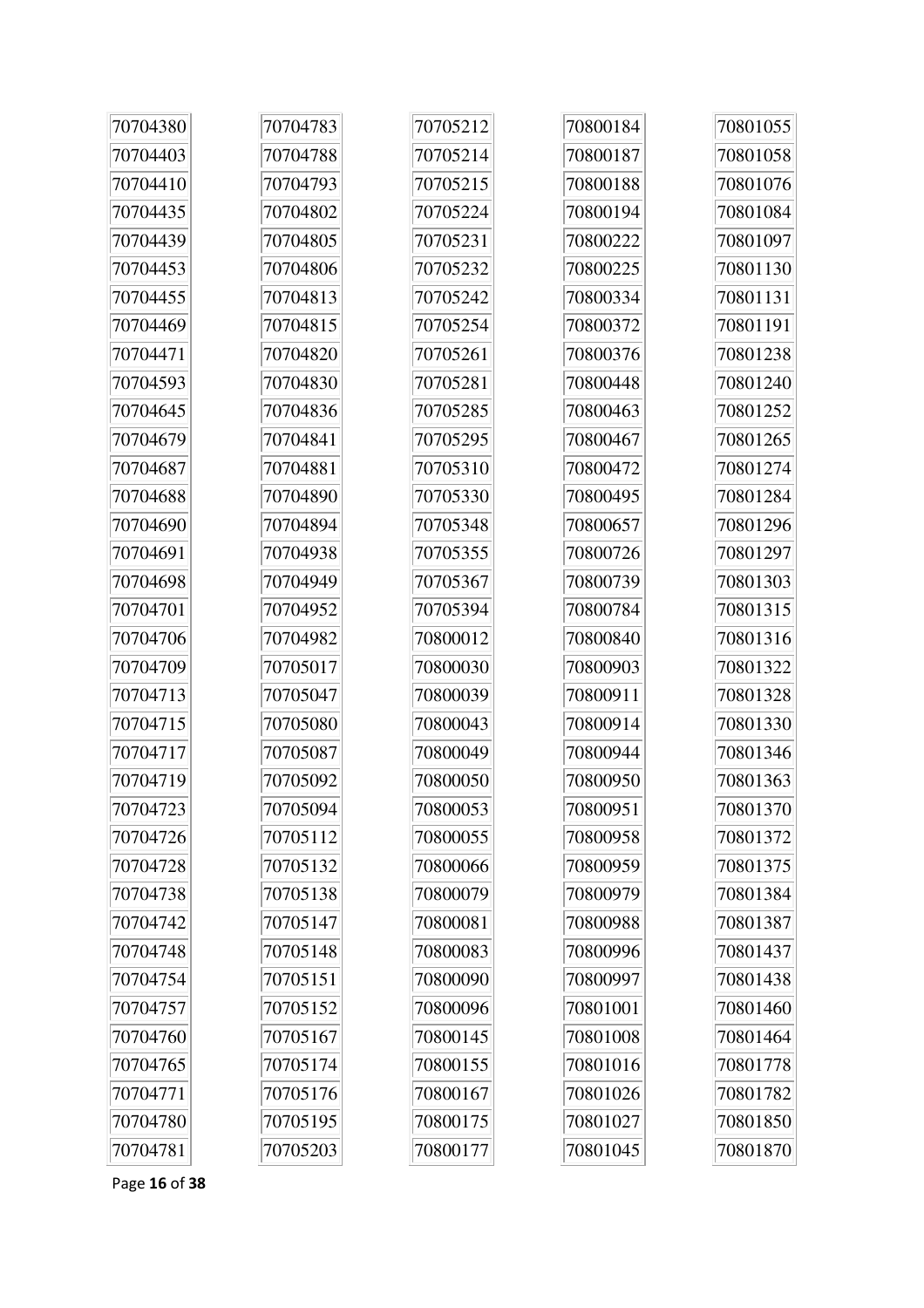| 70704380 | 70704783 | 70705212 | 70800184 | 70801055 |
|----------|----------|----------|----------|----------|
| 70704403 | 70704788 | 70705214 | 70800187 | 70801058 |
| 70704410 | 70704793 | 70705215 | 70800188 | 70801076 |
| 70704435 | 70704802 | 70705224 | 70800194 | 70801084 |
| 70704439 | 70704805 | 70705231 | 70800222 | 70801097 |
| 70704453 | 70704806 | 70705232 | 70800225 | 70801130 |
| 70704455 | 70704813 | 70705242 | 70800334 | 70801131 |
| 70704469 | 70704815 | 70705254 | 70800372 | 70801191 |
| 70704471 | 70704820 | 70705261 | 70800376 | 70801238 |
| 70704593 | 70704830 | 70705281 | 70800448 | 70801240 |
| 70704645 | 70704836 | 70705285 | 70800463 | 70801252 |
| 70704679 | 70704841 | 70705295 | 70800467 | 70801265 |
| 70704687 | 70704881 | 70705310 | 70800472 | 70801274 |
| 70704688 | 70704890 | 70705330 | 70800495 | 70801284 |
| 70704690 | 70704894 | 70705348 | 70800657 | 70801296 |
| 70704691 | 70704938 | 70705355 | 70800726 | 70801297 |
| 70704698 | 70704949 | 70705367 | 70800739 | 70801303 |
| 70704701 | 70704952 | 70705394 | 70800784 | 70801315 |
| 70704706 | 70704982 | 70800012 | 70800840 | 70801316 |
| 70704709 | 70705017 | 70800030 | 70800903 | 70801322 |
| 70704713 | 70705047 | 70800039 | 70800911 | 70801328 |
| 70704715 | 70705080 | 70800043 | 70800914 | 70801330 |
| 70704717 | 70705087 | 70800049 | 70800944 | 70801346 |
| 70704719 | 70705092 | 70800050 | 70800950 | 70801363 |
| 70704723 | 70705094 | 70800053 | 70800951 | 70801370 |
| 70704726 | 70705112 | 70800055 | 70800958 | 70801372 |
| 70704728 | 70705132 | 70800066 | 70800959 | 70801375 |
| 70704738 | 70705138 | 70800079 | 70800979 | 70801384 |
| 70704742 | 70705147 | 70800081 | 70800988 | 70801387 |
| 70704748 | 70705148 | 70800083 | 70800996 | 70801437 |
| 70704754 | 70705151 | 70800090 | 70800997 | 70801438 |
| 70704757 | 70705152 | 70800096 | 70801001 | 70801460 |
| 70704760 | 70705167 | 70800145 | 70801008 | 70801464 |
| 70704765 | 70705174 | 70800155 | 70801016 | 70801778 |
| 70704771 | 70705176 | 70800167 | 70801026 | 70801782 |
| 70704780 | 70705195 | 70800175 | 70801027 | 70801850 |
| 70704781 | 70705203 | 70800177 | 70801045 | 70801870 |

Page 16 of 38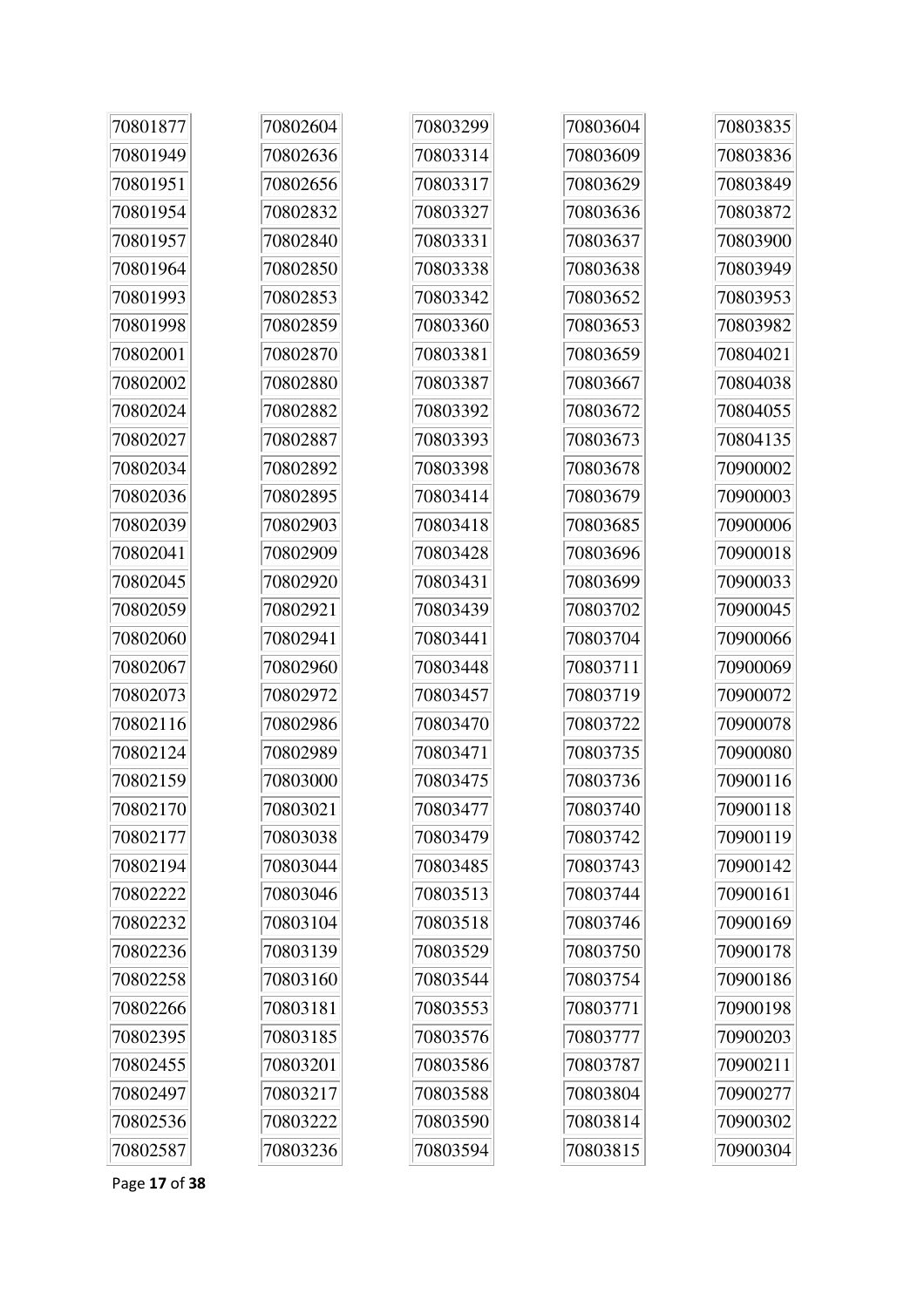| 70801877 | 70802604 | 70803299 | 70803604 | 70803835 |
|----------|----------|----------|----------|----------|
| 70801949 | 70802636 | 70803314 | 70803609 | 70803836 |
| 70801951 | 70802656 | 70803317 | 70803629 | 70803849 |
| 70801954 | 70802832 | 70803327 | 70803636 | 70803872 |
| 70801957 | 70802840 | 70803331 | 70803637 | 70803900 |
| 70801964 | 70802850 | 70803338 | 70803638 | 70803949 |
| 70801993 | 70802853 | 70803342 | 70803652 | 70803953 |
| 70801998 | 70802859 | 70803360 | 70803653 | 70803982 |
| 70802001 | 70802870 | 70803381 | 70803659 | 70804021 |
| 70802002 | 70802880 | 70803387 | 70803667 | 70804038 |
| 70802024 | 70802882 | 70803392 | 70803672 | 70804055 |
| 70802027 | 70802887 | 70803393 | 70803673 | 70804135 |
| 70802034 | 70802892 | 70803398 | 70803678 | 70900002 |
| 70802036 | 70802895 | 70803414 | 70803679 | 70900003 |
| 70802039 | 70802903 | 70803418 | 70803685 | 70900006 |
| 70802041 | 70802909 | 70803428 | 70803696 | 70900018 |
| 70802045 | 70802920 | 70803431 | 70803699 | 70900033 |
| 70802059 | 70802921 | 70803439 | 70803702 | 70900045 |
| 70802060 | 70802941 | 70803441 | 70803704 | 70900066 |
| 70802067 | 70802960 | 70803448 | 70803711 | 70900069 |
| 70802073 | 70802972 | 70803457 | 70803719 | 70900072 |
| 70802116 | 70802986 | 70803470 | 70803722 | 70900078 |
| 70802124 | 70802989 | 70803471 | 70803735 | 70900080 |
| 70802159 | 70803000 | 70803475 | 70803736 | 70900116 |
| 70802170 | 70803021 | 70803477 | 70803740 | 70900118 |
| 70802177 | 70803038 | 70803479 | 70803742 | 70900119 |
| 70802194 | 70803044 | 70803485 | 70803743 | 70900142 |
| 70802222 | 70803046 | 70803513 | 70803744 | 70900161 |
| 70802232 | 70803104 | 70803518 | 70803746 | 70900169 |
| 70802236 | 70803139 | 70803529 | 70803750 | 70900178 |
| 70802258 | 70803160 | 70803544 | 70803754 | 70900186 |
| 70802266 | 70803181 | 70803553 | 70803771 | 70900198 |
| 70802395 | 70803185 | 70803576 | 70803777 | 70900203 |
| 70802455 | 70803201 | 70803586 | 70803787 | 70900211 |
| 70802497 | 70803217 | 70803588 | 70803804 | 70900277 |
| 70802536 | 70803222 | 70803590 | 70803814 | 70900302 |
| 70802587 | 70803236 | 70803594 | 70803815 | 70900304 |

Page 17 of 38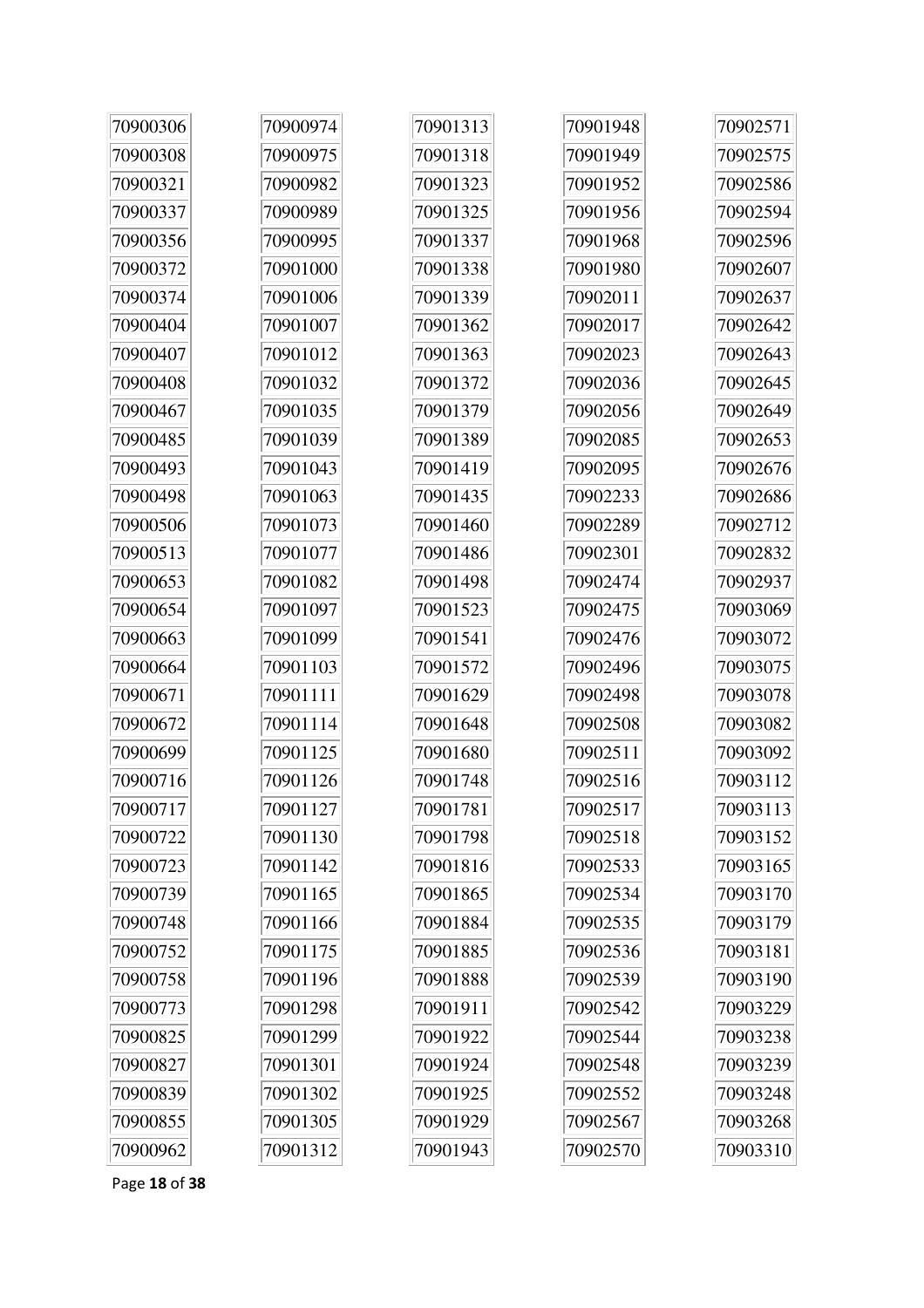| 70900306 | 70900974 | 70901313 | 70901948 | 70902571 |
|----------|----------|----------|----------|----------|
| 70900308 | 70900975 | 70901318 | 70901949 | 70902575 |
| 70900321 | 70900982 | 70901323 | 70901952 | 70902586 |
| 70900337 | 70900989 | 70901325 | 70901956 | 70902594 |
| 70900356 | 70900995 | 70901337 | 70901968 | 70902596 |
| 70900372 | 70901000 | 70901338 | 70901980 | 70902607 |
| 70900374 | 70901006 | 70901339 | 70902011 | 70902637 |
| 70900404 | 70901007 | 70901362 | 70902017 | 70902642 |
| 70900407 | 70901012 | 70901363 | 70902023 | 70902643 |
| 70900408 | 70901032 | 70901372 | 70902036 | 70902645 |
| 70900467 | 70901035 | 70901379 | 70902056 | 70902649 |
| 70900485 | 70901039 | 70901389 | 70902085 | 70902653 |
| 70900493 | 70901043 | 70901419 | 70902095 | 70902676 |
| 70900498 | 70901063 | 70901435 | 70902233 | 70902686 |
| 70900506 | 70901073 | 70901460 | 70902289 | 70902712 |
| 70900513 | 70901077 | 70901486 | 70902301 | 70902832 |
| 70900653 | 70901082 | 70901498 | 70902474 | 70902937 |
| 70900654 | 70901097 | 70901523 | 70902475 | 70903069 |
| 70900663 | 70901099 | 70901541 | 70902476 | 70903072 |
| 70900664 | 70901103 | 70901572 | 70902496 | 70903075 |
| 70900671 | 70901111 | 70901629 | 70902498 | 70903078 |
| 70900672 | 70901114 | 70901648 | 70902508 | 70903082 |
| 70900699 | 70901125 | 70901680 | 70902511 | 70903092 |
| 70900716 | 70901126 | 70901748 | 70902516 | 70903112 |
| 70900717 | 70901127 | 70901781 | 70902517 | 70903113 |
| 70900722 | 70901130 | 70901798 | 70902518 | 70903152 |
| 70900723 | 70901142 | 70901816 | 70902533 | 70903165 |
| 70900739 | 70901165 | 70901865 | 70902534 | 70903170 |
| 70900748 | 70901166 | 70901884 | 70902535 | 70903179 |
| 70900752 | 70901175 | 70901885 | 70902536 | 70903181 |
| 70900758 | 70901196 | 70901888 | 70902539 | 70903190 |
| 70900773 | 70901298 | 70901911 | 70902542 | 70903229 |
| 70900825 | 70901299 | 70901922 | 70902544 | 70903238 |
| 70900827 | 70901301 | 70901924 | 70902548 | 70903239 |
| 70900839 | 70901302 | 70901925 | 70902552 | 70903248 |
| 70900855 | 70901305 | 70901929 | 70902567 | 70903268 |
| 70900962 | 70901312 | 70901943 | 70902570 | 70903310 |

Page 18 of 38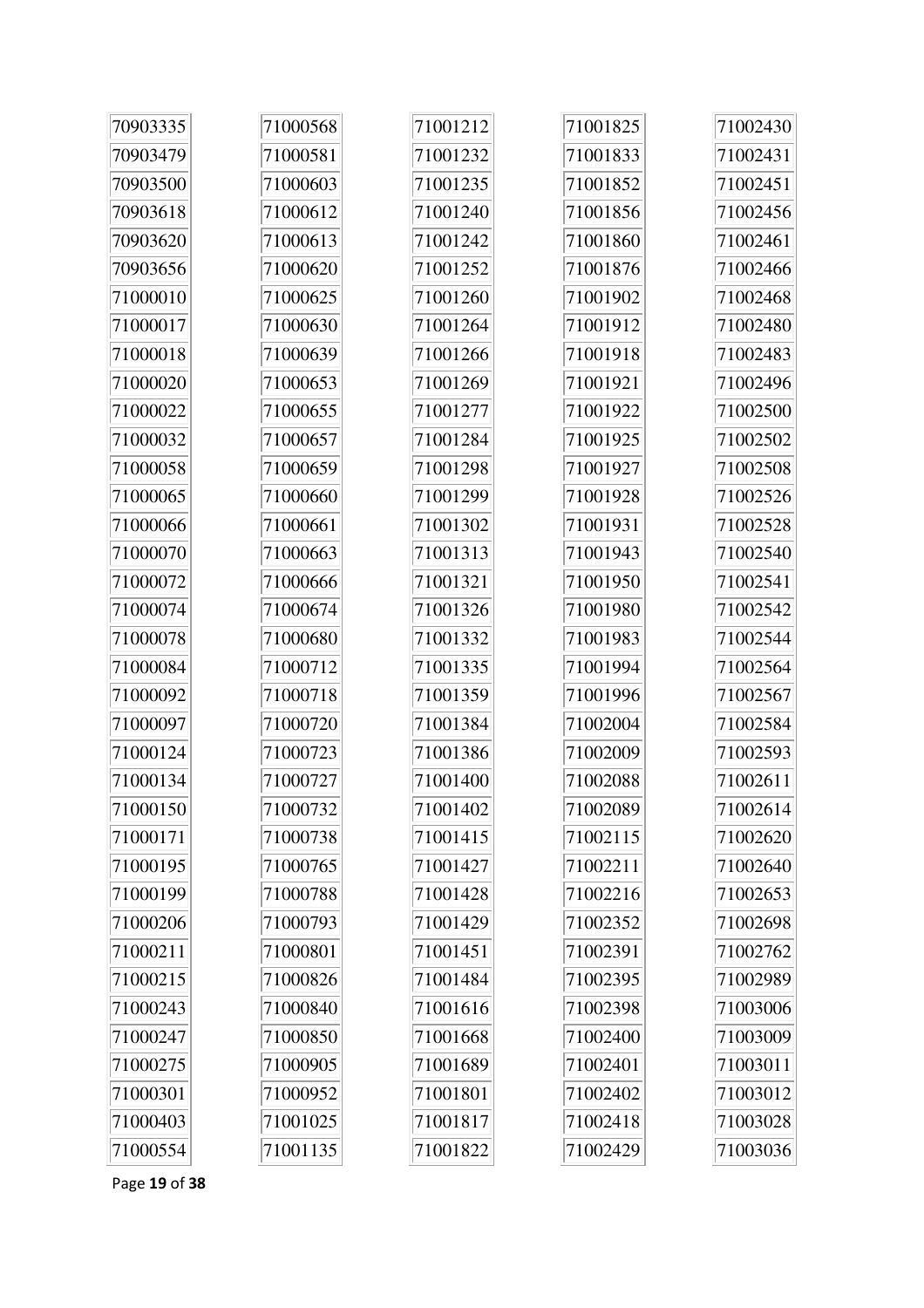| 70903335 | 71000568 | 71001212 | 71001825 | 71002430 |
|----------|----------|----------|----------|----------|
| 70903479 | 71000581 | 71001232 | 71001833 | 71002431 |
| 70903500 | 71000603 | 71001235 | 71001852 | 71002451 |
| 70903618 | 71000612 | 71001240 | 71001856 | 71002456 |
| 70903620 | 71000613 | 71001242 | 71001860 | 71002461 |
| 70903656 | 71000620 | 71001252 | 71001876 | 71002466 |
| 71000010 | 71000625 | 71001260 | 71001902 | 71002468 |
| 71000017 | 71000630 | 71001264 | 71001912 | 71002480 |
| 71000018 | 71000639 | 71001266 | 71001918 | 71002483 |
| 71000020 | 71000653 | 71001269 | 71001921 | 71002496 |
| 71000022 | 71000655 | 71001277 | 71001922 | 71002500 |
| 71000032 | 71000657 | 71001284 | 71001925 | 71002502 |
| 71000058 | 71000659 | 71001298 | 71001927 | 71002508 |
| 71000065 | 71000660 | 71001299 | 71001928 | 71002526 |
| 71000066 | 71000661 | 71001302 | 71001931 | 71002528 |
| 71000070 | 71000663 | 71001313 | 71001943 | 71002540 |
| 71000072 | 71000666 | 71001321 | 71001950 | 71002541 |
| 71000074 | 71000674 | 71001326 | 71001980 | 71002542 |
| 71000078 | 71000680 | 71001332 | 71001983 | 71002544 |
| 71000084 | 71000712 | 71001335 | 71001994 | 71002564 |
| 71000092 | 71000718 | 71001359 | 71001996 | 71002567 |
| 71000097 | 71000720 | 71001384 | 71002004 | 71002584 |
| 71000124 | 71000723 | 71001386 | 71002009 | 71002593 |
| 71000134 | 71000727 | 71001400 | 71002088 | 71002611 |
| 71000150 | 71000732 | 71001402 | 71002089 | 71002614 |
| 71000171 | 71000738 | 71001415 | 71002115 | 71002620 |
| 71000195 | 71000765 | 71001427 | 71002211 | 71002640 |
| 71000199 | 71000788 | 71001428 | 71002216 | 71002653 |
| 71000206 | 71000793 | 71001429 | 71002352 | 71002698 |
| 71000211 | 71000801 | 71001451 | 71002391 | 71002762 |
| 71000215 | 71000826 | 71001484 | 71002395 | 71002989 |
| 71000243 | 71000840 | 71001616 | 71002398 | 71003006 |
| 71000247 | 71000850 | 71001668 | 71002400 | 71003009 |
| 71000275 | 71000905 | 71001689 | 71002401 | 71003011 |
| 71000301 | 71000952 | 71001801 | 71002402 | 71003012 |
| 71000403 | 71001025 | 71001817 | 71002418 | 71003028 |
| 71000554 | 71001135 | 71001822 | 71002429 | 71003036 |

Page 19 of 38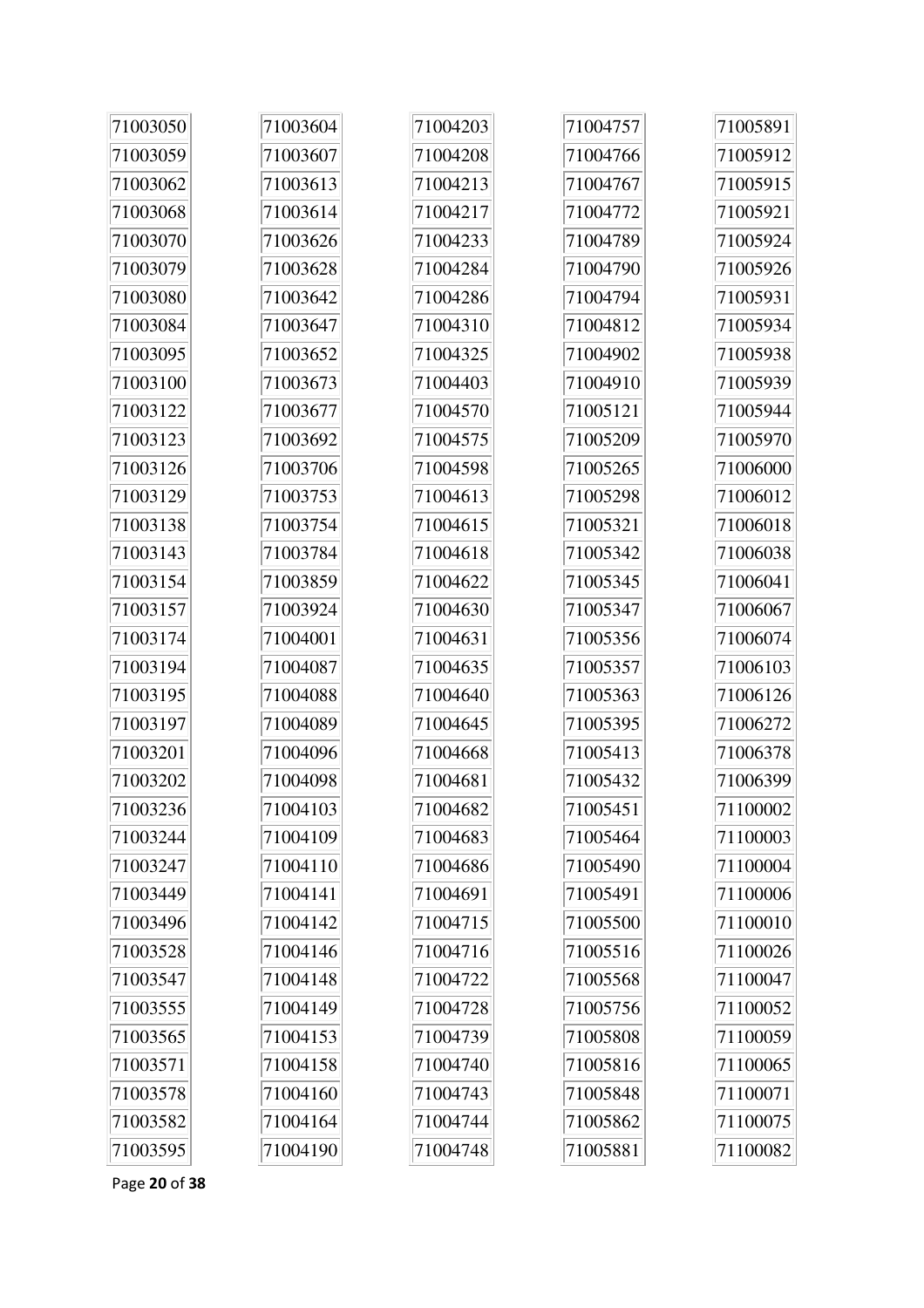| 71003050 | 71003604 | 71004203 | 71004757 | 71005891 |
|----------|----------|----------|----------|----------|
| 71003059 | 71003607 | 71004208 | 71004766 | 71005912 |
| 71003062 | 71003613 | 71004213 | 71004767 | 71005915 |
| 71003068 | 71003614 | 71004217 | 71004772 | 71005921 |
| 71003070 | 71003626 | 71004233 | 71004789 | 71005924 |
| 71003079 | 71003628 | 71004284 | 71004790 | 71005926 |
| 71003080 | 71003642 | 71004286 | 71004794 | 71005931 |
| 71003084 | 71003647 | 71004310 | 71004812 | 71005934 |
| 71003095 | 71003652 | 71004325 | 71004902 | 71005938 |
| 71003100 | 71003673 | 71004403 | 71004910 | 71005939 |
| 71003122 | 71003677 | 71004570 | 71005121 | 71005944 |
| 71003123 | 71003692 | 71004575 | 71005209 | 71005970 |
| 71003126 | 71003706 | 71004598 | 71005265 | 71006000 |
| 71003129 | 71003753 | 71004613 | 71005298 | 71006012 |
| 71003138 | 71003754 | 71004615 | 71005321 | 71006018 |
| 71003143 | 71003784 | 71004618 | 71005342 | 71006038 |
| 71003154 | 71003859 | 71004622 | 71005345 | 71006041 |
| 71003157 | 71003924 | 71004630 | 71005347 | 71006067 |
| 71003174 | 71004001 | 71004631 | 71005356 | 71006074 |
| 71003194 | 71004087 | 71004635 | 71005357 | 71006103 |
| 71003195 | 71004088 | 71004640 | 71005363 | 71006126 |
| 71003197 | 71004089 | 71004645 | 71005395 | 71006272 |
| 71003201 | 71004096 | 71004668 | 71005413 | 71006378 |
| 71003202 | 71004098 | 71004681 | 71005432 | 71006399 |
| 71003236 | 71004103 | 71004682 | 71005451 | 71100002 |
| 71003244 | 71004109 | 71004683 | 71005464 | 71100003 |
| 71003247 | 71004110 | 71004686 | 71005490 | 71100004 |
| 71003449 | 71004141 | 71004691 | 71005491 | 71100006 |
| 71003496 | 71004142 | 71004715 | 71005500 | 71100010 |
| 71003528 | 71004146 | 71004716 | 71005516 | 71100026 |
| 71003547 | 71004148 | 71004722 | 71005568 | 71100047 |
| 71003555 | 71004149 | 71004728 | 71005756 | 71100052 |
| 71003565 | 71004153 | 71004739 | 71005808 | 71100059 |
| 71003571 | 71004158 | 71004740 | 71005816 | 71100065 |
| 71003578 | 71004160 | 71004743 | 71005848 | 71100071 |
| 71003582 | 71004164 | 71004744 | 71005862 | 71100075 |
| 71003595 | 71004190 | 71004748 | 71005881 | 71100082 |

Page **20** of **38**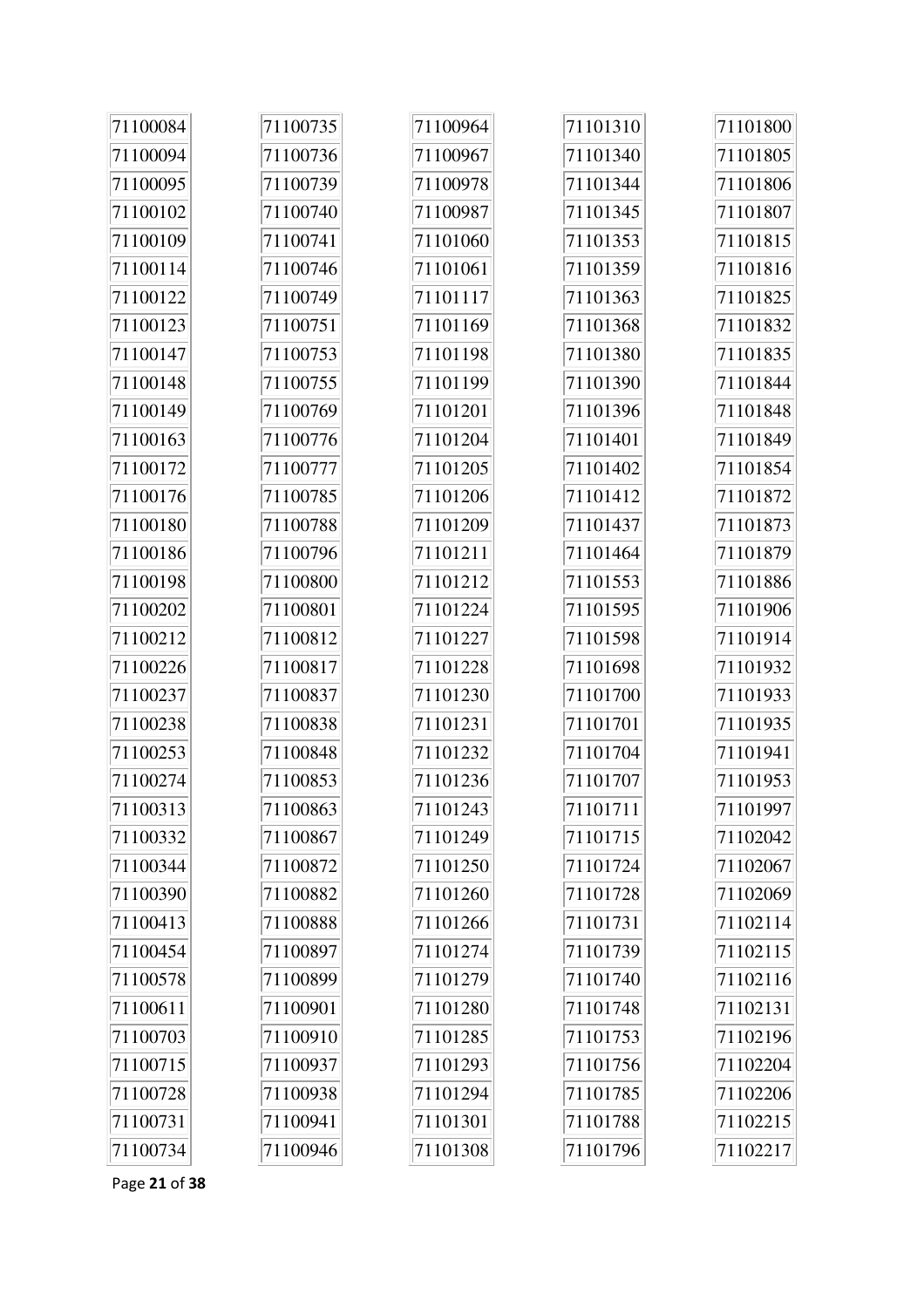| 71100084 | 71100735 | 71100964 | 71101310 | 71101800 |
|----------|----------|----------|----------|----------|
| 71100094 | 71100736 | 71100967 | 71101340 | 71101805 |
| 71100095 | 71100739 | 71100978 | 71101344 | 71101806 |
| 71100102 | 71100740 | 71100987 | 71101345 | 71101807 |
| 71100109 | 71100741 | 71101060 | 71101353 | 71101815 |
| 71100114 | 71100746 | 71101061 | 71101359 | 71101816 |
| 71100122 | 71100749 | 71101117 | 71101363 | 71101825 |
| 71100123 | 71100751 | 71101169 | 71101368 | 71101832 |
| 71100147 | 71100753 | 71101198 | 71101380 | 71101835 |
| 71100148 | 71100755 | 71101199 | 71101390 | 71101844 |
| 71100149 | 71100769 | 71101201 | 71101396 | 71101848 |
| 71100163 | 71100776 | 71101204 | 71101401 | 71101849 |
| 71100172 | 71100777 | 71101205 | 71101402 | 71101854 |
| 71100176 | 71100785 | 71101206 | 71101412 | 71101872 |
| 71100180 | 71100788 | 71101209 | 71101437 | 71101873 |
| 71100186 | 71100796 | 71101211 | 71101464 | 71101879 |
| 71100198 | 71100800 | 71101212 | 71101553 | 71101886 |
| 71100202 | 71100801 | 71101224 | 71101595 | 71101906 |
| 71100212 | 71100812 | 71101227 | 71101598 | 71101914 |
| 71100226 | 71100817 | 71101228 | 71101698 | 71101932 |
| 71100237 | 71100837 | 71101230 | 71101700 | 71101933 |
| 71100238 | 71100838 | 71101231 | 71101701 | 71101935 |
| 71100253 | 71100848 | 71101232 | 71101704 | 71101941 |
| 71100274 | 71100853 | 71101236 | 71101707 | 71101953 |
| 71100313 | 71100863 | 71101243 | 71101711 | 71101997 |
| 71100332 | 71100867 | 71101249 | 71101715 | 71102042 |
| 71100344 | 71100872 | 71101250 | 71101724 | 71102067 |
| 71100390 | 71100882 | 71101260 | 71101728 | 71102069 |
| 71100413 | 71100888 | 71101266 | 71101731 | 71102114 |
| 71100454 | 71100897 | 71101274 | 71101739 | 71102115 |
| 71100578 | 71100899 | 71101279 | 71101740 | 71102116 |
| 71100611 | 71100901 | 71101280 | 71101748 | 71102131 |
| 71100703 | 71100910 | 71101285 | 71101753 | 71102196 |
| 71100715 | 71100937 | 71101293 | 71101756 | 71102204 |
| 71100728 | 71100938 | 71101294 | 71101785 | 71102206 |
| 71100731 | 71100941 | 71101301 | 71101788 | 71102215 |
| 71100734 | 71100946 | 71101308 | 71101796 | 71102217 |

Page 21 of 38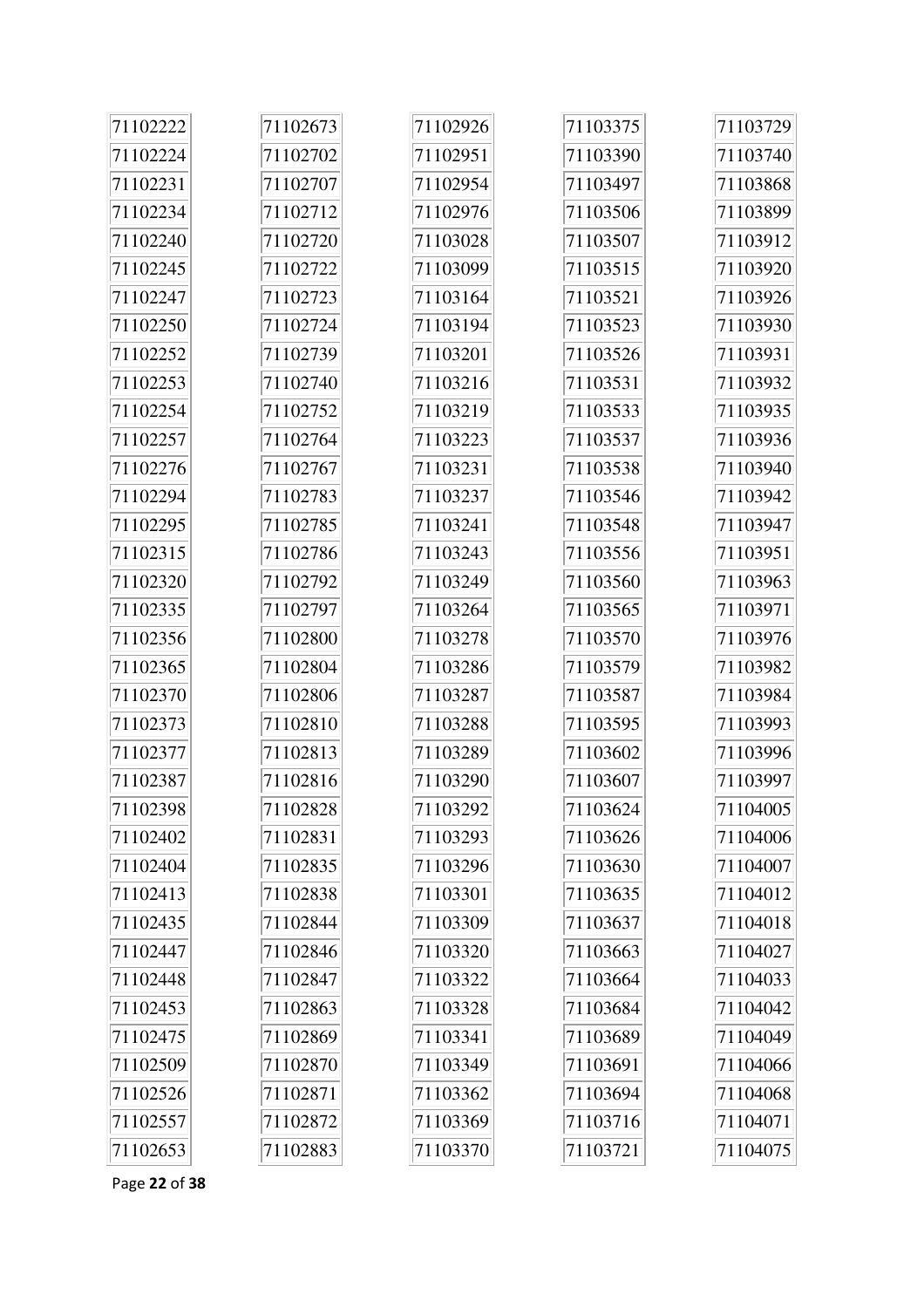| 71102222 | 71102673 | 71102926 | 71103375 | 71103729 |
|----------|----------|----------|----------|----------|
| 71102224 | 71102702 | 71102951 | 71103390 | 71103740 |
| 71102231 | 71102707 | 71102954 | 71103497 | 71103868 |
| 71102234 | 71102712 | 71102976 | 71103506 | 71103899 |
| 71102240 | 71102720 | 71103028 | 71103507 | 71103912 |
| 71102245 | 71102722 | 71103099 | 71103515 | 71103920 |
| 71102247 | 71102723 | 71103164 | 71103521 | 71103926 |
| 71102250 | 71102724 | 71103194 | 71103523 | 71103930 |
| 71102252 | 71102739 | 71103201 | 71103526 | 71103931 |
| 71102253 | 71102740 | 71103216 | 71103531 | 71103932 |
| 71102254 | 71102752 | 71103219 | 71103533 | 71103935 |
| 71102257 | 71102764 | 71103223 | 71103537 | 71103936 |
| 71102276 | 71102767 | 71103231 | 71103538 | 71103940 |
| 71102294 | 71102783 | 71103237 | 71103546 | 71103942 |
| 71102295 | 71102785 | 71103241 | 71103548 | 71103947 |
| 71102315 | 71102786 | 71103243 | 71103556 | 71103951 |
| 71102320 | 71102792 | 71103249 | 71103560 | 71103963 |
| 71102335 | 71102797 | 71103264 | 71103565 | 71103971 |
| 71102356 | 71102800 | 71103278 | 71103570 | 71103976 |
| 71102365 | 71102804 | 71103286 | 71103579 | 71103982 |
| 71102370 | 71102806 | 71103287 | 71103587 | 71103984 |
| 71102373 | 71102810 | 71103288 | 71103595 | 71103993 |
| 71102377 | 71102813 | 71103289 | 71103602 | 71103996 |
| 71102387 | 71102816 | 71103290 | 71103607 | 71103997 |
| 71102398 | 71102828 | 71103292 | 71103624 | 71104005 |
| 71102402 | 71102831 | 71103293 | 71103626 | 71104006 |
| 71102404 | 71102835 | 71103296 | 71103630 | 71104007 |
| 71102413 | 71102838 | 71103301 | 71103635 | 71104012 |
| 71102435 | 71102844 | 71103309 | 71103637 | 71104018 |
| 71102447 | 71102846 | 71103320 | 71103663 | 71104027 |
| 71102448 | 71102847 | 71103322 | 71103664 | 71104033 |
| 71102453 | 71102863 | 71103328 | 71103684 | 71104042 |
| 71102475 | 71102869 | 71103341 | 71103689 | 71104049 |
| 71102509 | 71102870 | 71103349 | 71103691 | 71104066 |
| 71102526 | 71102871 | 71103362 | 71103694 | 71104068 |
| 71102557 | 71102872 | 71103369 | 71103716 | 71104071 |
| 71102653 | 71102883 | 71103370 | 71103721 | 71104075 |

Page **22** of **38**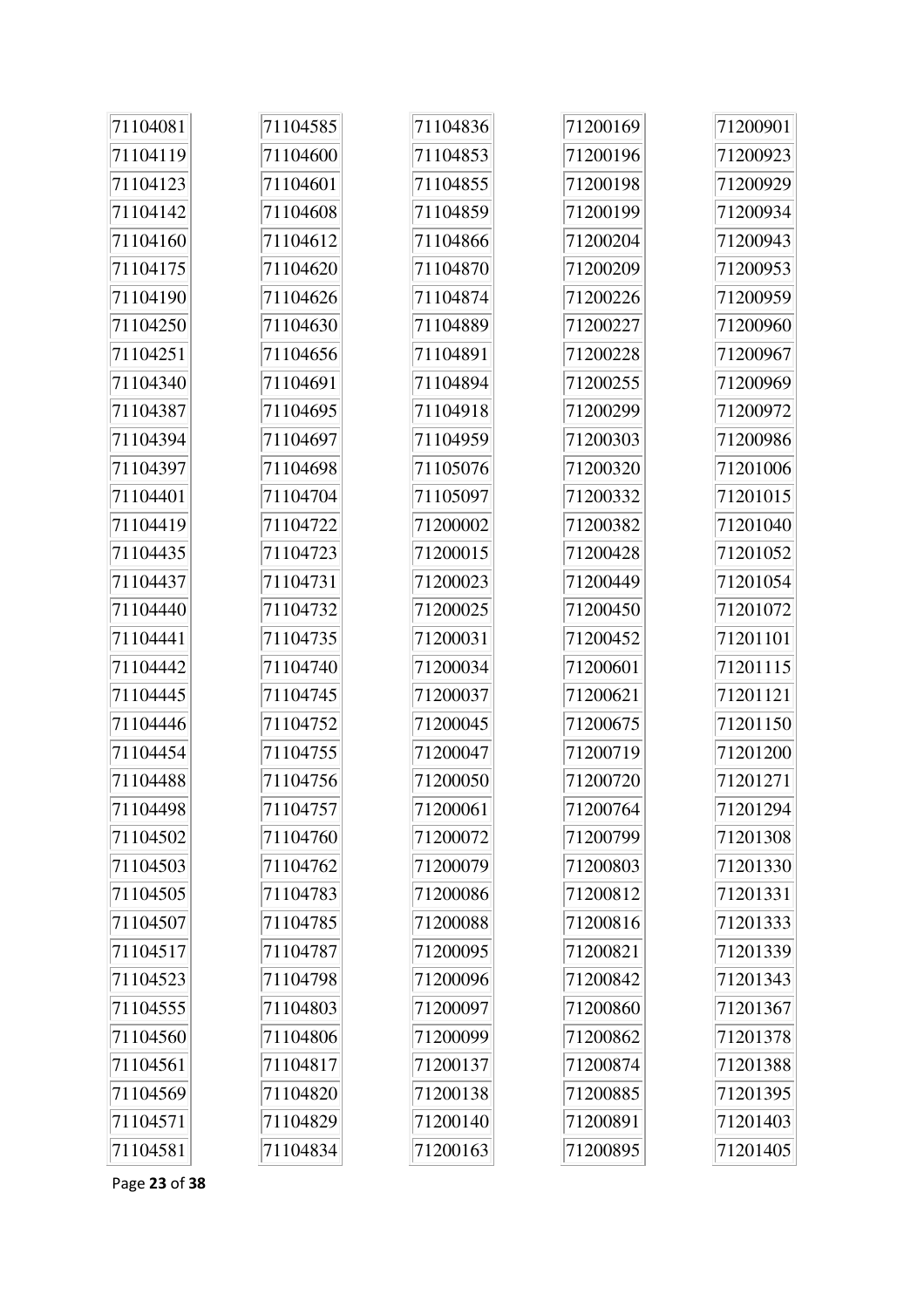| 71104081 | 71104585 | 71104836 | 71200169 | 71200901 |
|----------|----------|----------|----------|----------|
| 71104119 | 71104600 | 71104853 | 71200196 | 71200923 |
| 71104123 | 71104601 | 71104855 | 71200198 | 71200929 |
| 71104142 | 71104608 | 71104859 | 71200199 | 71200934 |
| 71104160 | 71104612 | 71104866 | 71200204 | 71200943 |
| 71104175 | 71104620 | 71104870 | 71200209 | 71200953 |
| 71104190 | 71104626 | 71104874 | 71200226 | 71200959 |
| 71104250 | 71104630 | 71104889 | 71200227 | 71200960 |
| 71104251 | 71104656 | 71104891 | 71200228 | 71200967 |
| 71104340 | 71104691 | 71104894 | 71200255 | 71200969 |
| 71104387 | 71104695 | 71104918 | 71200299 | 71200972 |
| 71104394 | 71104697 | 71104959 | 71200303 | 71200986 |
| 71104397 | 71104698 | 71105076 | 71200320 | 71201006 |
| 71104401 | 71104704 | 71105097 | 71200332 | 71201015 |
| 71104419 | 71104722 | 71200002 | 71200382 | 71201040 |
| 71104435 | 71104723 | 71200015 | 71200428 | 71201052 |
| 71104437 | 71104731 | 71200023 | 71200449 | 71201054 |
| 71104440 | 71104732 | 71200025 | 71200450 | 71201072 |
| 71104441 | 71104735 | 71200031 | 71200452 | 71201101 |
| 71104442 | 71104740 | 71200034 | 71200601 | 71201115 |
| 71104445 | 71104745 | 71200037 | 71200621 | 71201121 |
| 71104446 | 71104752 | 71200045 | 71200675 | 71201150 |
| 71104454 | 71104755 | 71200047 | 71200719 | 71201200 |
| 71104488 | 71104756 | 71200050 | 71200720 | 71201271 |
| 71104498 | 71104757 | 71200061 | 71200764 | 71201294 |
| 71104502 | 71104760 | 71200072 | 71200799 | 71201308 |
| 71104503 | 71104762 | 71200079 | 71200803 | 71201330 |
| 71104505 | 71104783 | 71200086 | 71200812 | 71201331 |
| 71104507 | 71104785 | 71200088 | 71200816 | 71201333 |
| 71104517 | 71104787 | 71200095 | 71200821 | 71201339 |
| 71104523 | 71104798 | 71200096 | 71200842 | 71201343 |
| 71104555 | 71104803 | 71200097 | 71200860 | 71201367 |
| 71104560 | 71104806 | 71200099 | 71200862 | 71201378 |
| 71104561 | 71104817 | 71200137 | 71200874 | 71201388 |
| 71104569 | 71104820 | 71200138 | 71200885 | 71201395 |
| 71104571 | 71104829 | 71200140 | 71200891 | 71201403 |
| 71104581 | 71104834 | 71200163 | 71200895 | 71201405 |

Page **23** of **38**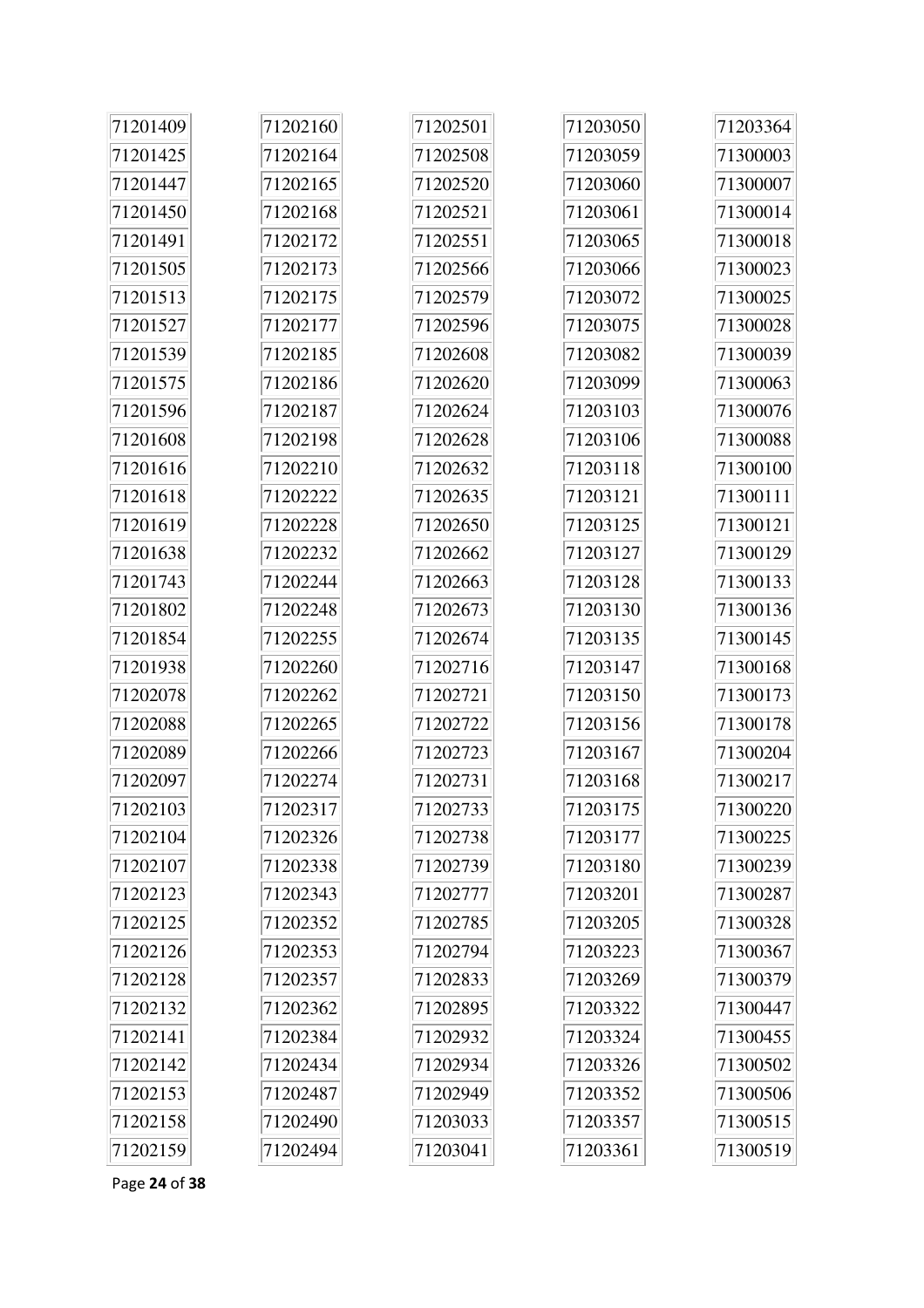| 71201409 | 71202160 | 71202501 | 71203050 | 71203364 |
|----------|----------|----------|----------|----------|
| 71201425 | 71202164 | 71202508 | 71203059 | 71300003 |
| 71201447 | 71202165 | 71202520 | 71203060 | 71300007 |
| 71201450 | 71202168 | 71202521 | 71203061 | 71300014 |
| 71201491 | 71202172 | 71202551 | 71203065 | 71300018 |
| 71201505 | 71202173 | 71202566 | 71203066 | 71300023 |
| 71201513 | 71202175 | 71202579 | 71203072 | 71300025 |
| 71201527 | 71202177 | 71202596 | 71203075 | 71300028 |
| 71201539 | 71202185 | 71202608 | 71203082 | 71300039 |
| 71201575 | 71202186 | 71202620 | 71203099 | 71300063 |
| 71201596 | 71202187 | 71202624 | 71203103 | 71300076 |
| 71201608 | 71202198 | 71202628 | 71203106 | 71300088 |
| 71201616 | 71202210 | 71202632 | 71203118 | 71300100 |
| 71201618 | 71202222 | 71202635 | 71203121 | 71300111 |
| 71201619 | 71202228 | 71202650 | 71203125 | 71300121 |
| 71201638 | 71202232 | 71202662 | 71203127 | 71300129 |
| 71201743 | 71202244 | 71202663 | 71203128 | 71300133 |
| 71201802 | 71202248 | 71202673 | 71203130 | 71300136 |
| 71201854 | 71202255 | 71202674 | 71203135 | 71300145 |
| 71201938 | 71202260 | 71202716 | 71203147 | 71300168 |
| 71202078 | 71202262 | 71202721 | 71203150 | 71300173 |
| 71202088 | 71202265 | 71202722 | 71203156 | 71300178 |
| 71202089 | 71202266 | 71202723 | 71203167 | 71300204 |
| 71202097 | 71202274 | 71202731 | 71203168 | 71300217 |
| 71202103 | 71202317 | 71202733 | 71203175 | 71300220 |
| 71202104 | 71202326 | 71202738 | 71203177 | 71300225 |
| 71202107 | 71202338 | 71202739 | 71203180 | 71300239 |
| 71202123 | 71202343 | 71202777 | 71203201 | 71300287 |
| 71202125 | 71202352 | 71202785 | 71203205 | 71300328 |
| 71202126 | 71202353 | 71202794 | 71203223 | 71300367 |
| 71202128 | 71202357 | 71202833 | 71203269 | 71300379 |
| 71202132 | 71202362 | 71202895 | 71203322 | 71300447 |
| 71202141 | 71202384 | 71202932 | 71203324 | 71300455 |
| 71202142 | 71202434 | 71202934 | 71203326 | 71300502 |
| 71202153 | 71202487 | 71202949 | 71203352 | 71300506 |
| 71202158 | 71202490 | 71203033 | 71203357 | 71300515 |
| 71202159 | 71202494 | 71203041 | 71203361 | 71300519 |

Page **24** of **38**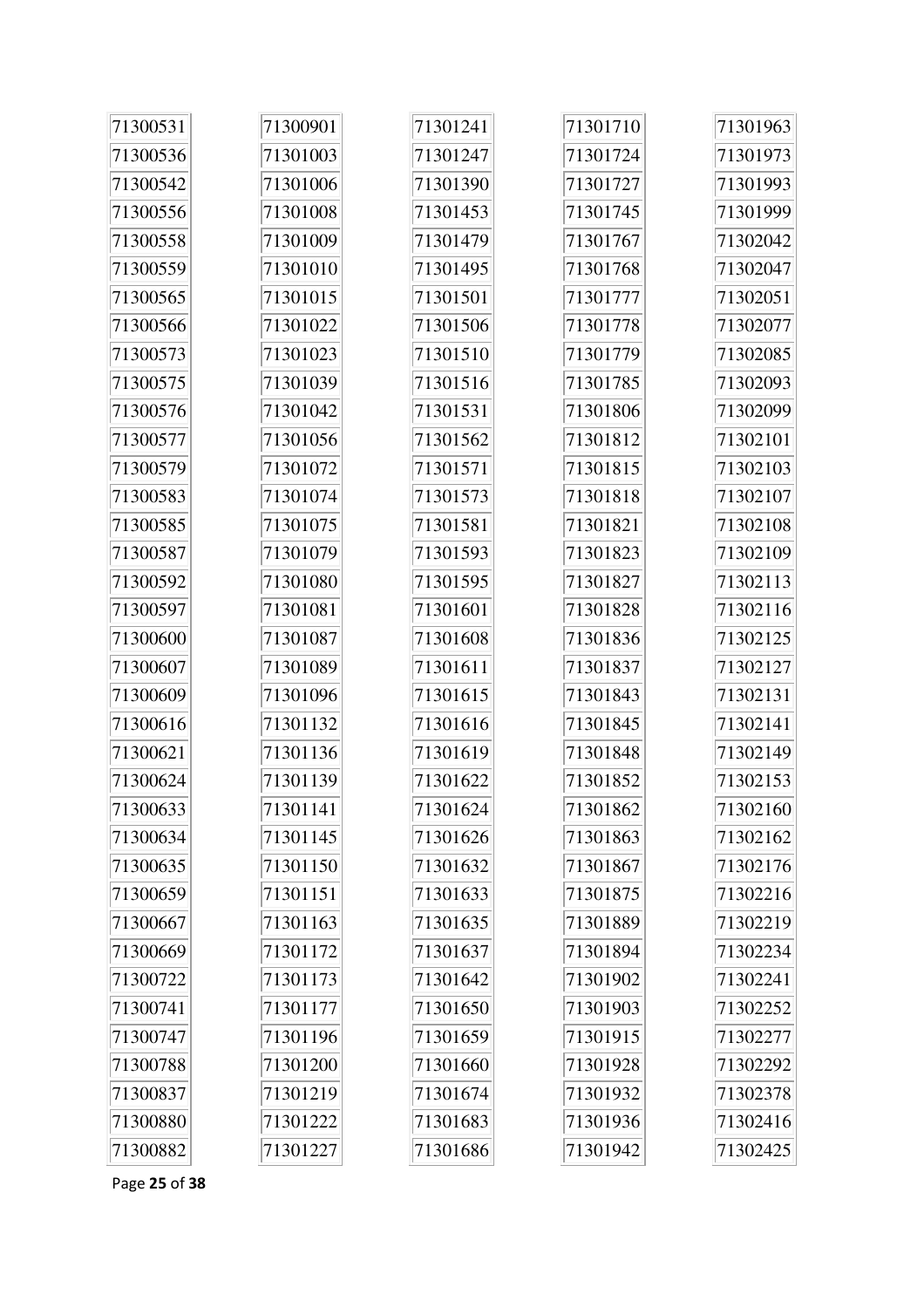| 71300531 | 71300901 | 71301241 | 71301710 | 71301963 |
|----------|----------|----------|----------|----------|
| 71300536 | 71301003 | 71301247 | 71301724 | 71301973 |
| 71300542 | 71301006 | 71301390 | 71301727 | 71301993 |
| 71300556 | 71301008 | 71301453 | 71301745 | 71301999 |
| 71300558 | 71301009 | 71301479 | 71301767 | 71302042 |
| 71300559 | 71301010 | 71301495 | 71301768 | 71302047 |
| 71300565 | 71301015 | 71301501 | 71301777 | 71302051 |
| 71300566 | 71301022 | 71301506 | 71301778 | 71302077 |
| 71300573 | 71301023 | 71301510 | 71301779 | 71302085 |
| 71300575 | 71301039 | 71301516 | 71301785 | 71302093 |
| 71300576 | 71301042 | 71301531 | 71301806 | 71302099 |
| 71300577 | 71301056 | 71301562 | 71301812 | 71302101 |
| 71300579 | 71301072 | 71301571 | 71301815 | 71302103 |
| 71300583 | 71301074 | 71301573 | 71301818 | 71302107 |
| 71300585 | 71301075 | 71301581 | 71301821 | 71302108 |
| 71300587 | 71301079 | 71301593 | 71301823 | 71302109 |
| 71300592 | 71301080 | 71301595 | 71301827 | 71302113 |
| 71300597 | 71301081 | 71301601 | 71301828 | 71302116 |
| 71300600 | 71301087 | 71301608 | 71301836 | 71302125 |
| 71300607 | 71301089 | 71301611 | 71301837 | 71302127 |
| 71300609 | 71301096 | 71301615 | 71301843 | 71302131 |
| 71300616 | 71301132 | 71301616 | 71301845 | 71302141 |
| 71300621 | 71301136 | 71301619 | 71301848 | 71302149 |
| 71300624 | 71301139 | 71301622 | 71301852 | 71302153 |
| 71300633 | 71301141 | 71301624 | 71301862 | 71302160 |
| 71300634 | 71301145 | 71301626 | 71301863 | 71302162 |
| 71300635 | 71301150 | 71301632 | 71301867 | 71302176 |
| 71300659 | 71301151 | 71301633 | 71301875 | 71302216 |
| 71300667 | 71301163 | 71301635 | 71301889 | 71302219 |
| 71300669 | 71301172 | 71301637 | 71301894 | 71302234 |
| 71300722 | 71301173 | 71301642 | 71301902 | 71302241 |
| 71300741 | 71301177 | 71301650 | 71301903 | 71302252 |
| 71300747 | 71301196 | 71301659 | 71301915 | 71302277 |
| 71300788 | 71301200 | 71301660 | 71301928 | 71302292 |
| 71300837 | 71301219 | 71301674 | 71301932 | 71302378 |
| 71300880 | 71301222 | 71301683 | 71301936 | 71302416 |
| 71300882 | 71301227 | 71301686 | 71301942 | 71302425 |

Page 25 of 38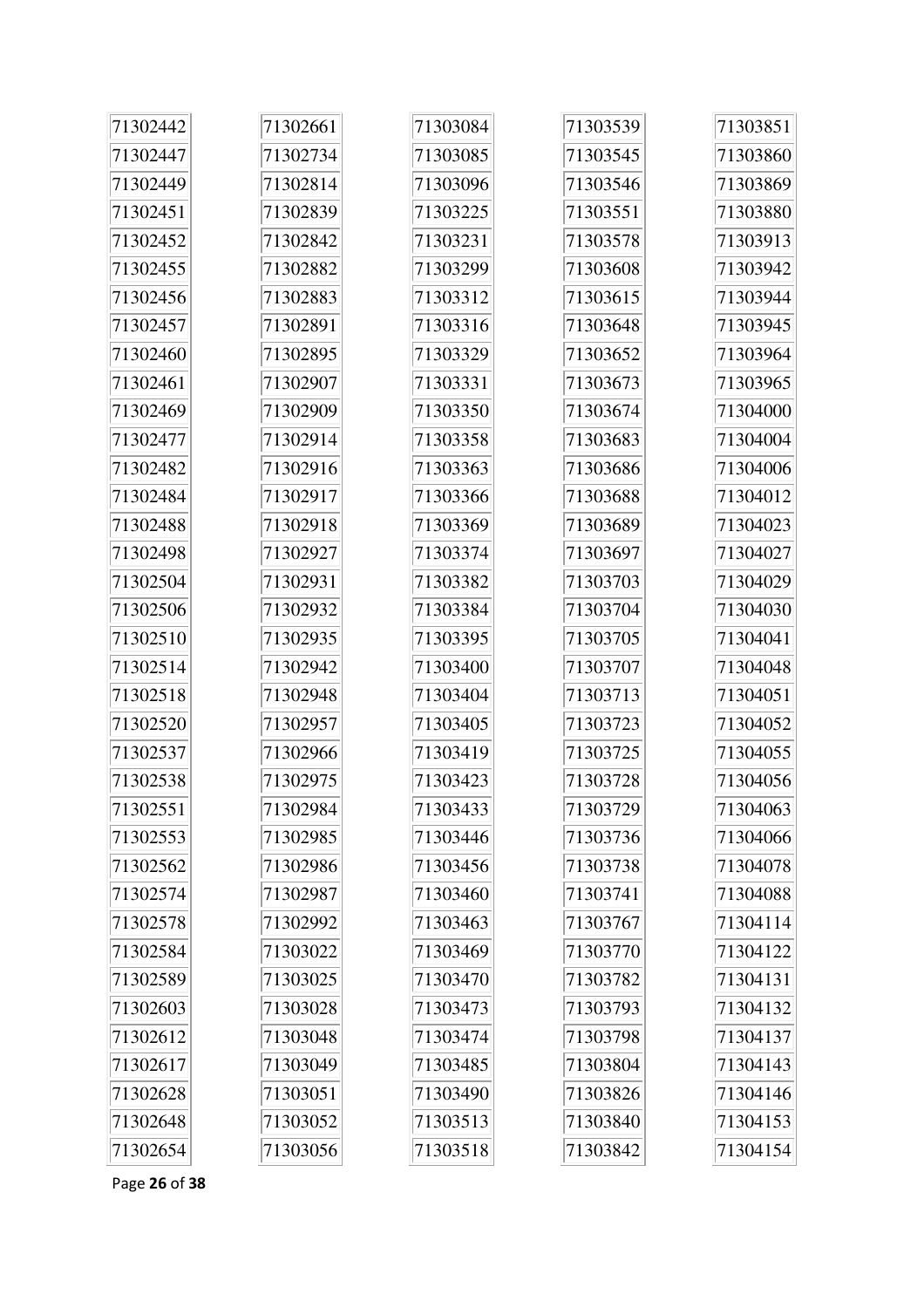| 71302442 | 71302661 | 71303084 | 71303539 | 71303851 |
|----------|----------|----------|----------|----------|
| 71302447 | 71302734 | 71303085 | 71303545 | 71303860 |
| 71302449 | 71302814 | 71303096 | 71303546 | 71303869 |
| 71302451 | 71302839 | 71303225 | 71303551 | 71303880 |
| 71302452 | 71302842 | 71303231 | 71303578 | 71303913 |
| 71302455 | 71302882 | 71303299 | 71303608 | 71303942 |
| 71302456 | 71302883 | 71303312 | 71303615 | 71303944 |
| 71302457 | 71302891 | 71303316 | 71303648 | 71303945 |
| 71302460 | 71302895 | 71303329 | 71303652 | 71303964 |
| 71302461 | 71302907 | 71303331 | 71303673 | 71303965 |
| 71302469 | 71302909 | 71303350 | 71303674 | 71304000 |
| 71302477 | 71302914 | 71303358 | 71303683 | 71304004 |
| 71302482 | 71302916 | 71303363 | 71303686 | 71304006 |
| 71302484 | 71302917 | 71303366 | 71303688 | 71304012 |
| 71302488 | 71302918 | 71303369 | 71303689 | 71304023 |
| 71302498 | 71302927 | 71303374 | 71303697 | 71304027 |
| 71302504 | 71302931 | 71303382 | 71303703 | 71304029 |
| 71302506 | 71302932 | 71303384 | 71303704 | 71304030 |
| 71302510 | 71302935 | 71303395 | 71303705 | 71304041 |
| 71302514 | 71302942 | 71303400 | 71303707 | 71304048 |
| 71302518 | 71302948 | 71303404 | 71303713 | 71304051 |
| 71302520 | 71302957 | 71303405 | 71303723 | 71304052 |
| 71302537 | 71302966 | 71303419 | 71303725 | 71304055 |
| 71302538 | 71302975 | 71303423 | 71303728 | 71304056 |
| 71302551 | 71302984 | 71303433 | 71303729 | 71304063 |
| 71302553 | 71302985 | 71303446 | 71303736 | 71304066 |
| 71302562 | 71302986 | 71303456 | 71303738 | 71304078 |
| 71302574 | 71302987 | 71303460 | 71303741 | 71304088 |
| 71302578 | 71302992 | 71303463 | 71303767 | 71304114 |
| 71302584 | 71303022 | 71303469 | 71303770 | 71304122 |
| 71302589 | 71303025 | 71303470 | 71303782 | 71304131 |
| 71302603 | 71303028 | 71303473 | 71303793 | 71304132 |
| 71302612 | 71303048 | 71303474 | 71303798 | 71304137 |
| 71302617 | 71303049 | 71303485 | 71303804 | 71304143 |
| 71302628 | 71303051 | 71303490 | 71303826 | 71304146 |
| 71302648 | 71303052 | 71303513 | 71303840 | 71304153 |
| 71302654 | 71303056 | 71303518 | 71303842 | 71304154 |

Page **26** of **38**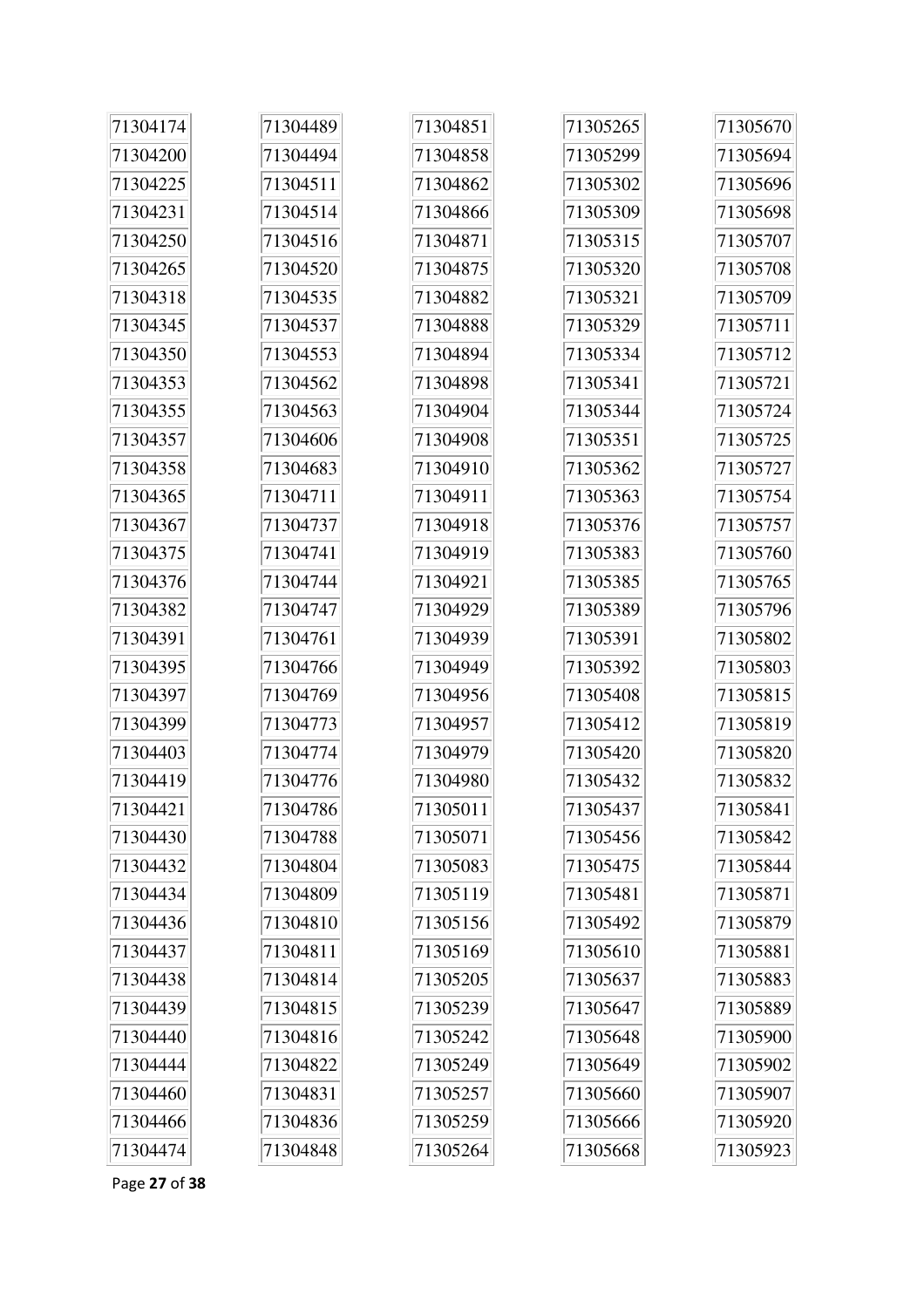| 71304174 | 71304489 | 71304851 | 71305265 | 71305670 |
|----------|----------|----------|----------|----------|
| 71304200 | 71304494 | 71304858 | 71305299 | 71305694 |
| 71304225 | 71304511 | 71304862 | 71305302 | 71305696 |
| 71304231 | 71304514 | 71304866 | 71305309 | 71305698 |
| 71304250 | 71304516 | 71304871 | 71305315 | 71305707 |
| 71304265 | 71304520 | 71304875 | 71305320 | 71305708 |
| 71304318 | 71304535 | 71304882 | 71305321 | 71305709 |
| 71304345 | 71304537 | 71304888 | 71305329 | 71305711 |
| 71304350 | 71304553 | 71304894 | 71305334 | 71305712 |
| 71304353 | 71304562 | 71304898 | 71305341 | 71305721 |
| 71304355 | 71304563 | 71304904 | 71305344 | 71305724 |
| 71304357 | 71304606 | 71304908 | 71305351 | 71305725 |
| 71304358 | 71304683 | 71304910 | 71305362 | 71305727 |
| 71304365 | 71304711 | 71304911 | 71305363 | 71305754 |
| 71304367 | 71304737 | 71304918 | 71305376 | 71305757 |
| 71304375 | 71304741 | 71304919 | 71305383 | 71305760 |
| 71304376 | 71304744 | 71304921 | 71305385 | 71305765 |
| 71304382 | 71304747 | 71304929 | 71305389 | 71305796 |
| 71304391 | 71304761 | 71304939 | 71305391 | 71305802 |
| 71304395 | 71304766 | 71304949 | 71305392 | 71305803 |
| 71304397 | 71304769 | 71304956 | 71305408 | 71305815 |
| 71304399 | 71304773 | 71304957 | 71305412 | 71305819 |
| 71304403 | 71304774 | 71304979 | 71305420 | 71305820 |
| 71304419 | 71304776 | 71304980 | 71305432 | 71305832 |
| 71304421 | 71304786 | 71305011 | 71305437 | 71305841 |
| 71304430 | 71304788 | 71305071 | 71305456 | 71305842 |
| 71304432 | 71304804 | 71305083 | 71305475 | 71305844 |
| 71304434 | 71304809 | 71305119 | 71305481 | 71305871 |
| 71304436 | 71304810 | 71305156 | 71305492 | 71305879 |
| 71304437 | 71304811 | 71305169 | 71305610 | 71305881 |
| 71304438 | 71304814 | 71305205 | 71305637 | 71305883 |
| 71304439 | 71304815 | 71305239 | 71305647 | 71305889 |
| 71304440 | 71304816 | 71305242 | 71305648 | 71305900 |
| 71304444 | 71304822 | 71305249 | 71305649 | 71305902 |
| 71304460 | 71304831 | 71305257 | 71305660 | 71305907 |
| 71304466 | 71304836 | 71305259 | 71305666 | 71305920 |
| 71304474 | 71304848 | 71305264 | 71305668 | 71305923 |

Page **27** of **38**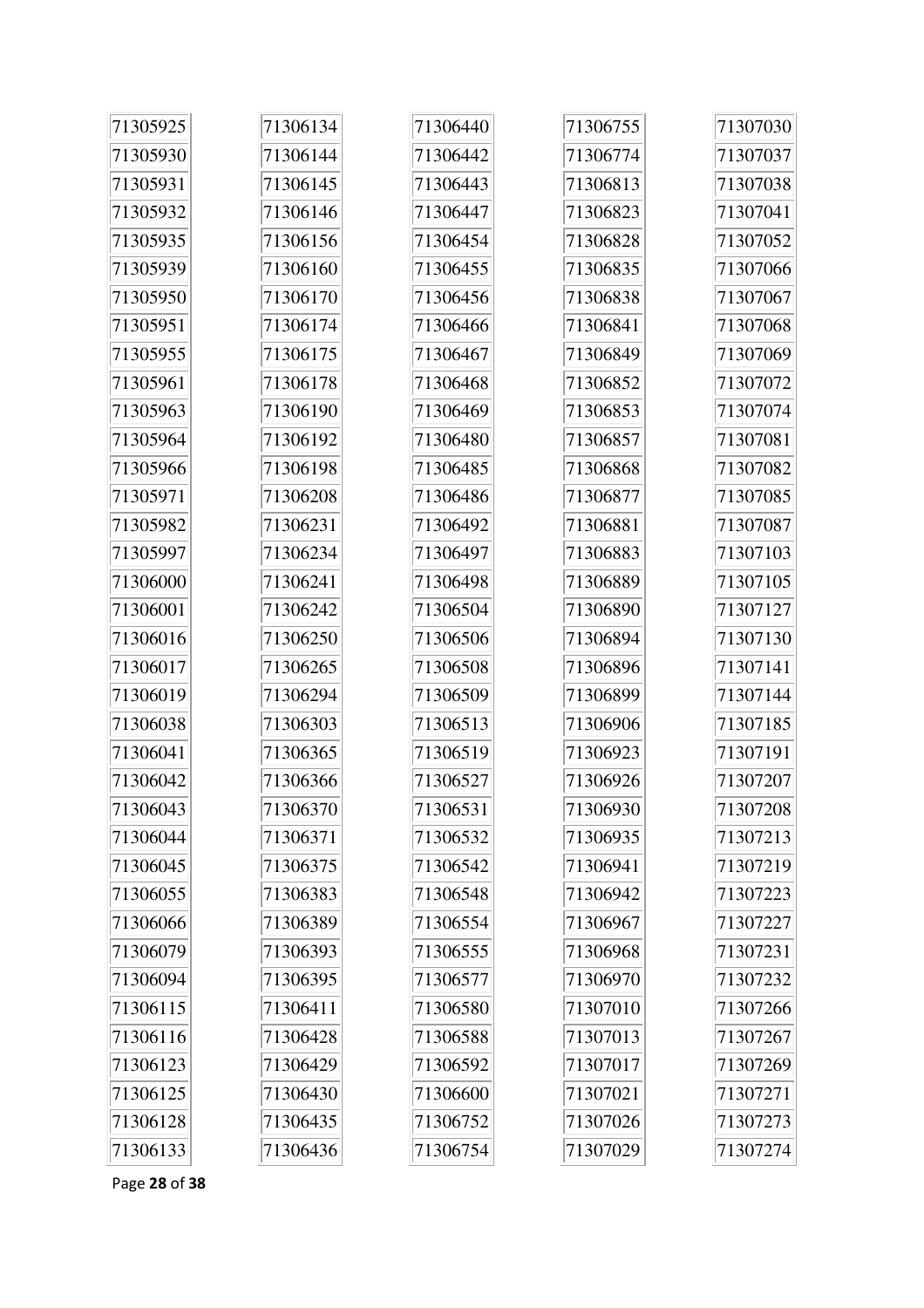| 71305925 | 71306134 | 71306440 | 71306755 | 71307030 |
|----------|----------|----------|----------|----------|
| 71305930 | 71306144 | 71306442 | 71306774 | 71307037 |
| 71305931 | 71306145 | 71306443 | 71306813 | 71307038 |
| 71305932 | 71306146 | 71306447 | 71306823 | 71307041 |
| 71305935 | 71306156 | 71306454 | 71306828 | 71307052 |
| 71305939 | 71306160 | 71306455 | 71306835 | 71307066 |
| 71305950 | 71306170 | 71306456 | 71306838 | 71307067 |
| 71305951 | 71306174 | 71306466 | 71306841 | 71307068 |
| 71305955 | 71306175 | 71306467 | 71306849 | 71307069 |
| 71305961 | 71306178 | 71306468 | 71306852 | 71307072 |
| 71305963 | 71306190 | 71306469 | 71306853 | 71307074 |
| 71305964 | 71306192 | 71306480 | 71306857 | 71307081 |
| 71305966 | 71306198 | 71306485 | 71306868 | 71307082 |
| 71305971 | 71306208 | 71306486 | 71306877 | 71307085 |
| 71305982 | 71306231 | 71306492 | 71306881 | 71307087 |
| 71305997 | 71306234 | 71306497 | 71306883 | 71307103 |
| 71306000 | 71306241 | 71306498 | 71306889 | 71307105 |
| 71306001 | 71306242 | 71306504 | 71306890 | 71307127 |
| 71306016 | 71306250 | 71306506 | 71306894 | 71307130 |
| 71306017 | 71306265 | 71306508 | 71306896 | 71307141 |
| 71306019 | 71306294 | 71306509 | 71306899 | 71307144 |
| 71306038 | 71306303 | 71306513 | 71306906 | 71307185 |
| 71306041 | 71306365 | 71306519 | 71306923 | 71307191 |
| 71306042 | 71306366 | 71306527 | 71306926 | 71307207 |
| 71306043 | 71306370 | 71306531 | 71306930 | 71307208 |
| 71306044 | 71306371 | 71306532 | 71306935 | 71307213 |
| 71306045 | 71306375 | 71306542 | 71306941 | 71307219 |
| 71306055 | 71306383 | 71306548 | 71306942 | 71307223 |
| 71306066 | 71306389 | 71306554 | 71306967 | 71307227 |
| 71306079 | 71306393 | 71306555 | 71306968 | 71307231 |
| 71306094 | 71306395 | 71306577 | 71306970 | 71307232 |
| 71306115 | 71306411 | 71306580 | 71307010 | 71307266 |
| 71306116 | 71306428 | 71306588 | 71307013 | 71307267 |
| 71306123 | 71306429 | 71306592 | 71307017 | 71307269 |
| 71306125 | 71306430 | 71306600 | 71307021 | 71307271 |
| 71306128 | 71306435 | 71306752 | 71307026 | 71307273 |
| 71306133 | 71306436 | 71306754 | 71307029 | 71307274 |

Page **28** of **38**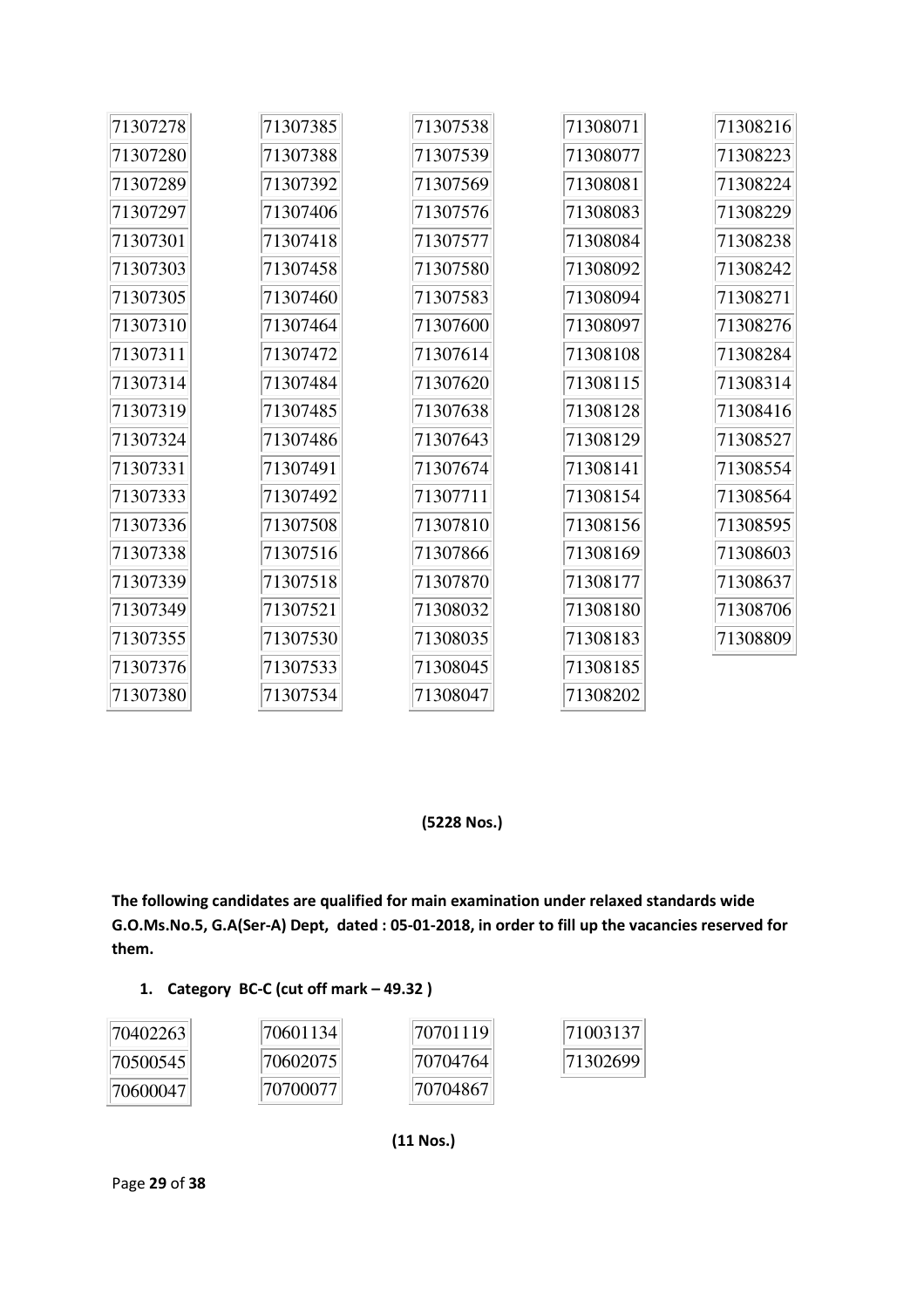| 71307278 | 71307385 | 71307538 | 71308071 | 71308216 |
|----------|----------|----------|----------|----------|
| 71307280 | 71307388 | 71307539 | 71308077 | 71308223 |
| 71307289 | 71307392 | 71307569 | 71308081 | 71308224 |
| 71307297 | 71307406 | 71307576 | 71308083 | 71308229 |
| 71307301 | 71307418 | 71307577 | 71308084 | 71308238 |
| 71307303 | 71307458 | 71307580 | 71308092 | 71308242 |
| 71307305 | 71307460 | 71307583 | 71308094 | 71308271 |
| 71307310 | 71307464 | 71307600 | 71308097 | 71308276 |
| 71307311 | 71307472 | 71307614 | 71308108 | 71308284 |
| 71307314 | 71307484 | 71307620 | 71308115 | 71308314 |
| 71307319 | 71307485 | 71307638 | 71308128 | 71308416 |
| 71307324 | 71307486 | 71307643 | 71308129 | 71308527 |
| 71307331 | 71307491 | 71307674 | 71308141 | 71308554 |
| 71307333 | 71307492 | 71307711 | 71308154 | 71308564 |
| 71307336 | 71307508 | 71307810 | 71308156 | 71308595 |
| 71307338 | 71307516 | 71307866 | 71308169 | 71308603 |
| 71307339 | 71307518 | 71307870 | 71308177 | 71308637 |
| 71307349 | 71307521 | 71308032 | 71308180 | 71308706 |
| 71307355 | 71307530 | 71308035 | 71308183 | 71308809 |
| 71307376 | 71307533 | 71308045 | 71308185 |          |
| 71307380 | 71307534 | 71308047 | 71308202 |          |

### **(5228 Nos.)**

**The following candidates are qualified for main examination under relaxed standards wide G.O.Ms.No.5, G.A(Ser-A) Dept, dated : 05-01-2018, in order to fill up the vacancies reserved for them.** 

### **1. Category BC-C (cut off mark – 49.32 )**

| 70402263 | 70601134  | 70701119  | 71003137 |
|----------|-----------|-----------|----------|
| 70500545 | 70602075  | 70704764  | 71302699 |
| 70600047 | 170700077 | 170704867 |          |

 **(11 Nos.)**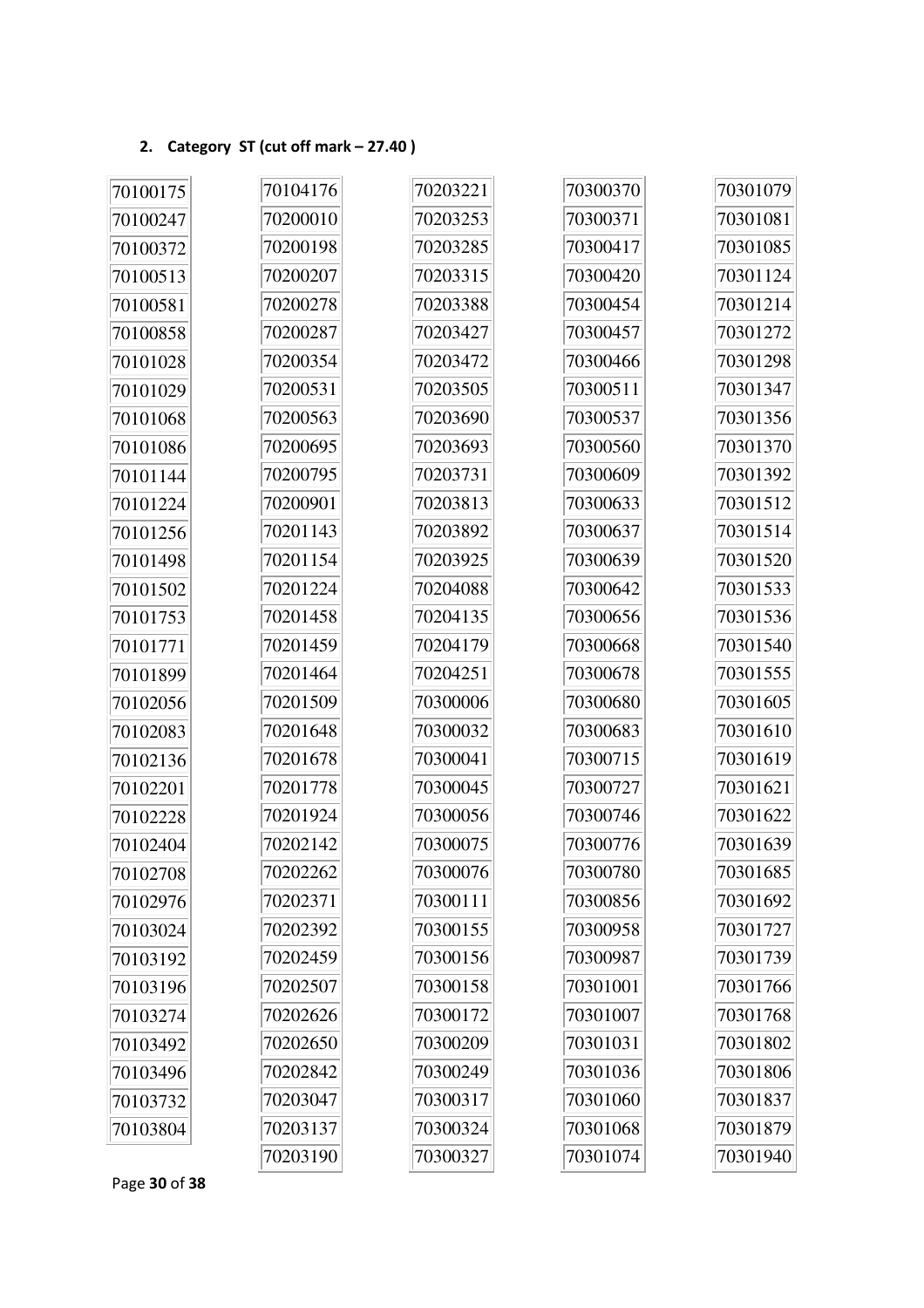## **2. Category ST (cut off mark – 27.40 )**

| 70100175 | 70104176 | 70203221 | 70300370 | 70301079 |
|----------|----------|----------|----------|----------|
| 70100247 | 70200010 | 70203253 | 70300371 | 70301081 |
| 70100372 | 70200198 | 70203285 | 70300417 | 70301085 |
| 70100513 | 70200207 | 70203315 | 70300420 | 70301124 |
| 70100581 | 70200278 | 70203388 | 70300454 | 70301214 |
| 70100858 | 70200287 | 70203427 | 70300457 | 70301272 |
| 70101028 | 70200354 | 70203472 | 70300466 | 70301298 |
| 70101029 | 70200531 | 70203505 | 70300511 | 70301347 |
| 70101068 | 70200563 | 70203690 | 70300537 | 70301356 |
| 70101086 | 70200695 | 70203693 | 70300560 | 70301370 |
| 70101144 | 70200795 | 70203731 | 70300609 | 70301392 |
| 70101224 | 70200901 | 70203813 | 70300633 | 70301512 |
| 70101256 | 70201143 | 70203892 | 70300637 | 70301514 |
| 70101498 | 70201154 | 70203925 | 70300639 | 70301520 |
| 70101502 | 70201224 | 70204088 | 70300642 | 70301533 |
| 70101753 | 70201458 | 70204135 | 70300656 | 70301536 |
| 70101771 | 70201459 | 70204179 | 70300668 | 70301540 |
| 70101899 | 70201464 | 70204251 | 70300678 | 70301555 |
| 70102056 | 70201509 | 70300006 | 70300680 | 70301605 |
| 70102083 | 70201648 | 70300032 | 70300683 | 70301610 |
| 70102136 | 70201678 | 70300041 | 70300715 | 70301619 |
| 70102201 | 70201778 | 70300045 | 70300727 | 70301621 |
| 70102228 | 70201924 | 70300056 | 70300746 | 70301622 |
| 70102404 | 70202142 | 70300075 | 70300776 | 70301639 |
| 70102708 | 70202262 | 70300076 | 70300780 | 70301685 |
| 70102976 | 70202371 | 70300111 | 70300856 | 70301692 |
| 70103024 | 70202392 | 70300155 | 70300958 | 70301727 |
| 70103192 | 70202459 | 70300156 | 70300987 | 70301739 |
| 70103196 | 70202507 | 70300158 | 70301001 | 70301766 |
| 70103274 | 70202626 | 70300172 | 70301007 | 70301768 |
| 70103492 | 70202650 | 70300209 | 70301031 | 70301802 |
| 70103496 | 70202842 | 70300249 | 70301036 | 70301806 |
| 70103732 | 70203047 | 70300317 | 70301060 | 70301837 |
| 70103804 | 70203137 | 70300324 | 70301068 | 70301879 |
|          | 70203190 | 70300327 | 70301074 | 70301940 |

Page **30** of **38**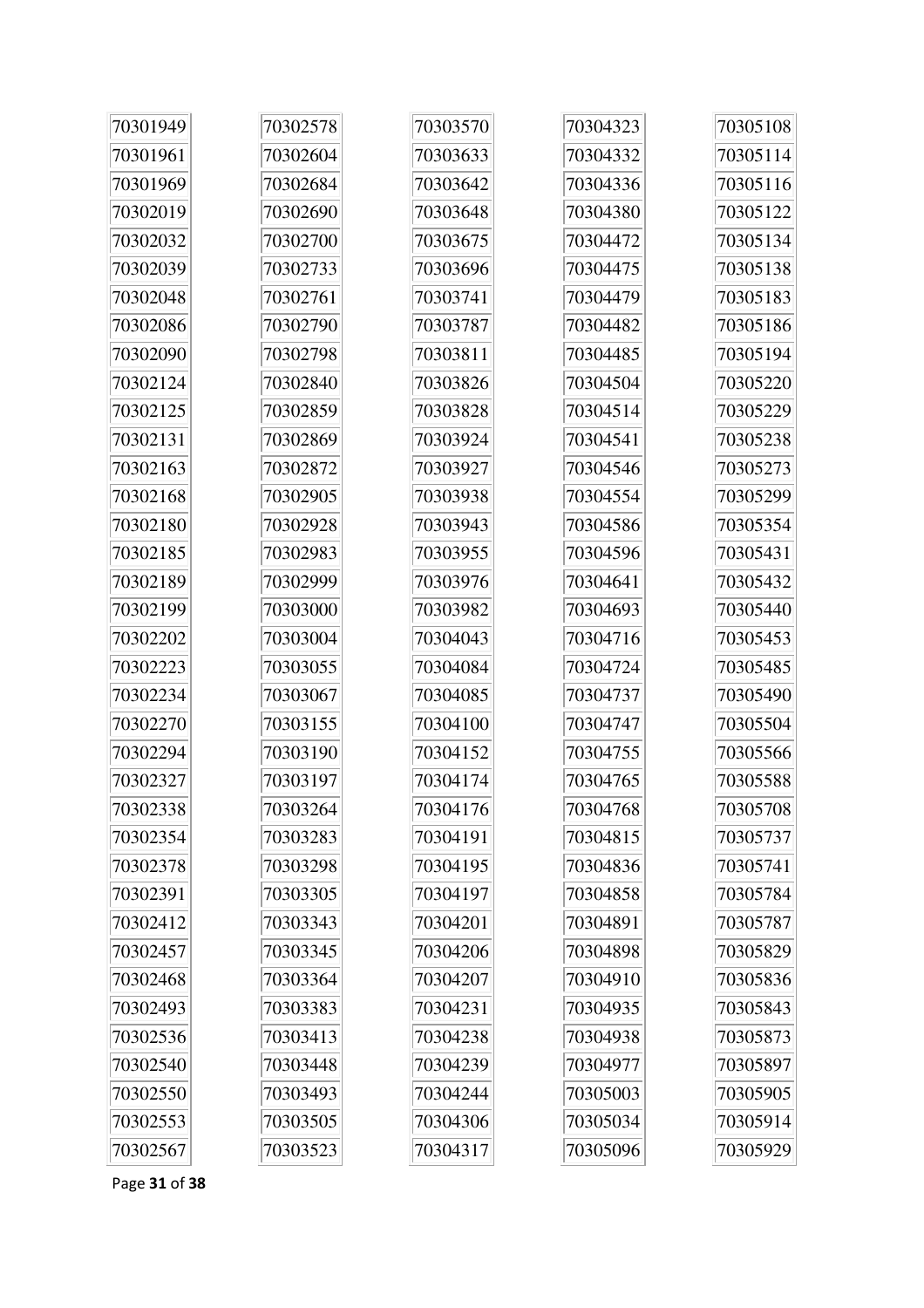| 70301949 | 70302578 | 70303570 | 70304323 | 70305108 |
|----------|----------|----------|----------|----------|
| 70301961 | 70302604 | 70303633 | 70304332 | 70305114 |
| 70301969 | 70302684 | 70303642 | 70304336 | 70305116 |
| 70302019 | 70302690 | 70303648 | 70304380 | 70305122 |
| 70302032 | 70302700 | 70303675 | 70304472 | 70305134 |
| 70302039 | 70302733 | 70303696 | 70304475 | 70305138 |
| 70302048 | 70302761 | 70303741 | 70304479 | 70305183 |
| 70302086 | 70302790 | 70303787 | 70304482 | 70305186 |
| 70302090 | 70302798 | 70303811 | 70304485 | 70305194 |
| 70302124 | 70302840 | 70303826 | 70304504 | 70305220 |
| 70302125 | 70302859 | 70303828 | 70304514 | 70305229 |
| 70302131 | 70302869 | 70303924 | 70304541 | 70305238 |
| 70302163 | 70302872 | 70303927 | 70304546 | 70305273 |
| 70302168 | 70302905 | 70303938 | 70304554 | 70305299 |
| 70302180 | 70302928 | 70303943 | 70304586 | 70305354 |
| 70302185 | 70302983 | 70303955 | 70304596 | 70305431 |
| 70302189 | 70302999 | 70303976 | 70304641 | 70305432 |
| 70302199 | 70303000 | 70303982 | 70304693 | 70305440 |
| 70302202 | 70303004 | 70304043 | 70304716 | 70305453 |
| 70302223 | 70303055 | 70304084 | 70304724 | 70305485 |
| 70302234 | 70303067 | 70304085 | 70304737 | 70305490 |
| 70302270 | 70303155 | 70304100 | 70304747 | 70305504 |
| 70302294 | 70303190 | 70304152 | 70304755 | 70305566 |
| 70302327 | 70303197 | 70304174 | 70304765 | 70305588 |
| 70302338 | 70303264 | 70304176 | 70304768 | 70305708 |
| 70302354 | 70303283 | 70304191 | 70304815 | 70305737 |
| 70302378 | 70303298 | 70304195 | 70304836 | 70305741 |
| 70302391 | 70303305 | 70304197 | 70304858 | 70305784 |
| 70302412 | 70303343 | 70304201 | 70304891 | 70305787 |
| 70302457 | 70303345 | 70304206 | 70304898 | 70305829 |
| 70302468 | 70303364 | 70304207 | 70304910 | 70305836 |
| 70302493 | 70303383 | 70304231 | 70304935 | 70305843 |
| 70302536 | 70303413 | 70304238 | 70304938 | 70305873 |
| 70302540 | 70303448 | 70304239 | 70304977 | 70305897 |
| 70302550 | 70303493 | 70304244 | 70305003 | 70305905 |
| 70302553 | 70303505 | 70304306 | 70305034 | 70305914 |
| 70302567 | 70303523 | 70304317 | 70305096 | 70305929 |

Page **31** of **38**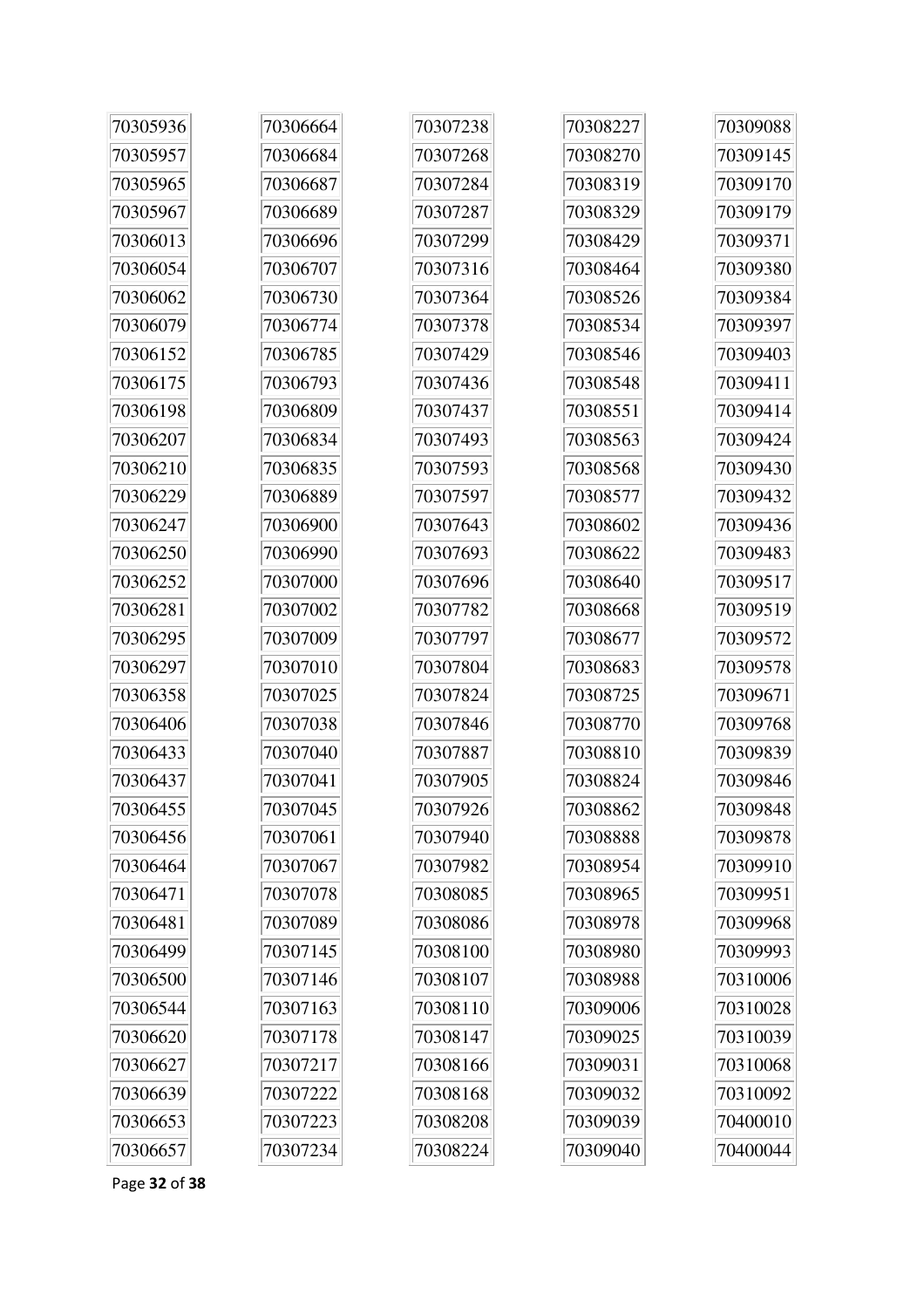| 70305936 | 70306664 | 70307238 | 70308227 | 70309088 |
|----------|----------|----------|----------|----------|
| 70305957 | 70306684 | 70307268 | 70308270 | 70309145 |
| 70305965 | 70306687 | 70307284 | 70308319 | 70309170 |
| 70305967 | 70306689 | 70307287 | 70308329 | 70309179 |
| 70306013 | 70306696 | 70307299 | 70308429 | 70309371 |
| 70306054 | 70306707 | 70307316 | 70308464 | 70309380 |
| 70306062 | 70306730 | 70307364 | 70308526 | 70309384 |
| 70306079 | 70306774 | 70307378 | 70308534 | 70309397 |
| 70306152 | 70306785 | 70307429 | 70308546 | 70309403 |
| 70306175 | 70306793 | 70307436 | 70308548 | 70309411 |
| 70306198 | 70306809 | 70307437 | 70308551 | 70309414 |
| 70306207 | 70306834 | 70307493 | 70308563 | 70309424 |
| 70306210 | 70306835 | 70307593 | 70308568 | 70309430 |
| 70306229 | 70306889 | 70307597 | 70308577 | 70309432 |
| 70306247 | 70306900 | 70307643 | 70308602 | 70309436 |
| 70306250 | 70306990 | 70307693 | 70308622 | 70309483 |
| 70306252 | 70307000 | 70307696 | 70308640 | 70309517 |
| 70306281 | 70307002 | 70307782 | 70308668 | 70309519 |
| 70306295 | 70307009 | 70307797 | 70308677 | 70309572 |
| 70306297 | 70307010 | 70307804 | 70308683 | 70309578 |
| 70306358 | 70307025 | 70307824 | 70308725 | 70309671 |
| 70306406 | 70307038 | 70307846 | 70308770 | 70309768 |
| 70306433 | 70307040 | 70307887 | 70308810 | 70309839 |
| 70306437 | 70307041 | 70307905 | 70308824 | 70309846 |
| 70306455 | 70307045 | 70307926 | 70308862 | 70309848 |
| 70306456 | 70307061 | 70307940 | 70308888 | 70309878 |
| 70306464 | 70307067 | 70307982 | 70308954 | 70309910 |
| 70306471 | 70307078 | 70308085 | 70308965 | 70309951 |
| 70306481 | 70307089 | 70308086 | 70308978 | 70309968 |
| 70306499 | 70307145 | 70308100 | 70308980 | 70309993 |
| 70306500 | 70307146 | 70308107 | 70308988 | 70310006 |
| 70306544 | 70307163 | 70308110 | 70309006 | 70310028 |
| 70306620 | 70307178 | 70308147 | 70309025 | 70310039 |
| 70306627 | 70307217 | 70308166 | 70309031 | 70310068 |
| 70306639 | 70307222 | 70308168 | 70309032 | 70310092 |
| 70306653 | 70307223 | 70308208 | 70309039 | 70400010 |
| 70306657 | 70307234 | 70308224 | 70309040 | 70400044 |

Page **32** of **38**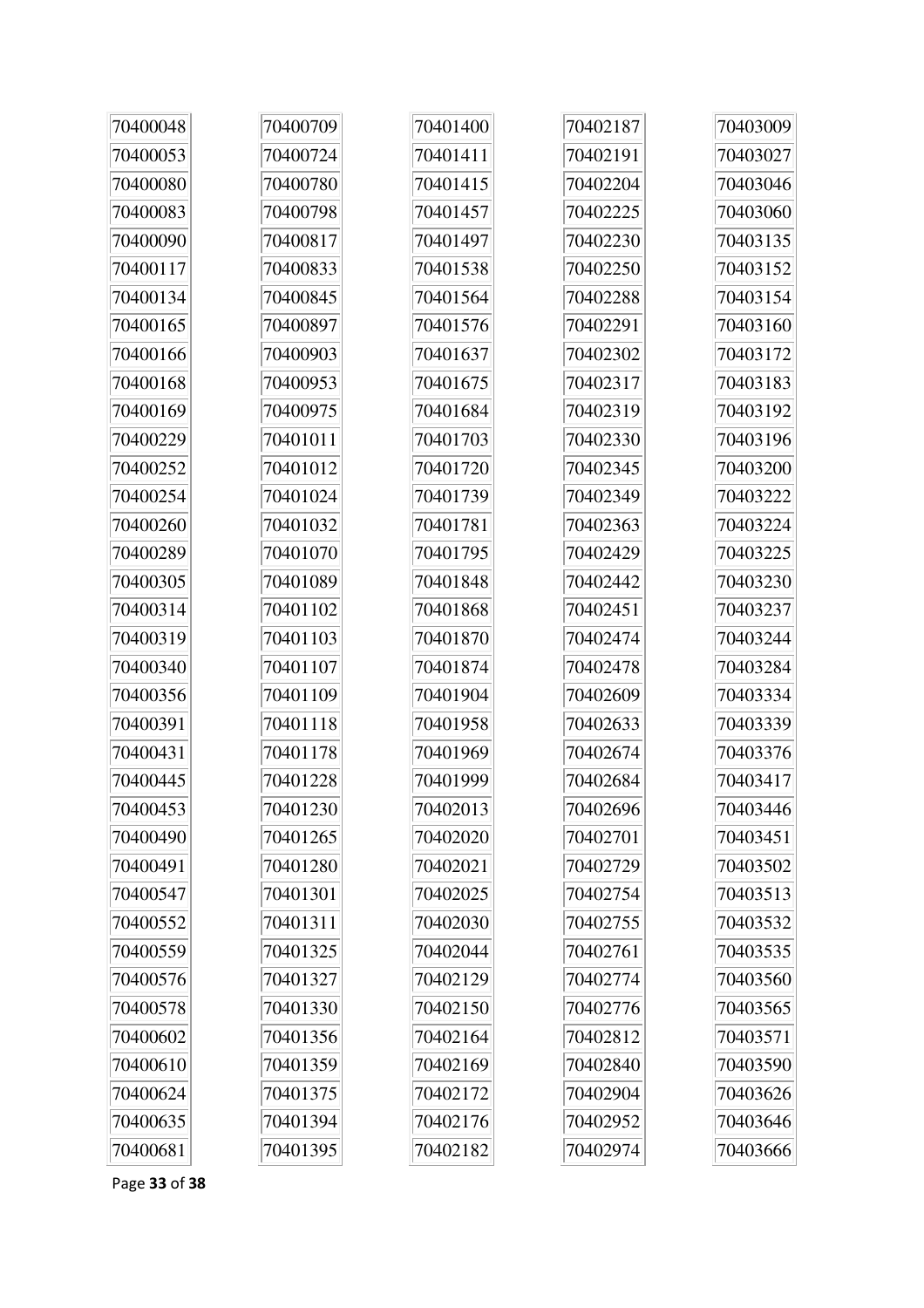| 70400048 | 70400709 | 70401400 | 70402187 | 70403009 |
|----------|----------|----------|----------|----------|
| 70400053 | 70400724 | 70401411 | 70402191 | 70403027 |
| 70400080 | 70400780 | 70401415 | 70402204 | 70403046 |
| 70400083 | 70400798 | 70401457 | 70402225 | 70403060 |
| 70400090 | 70400817 | 70401497 | 70402230 | 70403135 |
| 70400117 | 70400833 | 70401538 | 70402250 | 70403152 |
| 70400134 | 70400845 | 70401564 | 70402288 | 70403154 |
| 70400165 | 70400897 | 70401576 | 70402291 | 70403160 |
| 70400166 | 70400903 | 70401637 | 70402302 | 70403172 |
| 70400168 | 70400953 | 70401675 | 70402317 | 70403183 |
| 70400169 | 70400975 | 70401684 | 70402319 | 70403192 |
| 70400229 | 70401011 | 70401703 | 70402330 | 70403196 |
| 70400252 | 70401012 | 70401720 | 70402345 | 70403200 |
| 70400254 | 70401024 | 70401739 | 70402349 | 70403222 |
| 70400260 | 70401032 | 70401781 | 70402363 | 70403224 |
| 70400289 | 70401070 | 70401795 | 70402429 | 70403225 |
| 70400305 | 70401089 | 70401848 | 70402442 | 70403230 |
| 70400314 | 70401102 | 70401868 | 70402451 | 70403237 |
| 70400319 | 70401103 | 70401870 | 70402474 | 70403244 |
| 70400340 | 70401107 | 70401874 | 70402478 | 70403284 |
| 70400356 | 70401109 | 70401904 | 70402609 | 70403334 |
| 70400391 | 70401118 | 70401958 | 70402633 | 70403339 |
| 70400431 | 70401178 | 70401969 | 70402674 | 70403376 |
| 70400445 | 70401228 | 70401999 | 70402684 | 70403417 |
| 70400453 | 70401230 | 70402013 | 70402696 | 70403446 |
| 70400490 | 70401265 | 70402020 | 70402701 | 70403451 |
| 70400491 | 70401280 | 70402021 | 70402729 | 70403502 |
| 70400547 | 70401301 | 70402025 | 70402754 | 70403513 |
| 70400552 | 70401311 | 70402030 | 70402755 | 70403532 |
| 70400559 | 70401325 | 70402044 | 70402761 | 70403535 |
| 70400576 | 70401327 | 70402129 | 70402774 | 70403560 |
| 70400578 | 70401330 | 70402150 | 70402776 | 70403565 |
| 70400602 | 70401356 | 70402164 | 70402812 | 70403571 |
| 70400610 | 70401359 | 70402169 | 70402840 | 70403590 |
| 70400624 | 70401375 | 70402172 | 70402904 | 70403626 |
| 70400635 | 70401394 | 70402176 | 70402952 | 70403646 |
| 70400681 | 70401395 | 70402182 | 70402974 | 70403666 |

Page **33** of **38**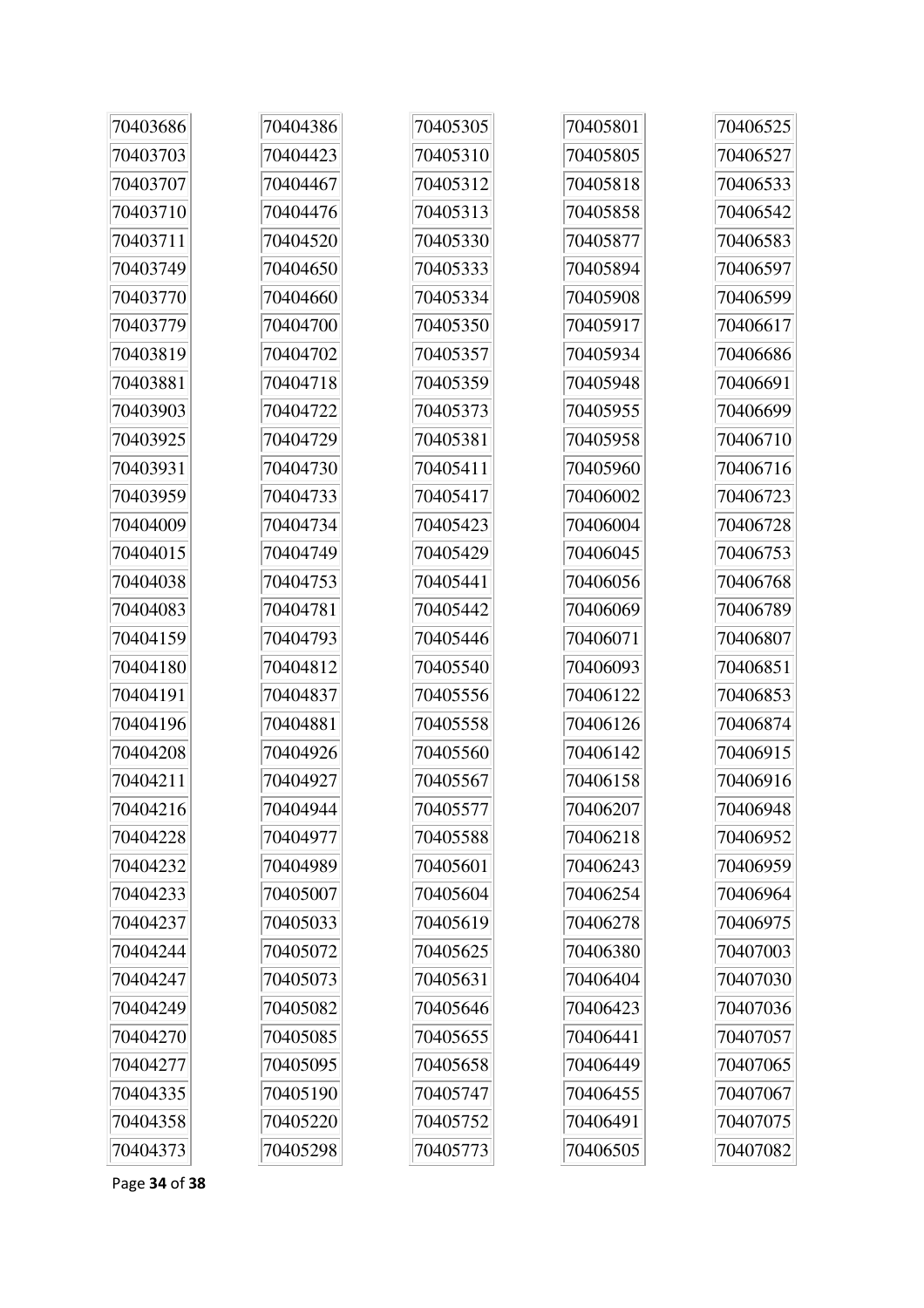| 70403686 | 70404386 | 70405305 | 70405801 | 70406525 |
|----------|----------|----------|----------|----------|
| 70403703 | 70404423 | 70405310 | 70405805 | 70406527 |
| 70403707 | 70404467 | 70405312 | 70405818 | 70406533 |
| 70403710 | 70404476 | 70405313 | 70405858 | 70406542 |
| 70403711 | 70404520 | 70405330 | 70405877 | 70406583 |
| 70403749 | 70404650 | 70405333 | 70405894 | 70406597 |
| 70403770 | 70404660 | 70405334 | 70405908 | 70406599 |
| 70403779 | 70404700 | 70405350 | 70405917 | 70406617 |
| 70403819 | 70404702 | 70405357 | 70405934 | 70406686 |
| 70403881 | 70404718 | 70405359 | 70405948 | 70406691 |
| 70403903 | 70404722 | 70405373 | 70405955 | 70406699 |
| 70403925 | 70404729 | 70405381 | 70405958 | 70406710 |
| 70403931 | 70404730 | 70405411 | 70405960 | 70406716 |
| 70403959 | 70404733 | 70405417 | 70406002 | 70406723 |
| 70404009 | 70404734 | 70405423 | 70406004 | 70406728 |
| 70404015 | 70404749 | 70405429 | 70406045 | 70406753 |
| 70404038 | 70404753 | 70405441 | 70406056 | 70406768 |
| 70404083 | 70404781 | 70405442 | 70406069 | 70406789 |
| 70404159 | 70404793 | 70405446 | 70406071 | 70406807 |
| 70404180 | 70404812 | 70405540 | 70406093 | 70406851 |
| 70404191 | 70404837 | 70405556 | 70406122 | 70406853 |
| 70404196 | 70404881 | 70405558 | 70406126 | 70406874 |
| 70404208 | 70404926 | 70405560 | 70406142 | 70406915 |
| 70404211 | 70404927 | 70405567 | 70406158 | 70406916 |
| 70404216 | 70404944 | 70405577 | 70406207 | 70406948 |
| 70404228 | 70404977 | 70405588 | 70406218 | 70406952 |
| 70404232 | 70404989 | 70405601 | 70406243 | 70406959 |
| 70404233 | 70405007 | 70405604 | 70406254 | 70406964 |
| 70404237 | 70405033 | 70405619 | 70406278 | 70406975 |
| 70404244 | 70405072 | 70405625 | 70406380 | 70407003 |
| 70404247 | 70405073 | 70405631 | 70406404 | 70407030 |
| 70404249 | 70405082 | 70405646 | 70406423 | 70407036 |
| 70404270 | 70405085 | 70405655 | 70406441 | 70407057 |
| 70404277 | 70405095 | 70405658 | 70406449 | 70407065 |
| 70404335 | 70405190 | 70405747 | 70406455 | 70407067 |
| 70404358 | 70405220 | 70405752 | 70406491 | 70407075 |
| 70404373 | 70405298 | 70405773 | 70406505 | 70407082 |

Page **34** of **38**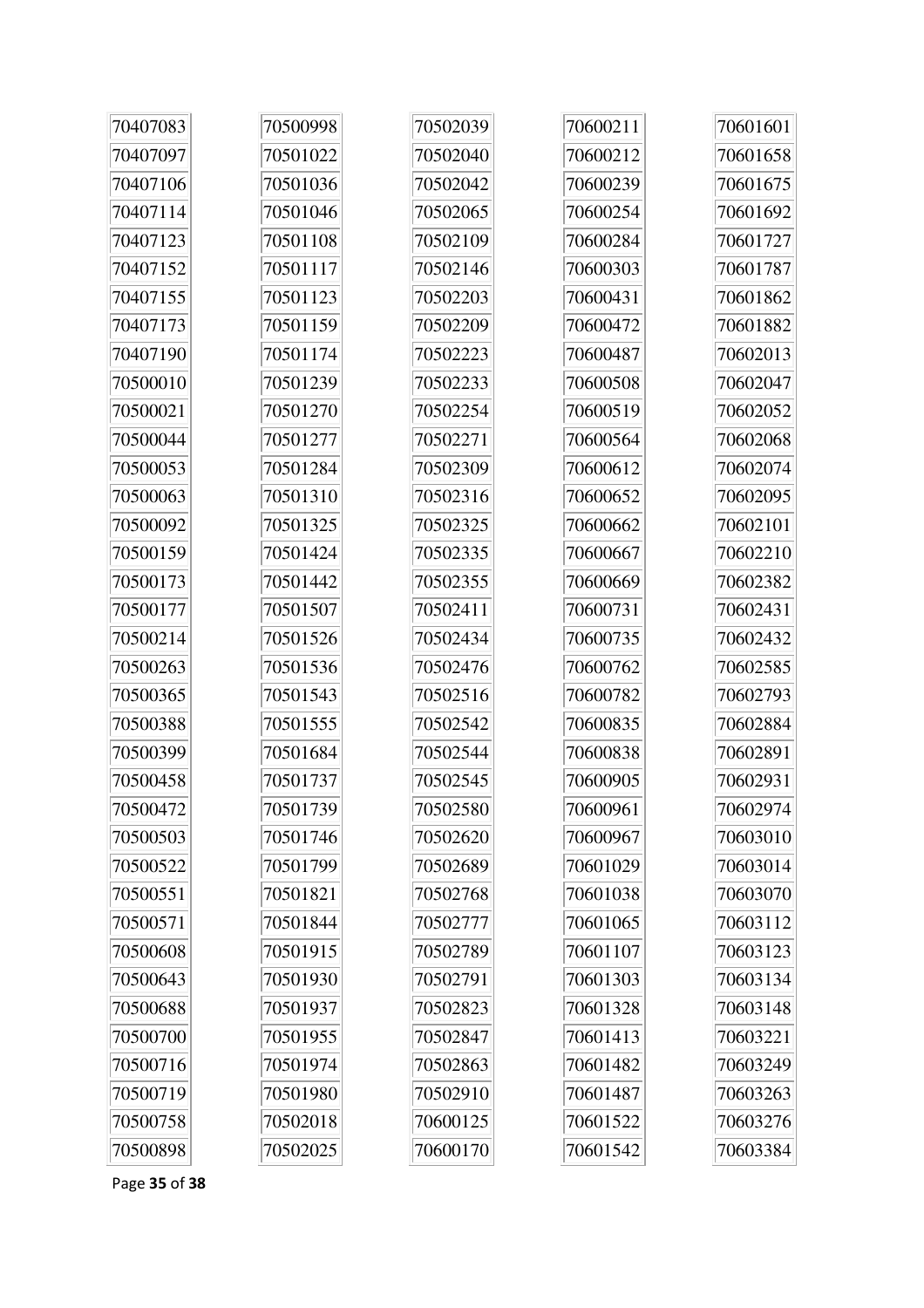| 70407083 | 70500998 | 70502039 | 70600211 | 70601601 |
|----------|----------|----------|----------|----------|
| 70407097 | 70501022 | 70502040 | 70600212 | 70601658 |
| 70407106 | 70501036 | 70502042 | 70600239 | 70601675 |
| 70407114 | 70501046 | 70502065 | 70600254 | 70601692 |
| 70407123 | 70501108 | 70502109 | 70600284 | 70601727 |
| 70407152 | 70501117 | 70502146 | 70600303 | 70601787 |
| 70407155 | 70501123 | 70502203 | 70600431 | 70601862 |
| 70407173 | 70501159 | 70502209 | 70600472 | 70601882 |
| 70407190 | 70501174 | 70502223 | 70600487 | 70602013 |
| 70500010 | 70501239 | 70502233 | 70600508 | 70602047 |
| 70500021 | 70501270 | 70502254 | 70600519 | 70602052 |
| 70500044 | 70501277 | 70502271 | 70600564 | 70602068 |
| 70500053 | 70501284 | 70502309 | 70600612 | 70602074 |
| 70500063 | 70501310 | 70502316 | 70600652 | 70602095 |
| 70500092 | 70501325 | 70502325 | 70600662 | 70602101 |
| 70500159 | 70501424 | 70502335 | 70600667 | 70602210 |
| 70500173 | 70501442 | 70502355 | 70600669 | 70602382 |
| 70500177 | 70501507 | 70502411 | 70600731 | 70602431 |
| 70500214 | 70501526 | 70502434 | 70600735 | 70602432 |
| 70500263 | 70501536 | 70502476 | 70600762 | 70602585 |
| 70500365 | 70501543 | 70502516 | 70600782 | 70602793 |
| 70500388 | 70501555 | 70502542 | 70600835 | 70602884 |
| 70500399 | 70501684 | 70502544 | 70600838 | 70602891 |
| 70500458 | 70501737 | 70502545 | 70600905 | 70602931 |
| 70500472 | 70501739 | 70502580 | 70600961 | 70602974 |
| 70500503 | 70501746 | 70502620 | 70600967 | 70603010 |
| 70500522 | 70501799 | 70502689 | 70601029 | 70603014 |
| 70500551 | 70501821 | 70502768 | 70601038 | 70603070 |
| 70500571 | 70501844 | 70502777 | 70601065 | 70603112 |
| 70500608 | 70501915 | 70502789 | 70601107 | 70603123 |
| 70500643 | 70501930 | 70502791 | 70601303 | 70603134 |
| 70500688 | 70501937 | 70502823 | 70601328 | 70603148 |
| 70500700 | 70501955 | 70502847 | 70601413 | 70603221 |
| 70500716 | 70501974 | 70502863 | 70601482 | 70603249 |
| 70500719 | 70501980 | 70502910 | 70601487 | 70603263 |
| 70500758 | 70502018 | 70600125 | 70601522 | 70603276 |
| 70500898 | 70502025 | 70600170 | 70601542 | 70603384 |

Page 35 of 38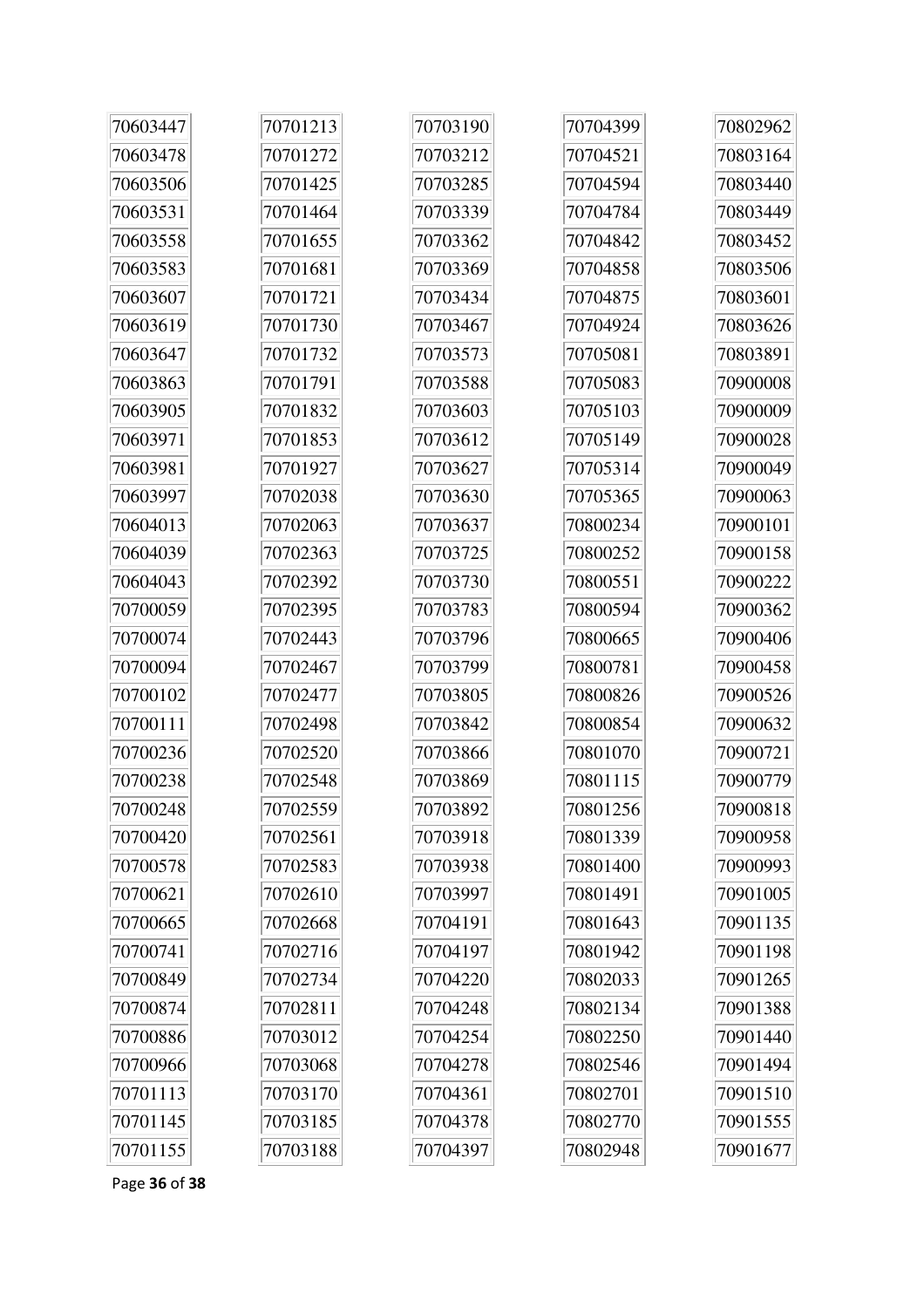| 70603447 | 70701213 | 70703190 | 70704399 | 70802962 |
|----------|----------|----------|----------|----------|
| 70603478 | 70701272 | 70703212 | 70704521 | 70803164 |
| 70603506 | 70701425 | 70703285 | 70704594 | 70803440 |
| 70603531 | 70701464 | 70703339 | 70704784 | 70803449 |
| 70603558 | 70701655 | 70703362 | 70704842 | 70803452 |
| 70603583 | 70701681 | 70703369 | 70704858 | 70803506 |
| 70603607 | 70701721 | 70703434 | 70704875 | 70803601 |
| 70603619 | 70701730 | 70703467 | 70704924 | 70803626 |
| 70603647 | 70701732 | 70703573 | 70705081 | 70803891 |
| 70603863 | 70701791 | 70703588 | 70705083 | 70900008 |
| 70603905 | 70701832 | 70703603 | 70705103 | 70900009 |
| 70603971 | 70701853 | 70703612 | 70705149 | 70900028 |
| 70603981 | 70701927 | 70703627 | 70705314 | 70900049 |
| 70603997 | 70702038 | 70703630 | 70705365 | 70900063 |
| 70604013 | 70702063 | 70703637 | 70800234 | 70900101 |
| 70604039 | 70702363 | 70703725 | 70800252 | 70900158 |
| 70604043 | 70702392 | 70703730 | 70800551 | 70900222 |
| 70700059 | 70702395 | 70703783 | 70800594 | 70900362 |
| 70700074 | 70702443 | 70703796 | 70800665 | 70900406 |
| 70700094 | 70702467 | 70703799 | 70800781 | 70900458 |
| 70700102 | 70702477 | 70703805 | 70800826 | 70900526 |
| 70700111 | 70702498 | 70703842 | 70800854 | 70900632 |
| 70700236 | 70702520 | 70703866 | 70801070 | 70900721 |
| 70700238 | 70702548 | 70703869 | 70801115 | 70900779 |
| 70700248 | 70702559 | 70703892 | 70801256 | 70900818 |
| 70700420 | 70702561 | 70703918 | 70801339 | 70900958 |
| 70700578 | 70702583 | 70703938 | 70801400 | 70900993 |
| 70700621 | 70702610 | 70703997 | 70801491 | 70901005 |
| 70700665 | 70702668 | 70704191 | 70801643 | 70901135 |
| 70700741 | 70702716 | 70704197 | 70801942 | 70901198 |
| 70700849 | 70702734 | 70704220 | 70802033 | 70901265 |
| 70700874 | 70702811 | 70704248 | 70802134 | 70901388 |
| 70700886 | 70703012 | 70704254 | 70802250 | 70901440 |
| 70700966 | 70703068 | 70704278 | 70802546 | 70901494 |
| 70701113 | 70703170 | 70704361 | 70802701 | 70901510 |
| 70701145 | 70703185 | 70704378 | 70802770 | 70901555 |
| 70701155 | 70703188 | 70704397 | 70802948 | 70901677 |

Page 36 of 38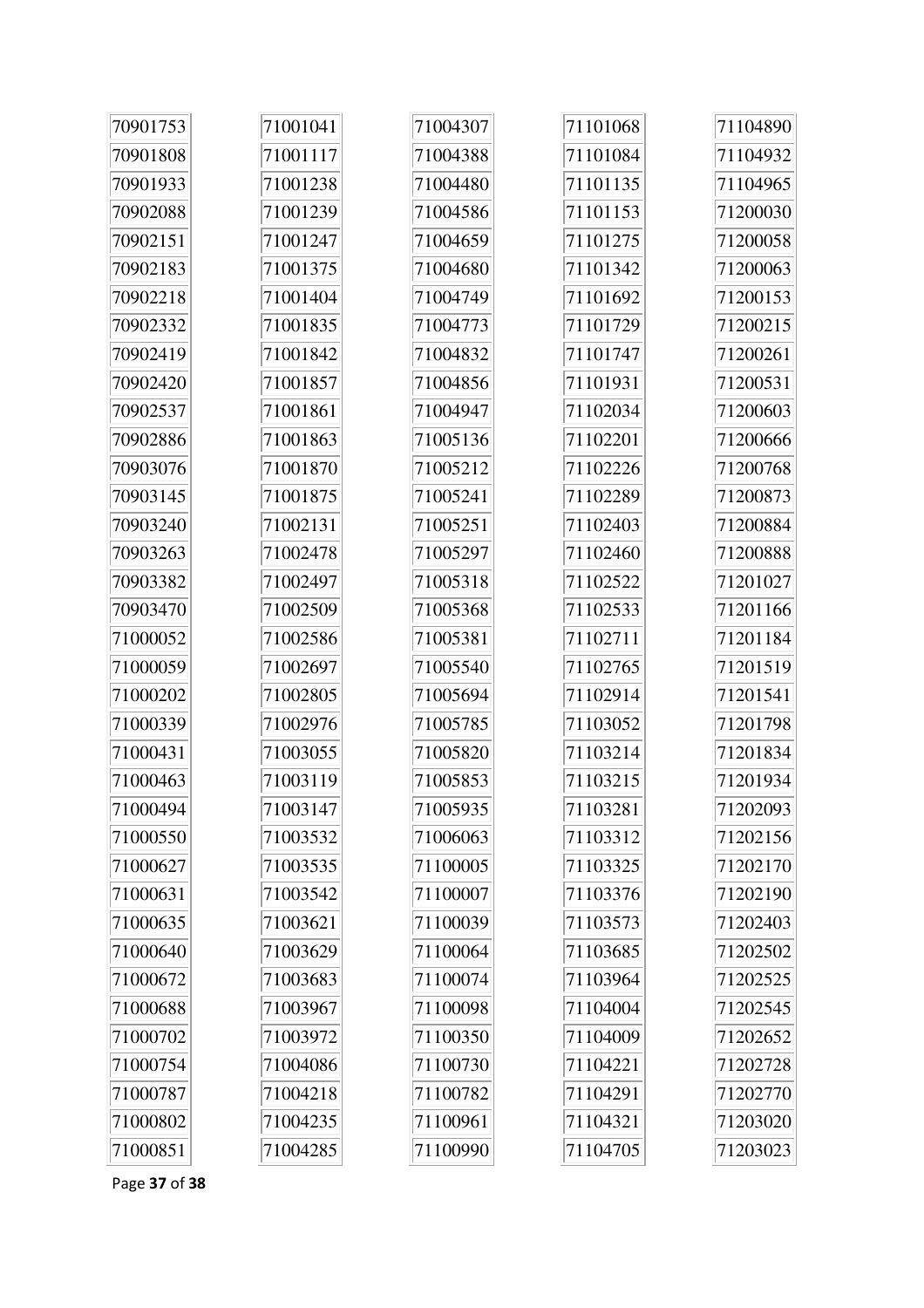| 70901753 | 71001041 | 71004307 | 71101068 | 71104890 |
|----------|----------|----------|----------|----------|
| 70901808 | 71001117 | 71004388 | 71101084 | 71104932 |
| 70901933 | 71001238 | 71004480 | 71101135 | 71104965 |
| 70902088 | 71001239 | 71004586 | 71101153 | 71200030 |
| 70902151 | 71001247 | 71004659 | 71101275 | 71200058 |
| 70902183 | 71001375 | 71004680 | 71101342 | 71200063 |
| 70902218 | 71001404 | 71004749 | 71101692 | 71200153 |
| 70902332 | 71001835 | 71004773 | 71101729 | 71200215 |
| 70902419 | 71001842 | 71004832 | 71101747 | 71200261 |
| 70902420 | 71001857 | 71004856 | 71101931 | 71200531 |
| 70902537 | 71001861 | 71004947 | 71102034 | 71200603 |
| 70902886 | 71001863 | 71005136 | 71102201 | 71200666 |
| 70903076 | 71001870 | 71005212 | 71102226 | 71200768 |
| 70903145 | 71001875 | 71005241 | 71102289 | 71200873 |
| 70903240 | 71002131 | 71005251 | 71102403 | 71200884 |
| 70903263 | 71002478 | 71005297 | 71102460 | 71200888 |
| 70903382 | 71002497 | 71005318 | 71102522 | 71201027 |
| 70903470 | 71002509 | 71005368 | 71102533 | 71201166 |
| 71000052 | 71002586 | 71005381 | 71102711 | 71201184 |
| 71000059 | 71002697 | 71005540 | 71102765 | 71201519 |
| 71000202 | 71002805 | 71005694 | 71102914 | 71201541 |
| 71000339 | 71002976 | 71005785 | 71103052 | 71201798 |
| 71000431 | 71003055 | 71005820 | 71103214 | 71201834 |
| 71000463 | 71003119 | 71005853 | 71103215 | 71201934 |
| 71000494 | 71003147 | 71005935 | 71103281 | 71202093 |
| 71000550 | 71003532 | 71006063 | 71103312 | 71202156 |
| 71000627 | 71003535 | 71100005 | 71103325 | 71202170 |
| 71000631 | 71003542 | 71100007 | 71103376 | 71202190 |
| 71000635 | 71003621 | 71100039 | 71103573 | 71202403 |
| 71000640 | 71003629 | 71100064 | 71103685 | 71202502 |
| 71000672 | 71003683 | 71100074 | 71103964 | 71202525 |
| 71000688 | 71003967 | 71100098 | 71104004 | 71202545 |
| 71000702 | 71003972 | 71100350 | 71104009 | 71202652 |
| 71000754 | 71004086 | 71100730 | 71104221 | 71202728 |
| 71000787 | 71004218 | 71100782 | 71104291 | 71202770 |
| 71000802 | 71004235 | 71100961 | 71104321 | 71203020 |
| 71000851 | 71004285 | 71100990 | 71104705 | 71203023 |

Page **37** of **38**